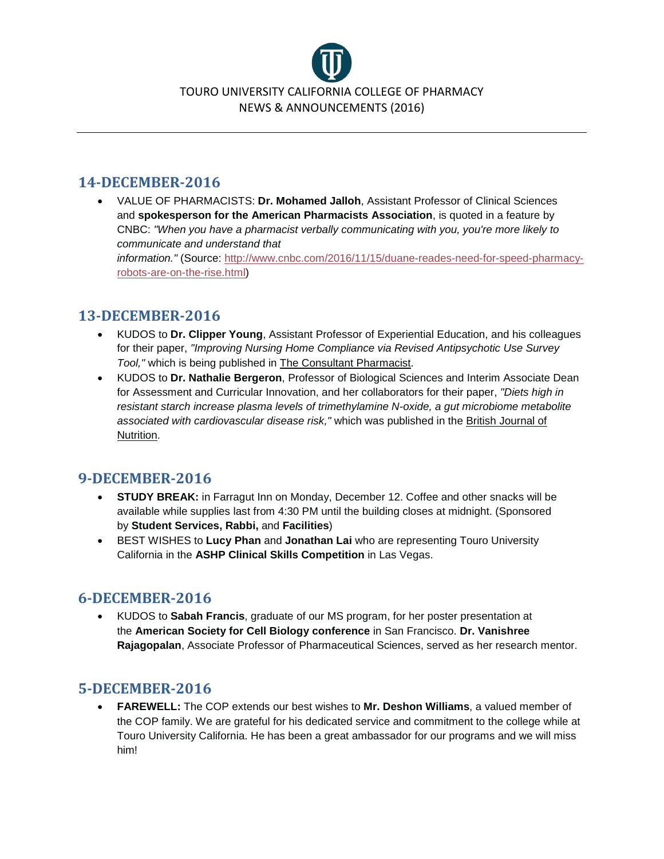

#### **14-DECEMBER-2016**

• VALUE OF PHARMACISTS: **Dr. Mohamed Jalloh**, Assistant Professor of Clinical Sciences and **spokesperson for the American Pharmacists Association**, is quoted in a feature by CNBC: *"When you have a pharmacist verbally communicating with you, you're more likely to communicate and understand that information."* (Source: [http://www.cnbc.com/2016/11/15/duane-reades-need-for-speed-pharmacy](http://www.cnbc.com/2016/11/15/duane-reades-need-for-speed-pharmacy-robots-are-on-the-rise.html)[robots-are-on-the-rise.html\)](http://www.cnbc.com/2016/11/15/duane-reades-need-for-speed-pharmacy-robots-are-on-the-rise.html)

# **13-DECEMBER-2016**

- KUDOS to **Dr. Clipper Young**, Assistant Professor of Experiential Education, and his colleagues for their paper, *"Improving Nursing Home Compliance via Revised Antipsychotic Use Survey Tool,"* which is being published in The Consultant Pharmacist.
- KUDOS to **Dr. Nathalie Bergeron**, Professor of Biological Sciences and Interim Associate Dean for Assessment and Curricular Innovation, and her collaborators for their paper, *"Diets high in resistant starch increase plasma levels of trimethylamine N-oxide, a gut microbiome metabolite associated with cardiovascular disease risk,"* which was published in the British Journal of Nutrition.

# **9-DECEMBER-2016**

- **STUDY BREAK:** in Farragut Inn on Monday, December 12. Coffee and other snacks will be available while supplies last from 4:30 PM until the building closes at midnight. (Sponsored by **Student Services, Rabbi,** and **Facilities**)
- BEST WISHES to **Lucy Phan** and **Jonathan Lai** who are representing Touro University California in the **ASHP Clinical Skills Competition** in Las Vegas.

### **6-DECEMBER-2016**

• KUDOS to **Sabah Francis**, graduate of our MS program, for her poster presentation at the **American Society for Cell Biology conference** in San Francisco. **Dr. Vanishree Rajagopalan**, Associate Professor of Pharmaceutical Sciences, served as her research mentor.

### **5-DECEMBER-2016**

• **FAREWELL:** The COP extends our best wishes to **Mr. Deshon Williams**, a valued member of the COP family. We are grateful for his dedicated service and commitment to the college while at Touro University California. He has been a great ambassador for our programs and we will miss him!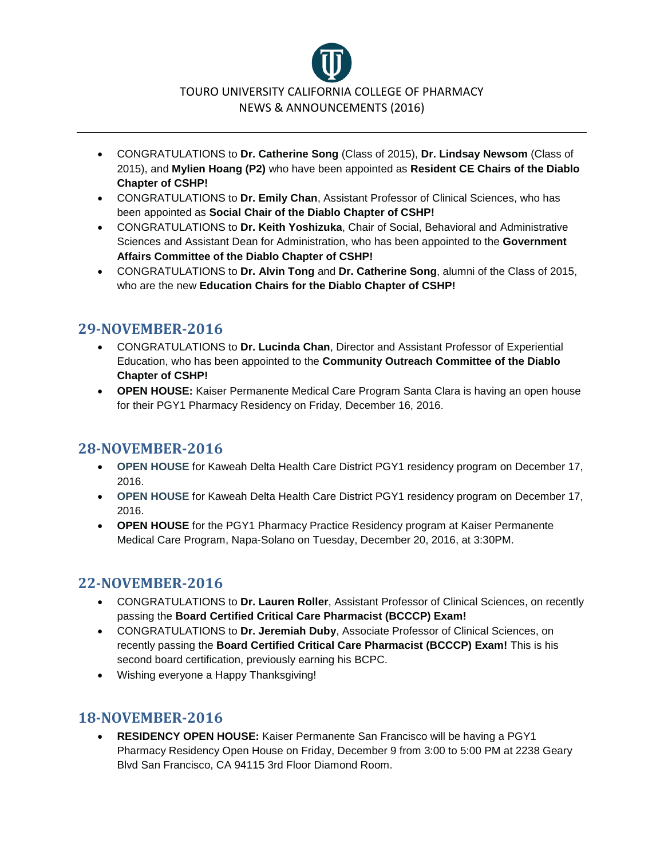

- CONGRATULATIONS to **Dr. Catherine Song** (Class of 2015), **Dr. Lindsay Newsom** (Class of 2015), and **Mylien Hoang (P2)** who have been appointed as **Resident CE Chairs of the Diablo Chapter of CSHP!**
- CONGRATULATIONS to **Dr. Emily Chan**, Assistant Professor of Clinical Sciences, who has been appointed as **Social Chair of the Diablo Chapter of CSHP!**
- CONGRATULATIONS to **Dr. Keith Yoshizuka**, Chair of Social, Behavioral and Administrative Sciences and Assistant Dean for Administration, who has been appointed to the **Government Affairs Committee of the Diablo Chapter of CSHP!**
- CONGRATULATIONS to **Dr. Alvin Tong** and **Dr. Catherine Song**, alumni of the Class of 2015, who are the new **Education Chairs for the Diablo Chapter of CSHP!**

# **29-NOVEMBER-2016**

- CONGRATULATIONS to **Dr. Lucinda Chan**, Director and Assistant Professor of Experiential Education, who has been appointed to the **Community Outreach Committee of the Diablo Chapter of CSHP!**
- **OPEN HOUSE:** Kaiser Permanente Medical Care Program Santa Clara is having an open house for their PGY1 Pharmacy Residency on Friday, December 16, 2016.

#### **28-NOVEMBER-2016**

- **OPEN HOUSE** for Kaweah Delta Health Care District PGY1 residency program on December 17, 2016.
- **OPEN HOUSE** for Kaweah Delta Health Care District PGY1 residency program on December 17, 2016.
- **OPEN HOUSE** for the PGY1 Pharmacy Practice Residency program at Kaiser Permanente Medical Care Program, Napa-Solano on Tuesday, December 20, 2016, at 3:30PM.

### **22-NOVEMBER-2016**

- CONGRATULATIONS to **Dr. Lauren Roller**, Assistant Professor of Clinical Sciences, on recently passing the **Board Certified Critical Care Pharmacist (BCCCP) Exam!**
- CONGRATULATIONS to **Dr. Jeremiah Duby**, Associate Professor of Clinical Sciences, on recently passing the **Board Certified Critical Care Pharmacist (BCCCP) Exam!** This is his second board certification, previously earning his BCPC.
- Wishing everyone a Happy Thanksgiving!

### **18-NOVEMBER-2016**

• **RESIDENCY OPEN HOUSE:** Kaiser Permanente San Francisco will be having a PGY1 Pharmacy Residency Open House on Friday, December 9 from 3:00 to 5:00 PM at 2238 Geary Blvd San Francisco, CA 94115 3rd Floor Diamond Room.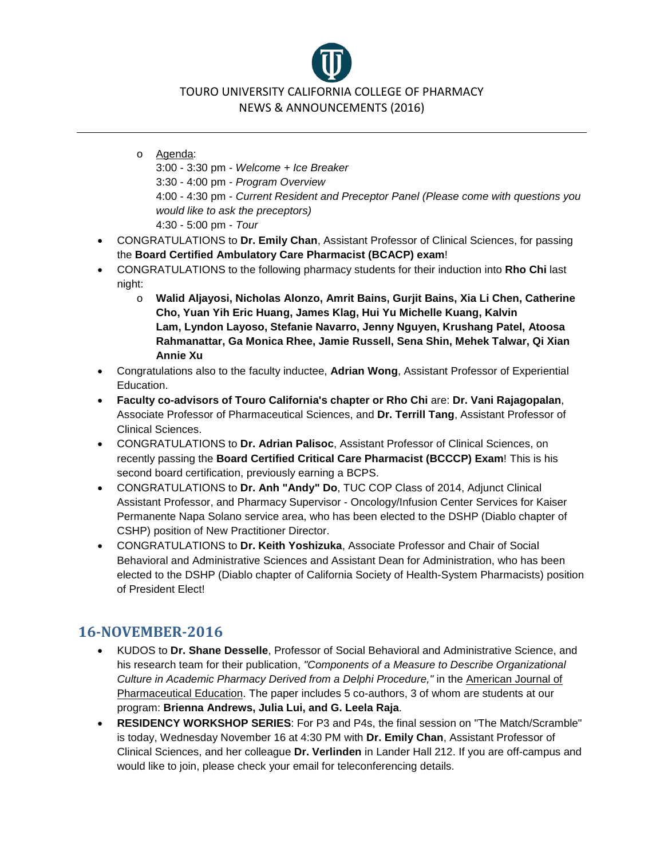TOURO UNIVERSITY CALIFORNIA COLLEGE OF PHARMACY NEWS & ANNOUNCEMENTS (2016)

o Agenda: 3:00 - 3:30 pm - *Welcome + Ice Breaker* 3:30 - 4:00 pm - *Program Overview* 4:00 - 4:30 pm - *Current Resident and Preceptor Panel (Please come with questions you would like to ask the preceptors)* 4:30 - 5:00 pm - *Tour*

- CONGRATULATIONS to **Dr. Emily Chan**, Assistant Professor of Clinical Sciences, for passing the **Board Certified Ambulatory Care Pharmacist (BCACP) exam**!
- CONGRATULATIONS to the following pharmacy students for their induction into **Rho Chi** last night:
	- o **Walid Aljayosi, Nicholas Alonzo, Amrit Bains, Gurjit Bains, Xia Li Chen, Catherine Cho, Yuan Yih Eric Huang, James Klag, Hui Yu Michelle Kuang, Kalvin Lam, Lyndon Layoso, Stefanie Navarro, Jenny Nguyen, Krushang Patel, Atoosa Rahmanattar, Ga Monica Rhee, Jamie Russell, Sena Shin, Mehek Talwar, Qi Xian Annie Xu**
- Congratulations also to the faculty inductee, **Adrian Wong**, Assistant Professor of Experiential Education.
- **Faculty co-advisors of Touro California's chapter or Rho Chi** are: **Dr. Vani Rajagopalan**, Associate Professor of Pharmaceutical Sciences, and **Dr. Terrill Tang**, Assistant Professor of Clinical Sciences.
- CONGRATULATIONS to **Dr. Adrian Palisoc**, Assistant Professor of Clinical Sciences, on recently passing the **Board Certified Critical Care Pharmacist (BCCCP) Exam**! This is his second board certification, previously earning a BCPS.
- CONGRATULATIONS to **Dr. Anh "Andy" Do**, TUC COP Class of 2014, Adjunct Clinical Assistant Professor, and Pharmacy Supervisor - Oncology/Infusion Center Services for Kaiser Permanente Napa Solano service area, who has been elected to the DSHP (Diablo chapter of CSHP) position of New Practitioner Director.
- CONGRATULATIONS to **Dr. Keith Yoshizuka**, Associate Professor and Chair of Social Behavioral and Administrative Sciences and Assistant Dean for Administration, who has been elected to the DSHP (Diablo chapter of California Society of Health-System Pharmacists) position of President Elect!

# **16-NOVEMBER-2016**

- KUDOS to **Dr. Shane Desselle**, Professor of Social Behavioral and Administrative Science, and his research team for their publication, *"Components of a Measure to Describe Organizational Culture in Academic Pharmacy Derived from a Delphi Procedure,"* in the American Journal of Pharmaceutical Education. The paper includes 5 co-authors, 3 of whom are students at our program: **Brienna Andrews, Julia Lui, and G. Leela Raja**.
- **RESIDENCY WORKSHOP SERIES**: For P3 and P4s, the final session on "The Match/Scramble" is today, Wednesday November 16 at 4:30 PM with **Dr. Emily Chan**, Assistant Professor of Clinical Sciences, and her colleague **Dr. Verlinden** in Lander Hall 212. If you are off-campus and would like to join, please check your email for teleconferencing details.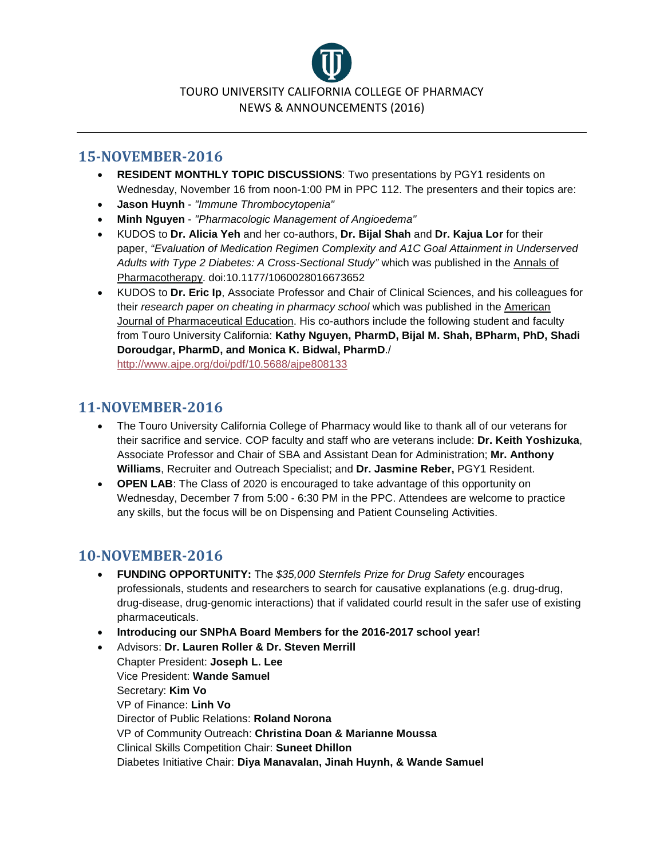

#### **15-NOVEMBER-2016**

- **RESIDENT MONTHLY TOPIC DISCUSSIONS**: Two presentations by PGY1 residents on Wednesday, November 16 from noon-1:00 PM in PPC 112. The presenters and their topics are:
- **Jason Huynh** *"Immune Thrombocytopenia"*
- **Minh Nguyen** *"Pharmacologic Management of Angioedema"*
- KUDOS to **Dr. Alicia Yeh** and her co-authors, **Dr. Bijal Shah** and **Dr. Kajua Lor** for their paper, *"Evaluation of Medication Regimen Complexity and A1C Goal Attainment in Underserved Adults with Type 2 Diabetes: A Cross-Sectional Study"* which was published in the Annals of Pharmacotherapy. doi:10.1177/1060028016673652
- KUDOS to **Dr. Eric Ip**, Associate Professor and Chair of Clinical Sciences, and his colleagues for their *research paper on cheating in pharmacy school* which was published in the American Journal of Pharmaceutical Education. His co-authors include the following student and faculty from Touro University California: **Kathy Nguyen, PharmD, Bijal M. Shah, BPharm, PhD, Shadi Doroudgar, PharmD, and Monica K. Bidwal, PharmD**./ <http://www.ajpe.org/doi/pdf/10.5688/ajpe808133>

#### **11-NOVEMBER-2016**

- The Touro University California College of Pharmacy would like to thank all of our veterans for their sacrifice and service. COP faculty and staff who are veterans include: **Dr. Keith Yoshizuka**, Associate Professor and Chair of SBA and Assistant Dean for Administration; **Mr. Anthony Williams**, Recruiter and Outreach Specialist; and **Dr. Jasmine Reber,** PGY1 Resident.
- **OPEN LAB**: The Class of 2020 is encouraged to take advantage of this opportunity on Wednesday, December 7 from 5:00 - 6:30 PM in the PPC. Attendees are welcome to practice any skills, but the focus will be on Dispensing and Patient Counseling Activities.

### **10-NOVEMBER-2016**

- **FUNDING OPPORTUNITY:** The *\$35,000 Sternfels Prize for Drug Safety* encourages professionals, students and researchers to search for causative explanations (e.g. drug-drug, drug-disease, drug-genomic interactions) that if validated courld result in the safer use of existing pharmaceuticals.
- **Introducing our SNPhA Board Members for the 2016-2017 school year!**
- Advisors: **Dr. Lauren Roller & Dr. Steven Merrill** Chapter President: **Joseph L. Lee** Vice President: **Wande Samuel** Secretary: **Kim Vo** VP of Finance: **Linh Vo** Director of Public Relations: **Roland Norona** VP of Community Outreach: **Christina Doan & Marianne Moussa** Clinical Skills Competition Chair: **Suneet Dhillon** Diabetes Initiative Chair: **Diya Manavalan, Jinah Huynh, & Wande Samuel**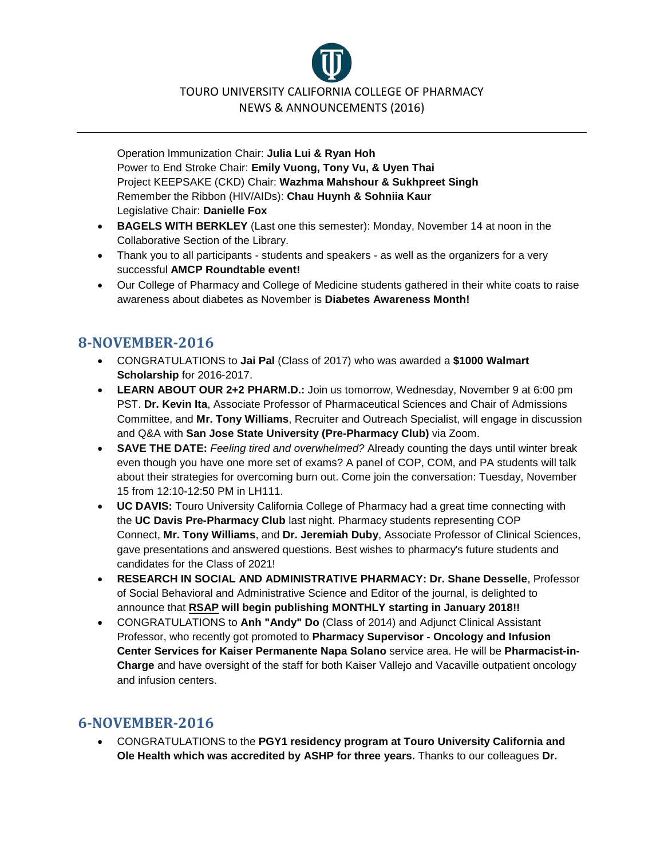TOURO UNIVERSITY CALIFORNIA COLLEGE OF PHARMACY NEWS & ANNOUNCEMENTS (2016)

Operation Immunization Chair: **Julia Lui & Ryan Hoh** Power to End Stroke Chair: **Emily Vuong, Tony Vu, & Uyen Thai** Project KEEPSAKE (CKD) Chair: **Wazhma Mahshour & Sukhpreet Singh** Remember the Ribbon (HIV/AIDs): **Chau Huynh & Sohniia Kaur** Legislative Chair: **Danielle Fox**

- **BAGELS WITH BERKLEY** (Last one this semester): Monday, November 14 at noon in the Collaborative Section of the Library.
- Thank you to all participants students and speakers as well as the organizers for a very successful **AMCP Roundtable event!**
- Our College of Pharmacy and College of Medicine students gathered in their white coats to raise awareness about diabetes as November is **Diabetes Awareness Month!**

# **8-NOVEMBER-2016**

- CONGRATULATIONS to **Jai Pal** (Class of 2017) who was awarded a **\$1000 Walmart Scholarship** for 2016-2017.
- **LEARN ABOUT OUR 2+2 PHARM.D.:** Join us tomorrow, Wednesday, November 9 at 6:00 pm PST. **Dr. Kevin Ita**, Associate Professor of Pharmaceutical Sciences and Chair of Admissions Committee, and **Mr. Tony Williams**, Recruiter and Outreach Specialist, will engage in discussion and Q&A with **San Jose State University (Pre-Pharmacy Club)** via Zoom.
- **SAVE THE DATE:** *Feeling tired and overwhelmed?* Already counting the days until winter break even though you have one more set of exams? A panel of COP, COM, and PA students will talk about their strategies for overcoming burn out. Come join the conversation: Tuesday, November 15 from 12:10-12:50 PM in LH111.
- **UC DAVIS:** Touro University California College of Pharmacy had a great time connecting with the **UC Davis Pre-Pharmacy Club** last night. Pharmacy students representing COP Connect, **Mr. Tony Williams**, and **Dr. Jeremiah Duby**, Associate Professor of Clinical Sciences, gave presentations and answered questions. Best wishes to pharmacy's future students and candidates for the Class of 2021!
- **RESEARCH IN SOCIAL AND ADMINISTRATIVE PHARMACY: Dr. Shane Desselle**, Professor of Social Behavioral and Administrative Science and Editor of the journal, is delighted to announce that **RSAP will begin publishing MONTHLY starting in January 2018!!**
- CONGRATULATIONS to **Anh "Andy" Do** (Class of 2014) and Adjunct Clinical Assistant Professor, who recently got promoted to **Pharmacy Supervisor - Oncology and Infusion Center Services for Kaiser Permanente Napa Solano** service area. He will be **Pharmacist-in-Charge** and have oversight of the staff for both Kaiser Vallejo and Vacaville outpatient oncology and infusion centers.

# **6-NOVEMBER-2016**

• CONGRATULATIONS to the **PGY1 residency program at Touro University California and Ole Health which was accredited by ASHP for three years.** Thanks to our colleagues **Dr.**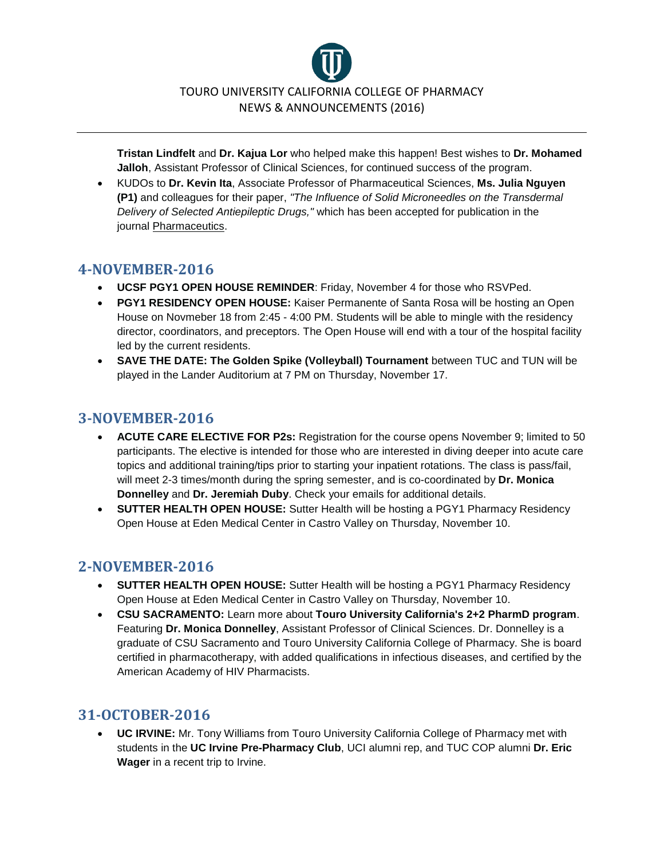

**Tristan Lindfelt** and **Dr. Kajua Lor** who helped make this happen! Best wishes to **Dr. Mohamed Jalloh**, Assistant Professor of Clinical Sciences, for continued success of the program.

• KUDOs to **Dr. Kevin Ita**, Associate Professor of Pharmaceutical Sciences, **Ms. Julia Nguyen (P1)** and colleagues for their paper, *"The Influence of Solid Microneedles on the Transdermal Delivery of Selected Antiepileptic Drugs,"* which has been accepted for publication in the journal Pharmaceutics.

### **4-NOVEMBER-2016**

- **UCSF PGY1 OPEN HOUSE REMINDER**: Friday, November 4 for those who RSVPed.
- **PGY1 RESIDENCY OPEN HOUSE:** Kaiser Permanente of Santa Rosa will be hosting an Open House on Novmeber 18 from 2:45 - 4:00 PM. Students will be able to mingle with the residency director, coordinators, and preceptors. The Open House will end with a tour of the hospital facility led by the current residents.
- **SAVE THE DATE: The Golden Spike (Volleyball) Tournament** between TUC and TUN will be played in the Lander Auditorium at 7 PM on Thursday, November 17.

# **3-NOVEMBER-2016**

- **ACUTE CARE ELECTIVE FOR P2s:** Registration for the course opens November 9; limited to 50 participants. The elective is intended for those who are interested in diving deeper into acute care topics and additional training/tips prior to starting your inpatient rotations. The class is pass/fail, will meet 2-3 times/month during the spring semester, and is co-coordinated by **Dr. Monica Donnelley** and **Dr. Jeremiah Duby**. Check your emails for additional details.
- **SUTTER HEALTH OPEN HOUSE:** Sutter Health will be hosting a PGY1 Pharmacy Residency Open House at Eden Medical Center in Castro Valley on Thursday, November 10.

### **2-NOVEMBER-2016**

- **SUTTER HEALTH OPEN HOUSE:** Sutter Health will be hosting a PGY1 Pharmacy Residency Open House at Eden Medical Center in Castro Valley on Thursday, November 10.
- **CSU SACRAMENTO:** Learn more about **Touro University California's 2+2 PharmD program**. Featuring **Dr. Monica Donnelley**, Assistant Professor of Clinical Sciences. Dr. Donnelley is a graduate of CSU Sacramento and Touro University California College of Pharmacy. She is board certified in pharmacotherapy, with added qualifications in infectious diseases, and certified by the American Academy of HIV Pharmacists.

### **31-OCTOBER-2016**

• **UC IRVINE:** Mr. Tony Williams from Touro University California College of Pharmacy met with students in the **UC Irvine Pre-Pharmacy Club**, UCI alumni rep, and TUC COP alumni **Dr. Eric Wager** in a recent trip to Irvine.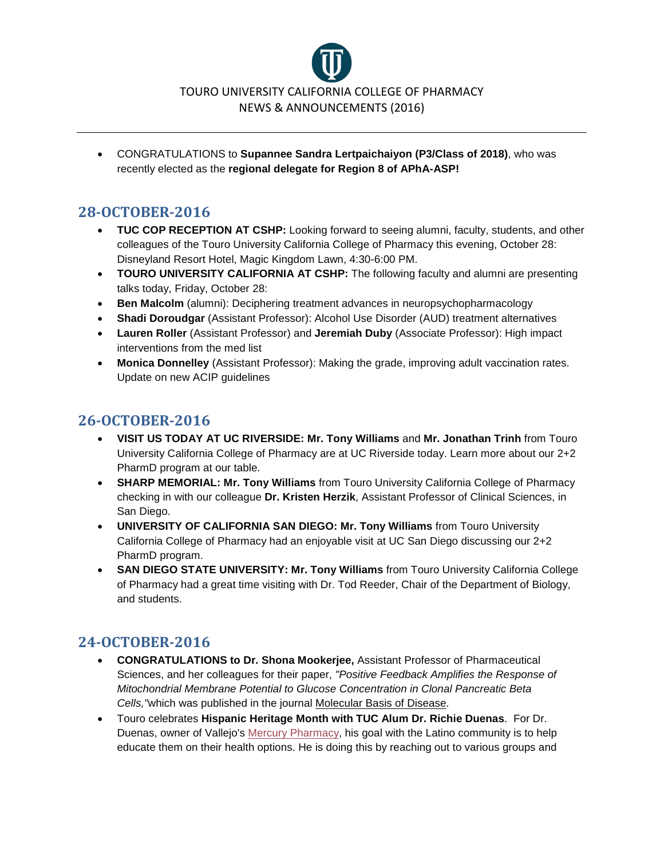

• CONGRATULATIONS to **Supannee Sandra Lertpaichaiyon (P3/Class of 2018)**, who was recently elected as the **regional delegate for Region 8 of APhA-ASP!**

## **28-OCTOBER-2016**

- **TUC COP RECEPTION AT CSHP:** Looking forward to seeing alumni, faculty, students, and other colleagues of the Touro University California College of Pharmacy this evening, October 28: Disneyland Resort Hotel, Magic Kingdom Lawn, 4:30-6:00 PM.
- **TOURO UNIVERSITY CALIFORNIA AT CSHP:** The following faculty and alumni are presenting talks today, Friday, October 28:
- **Ben Malcolm** (alumni): Deciphering treatment advances in neuropsychopharmacology
- **Shadi Doroudgar** (Assistant Professor): Alcohol Use Disorder (AUD) treatment alternatives
- **Lauren Roller** (Assistant Professor) and **Jeremiah Duby** (Associate Professor): High impact interventions from the med list
- **Monica Donnelley** (Assistant Professor): Making the grade, improving adult vaccination rates. Update on new ACIP guidelines

# **26-OCTOBER-2016**

- **VISIT US TODAY AT UC RIVERSIDE: Mr. Tony Williams** and **Mr. Jonathan Trinh** from Touro University California College of Pharmacy are at UC Riverside today. Learn more about our 2+2 PharmD program at our table.
- **SHARP MEMORIAL: Mr. Tony Williams** from Touro University California College of Pharmacy checking in with our colleague **Dr. Kristen Herzik**, Assistant Professor of Clinical Sciences, in San Diego.
- **UNIVERSITY OF CALIFORNIA SAN DIEGO: Mr. Tony Williams** from Touro University California College of Pharmacy had an enjoyable visit at UC San Diego discussing our 2+2 PharmD program.
- **SAN DIEGO STATE UNIVERSITY: Mr. Tony Williams** from Touro University California College of Pharmacy had a great time visiting with Dr. Tod Reeder, Chair of the Department of Biology, and students.

- **CONGRATULATIONS to Dr. Shona Mookerjee,** Assistant Professor of Pharmaceutical Sciences, and her colleagues for their paper, *"Positive Feedback Amplifies the Response of Mitochondrial Membrane Potential to Glucose Concentration in Clonal Pancreatic Beta Cells,"*which was published in the journal Molecular Basis of Disease.
- Touro celebrates **Hispanic Heritage Month with TUC Alum Dr. Richie Duenas**. For Dr. Duenas, owner of Vallejo's [Mercury Pharmacy,](http://mercury-rx.com/) his goal with the Latino community is to help educate them on their health options. He is doing this by reaching out to various groups and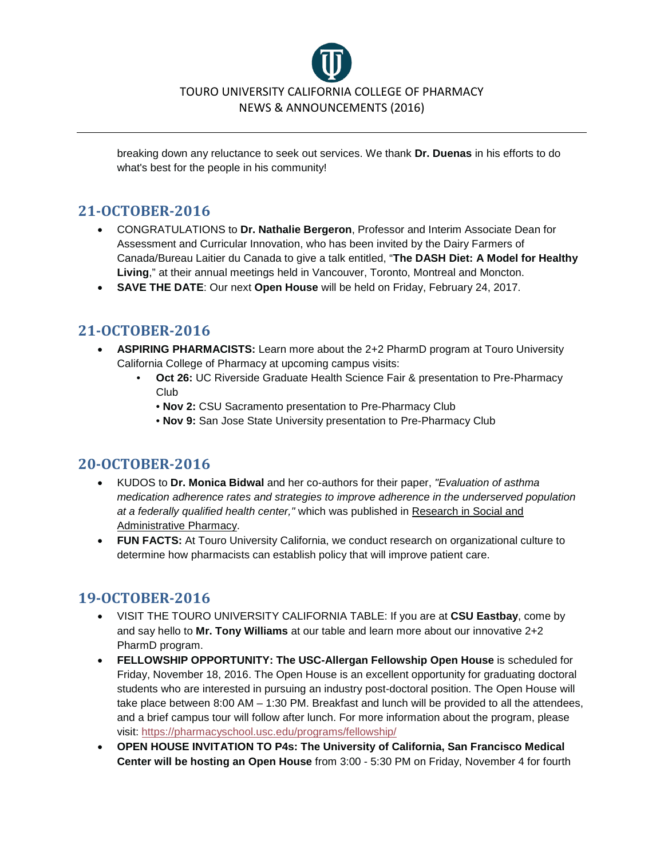

breaking down any reluctance to seek out services. We thank **Dr. Duenas** in his efforts to do what's best for the people in his community!

#### **21-OCTOBER-2016**

- CONGRATULATIONS to **Dr. Nathalie Bergeron**, Professor and Interim Associate Dean for Assessment and Curricular Innovation, who has been invited by the Dairy Farmers of Canada/Bureau Laitier du Canada to give a talk entitled, "**The DASH Diet: A Model for Healthy Living**," at their annual meetings held in Vancouver, Toronto, Montreal and Moncton.
- **SAVE THE DATE**: Our next **Open House** will be held on Friday, February 24, 2017.

### **21-OCTOBER-2016**

- **ASPIRING PHARMACISTS:** Learn more about the 2+2 PharmD program at Touro University California College of Pharmacy at upcoming campus visits:
	- **Oct 26:** UC Riverside Graduate Health Science Fair & presentation to Pre-Pharmacy Club
		- **Nov 2:** CSU Sacramento presentation to Pre-Pharmacy Club
		- **Nov 9:** San Jose State University presentation to Pre-Pharmacy Club

### **20-OCTOBER-2016**

- KUDOS to **Dr. Monica Bidwal** and her co-authors for their paper, *"Evaluation of asthma medication adherence rates and strategies to improve adherence in the underserved population at a federally qualified health center,"* which was published in Research in Social and Administrative Pharmacy.
- **FUN FACTS:** At Touro University California, we conduct research on organizational culture to determine how pharmacists can establish policy that will improve patient care.

- VISIT THE TOURO UNIVERSITY CALIFORNIA TABLE: If you are at **CSU Eastbay**, come by and say hello to **Mr. Tony Williams** at our table and learn more about our innovative 2+2 PharmD program.
- **FELLOWSHIP OPPORTUNITY: The USC-Allergan Fellowship Open House** is scheduled for Friday, November 18, 2016. The Open House is an excellent opportunity for graduating doctoral students who are interested in pursuing an industry post-doctoral position. The Open House will take place between 8:00 AM – 1:30 PM. Breakfast and lunch will be provided to all the attendees, and a brief campus tour will follow after lunch. For more information about the program, please visit: <https://pharmacyschool.usc.edu/programs/fellowship/>
- **OPEN HOUSE INVITATION TO P4s: The University of California, San Francisco Medical Center will be hosting an Open House** from 3:00 - 5:30 PM on Friday, November 4 for fourth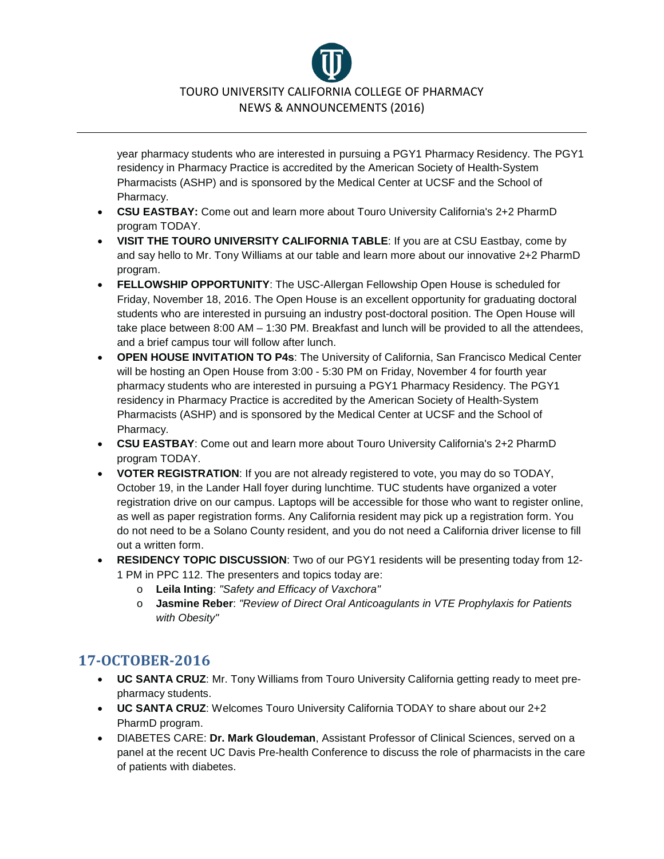TOURO UNIVERSITY CALIFORNIA COLLEGE OF PHARMACY NEWS & ANNOUNCEMENTS (2016)

year pharmacy students who are interested in pursuing a PGY1 Pharmacy Residency. The PGY1 residency in Pharmacy Practice is accredited by the American Society of Health-System Pharmacists (ASHP) and is sponsored by the Medical Center at UCSF and the School of Pharmacy.

- **CSU EASTBAY:** Come out and learn more about Touro University California's 2+2 PharmD program TODAY.
- **VISIT THE TOURO UNIVERSITY CALIFORNIA TABLE**: If you are at CSU Eastbay, come by and say hello to Mr. Tony Williams at our table and learn more about our innovative 2+2 PharmD program.
- **FELLOWSHIP OPPORTUNITY**: The USC-Allergan Fellowship Open House is scheduled for Friday, November 18, 2016. The Open House is an excellent opportunity for graduating doctoral students who are interested in pursuing an industry post-doctoral position. The Open House will take place between 8:00 AM – 1:30 PM. Breakfast and lunch will be provided to all the attendees, and a brief campus tour will follow after lunch.
- **OPEN HOUSE INVITATION TO P4s**: The University of California, San Francisco Medical Center will be hosting an Open House from 3:00 - 5:30 PM on Friday, November 4 for fourth year pharmacy students who are interested in pursuing a PGY1 Pharmacy Residency. The PGY1 residency in Pharmacy Practice is accredited by the American Society of Health-System Pharmacists (ASHP) and is sponsored by the Medical Center at UCSF and the School of Pharmacy.
- **CSU EASTBAY**: Come out and learn more about Touro University California's 2+2 PharmD program TODAY.
- **VOTER REGISTRATION**: If you are not already registered to vote, you may do so TODAY, October 19, in the Lander Hall foyer during lunchtime. TUC students have organized a voter registration drive on our campus. Laptops will be accessible for those who want to register online, as well as paper registration forms. Any California resident may pick up a registration form. You do not need to be a Solano County resident, and you do not need a California driver license to fill out a written form.
- **RESIDENCY TOPIC DISCUSSION**: Two of our PGY1 residents will be presenting today from 12- 1 PM in PPC 112. The presenters and topics today are:
	- o **Leila Inting**: *"Safety and Efficacy of Vaxchora"*
	- o **Jasmine Reber**: *"Review of Direct Oral Anticoagulants in VTE Prophylaxis for Patients with Obesity"*

- **UC SANTA CRUZ**: Mr. Tony Williams from Touro University California getting ready to meet prepharmacy students.
- **UC SANTA CRUZ**: Welcomes Touro University California TODAY to share about our 2+2 PharmD program.
- DIABETES CARE: **Dr. Mark Gloudeman**, Assistant Professor of Clinical Sciences, served on a panel at the recent UC Davis Pre-health Conference to discuss the role of pharmacists in the care of patients with diabetes.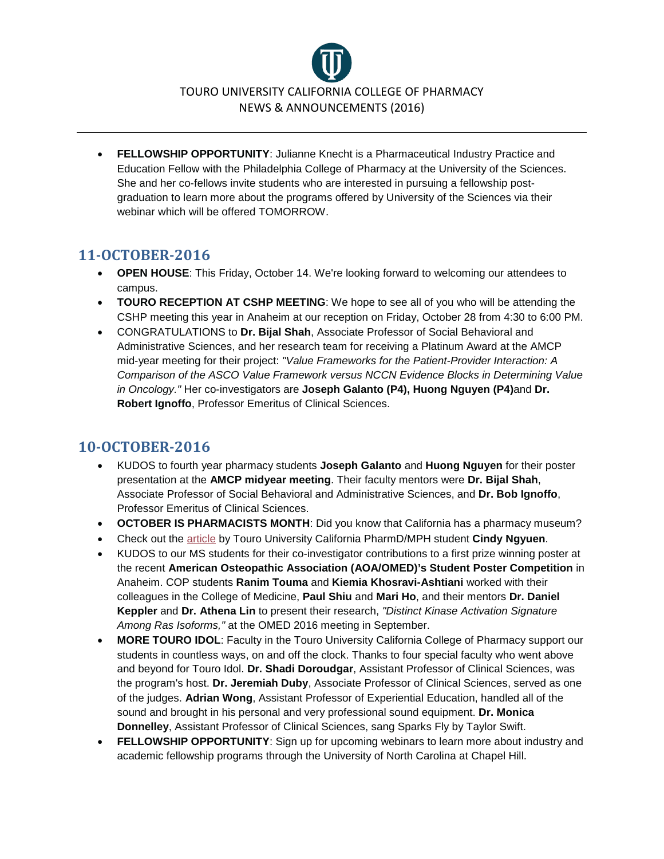

• **FELLOWSHIP OPPORTUNITY**: Julianne Knecht is a Pharmaceutical Industry Practice and Education Fellow with the Philadelphia College of Pharmacy at the University of the Sciences. She and her co-fellows invite students who are interested in pursuing a fellowship postgraduation to learn more about the programs offered by University of the Sciences via their webinar which will be offered TOMORROW.

# **11-OCTOBER-2016**

- **OPEN HOUSE**: This Friday, October 14. We're looking forward to welcoming our attendees to campus.
- **TOURO RECEPTION AT CSHP MEETING**: We hope to see all of you who will be attending the CSHP meeting this year in Anaheim at our reception on Friday, October 28 from 4:30 to 6:00 PM.
- CONGRATULATIONS to **Dr. Bijal Shah**, Associate Professor of Social Behavioral and Administrative Sciences, and her research team for receiving a Platinum Award at the AMCP mid-year meeting for their project: *"Value Frameworks for the Patient-Provider Interaction: A Comparison of the ASCO Value Framework versus NCCN Evidence Blocks in Determining Value in Oncology."* Her co-investigators are **Joseph Galanto (P4), Huong Nguyen (P4)**and **Dr. Robert Ignoffo**, Professor Emeritus of Clinical Sciences.

- KUDOS to fourth year pharmacy students **Joseph Galanto** and **Huong Nguyen** for their poster presentation at the **AMCP midyear meeting**. Their faculty mentors were **Dr. Bijal Shah**, Associate Professor of Social Behavioral and Administrative Sciences, and **Dr. Bob Ignoffo**, Professor Emeritus of Clinical Sciences.
- **OCTOBER IS PHARMACISTS MONTH**: Did you know that California has a pharmacy museum?
- Check out the [article](http://drugtopics.modernmedicine.com/drug-topics/news/keys-minimizing-prescription-drug-errors) by Touro University California PharmD/MPH student **Cindy Ngyuen**.
- KUDOS to our MS students for their co-investigator contributions to a first prize winning poster at the recent **American Osteopathic Association (AOA/OMED)'s Student Poster Competition** in Anaheim. COP students **Ranim Touma** and **Kiemia Khosravi-Ashtiani** worked with their colleagues in the College of Medicine, **Paul Shiu** and **Mari Ho**, and their mentors **Dr. Daniel Keppler** and **Dr. Athena Lin** to present their research, *"Distinct Kinase Activation Signature Among Ras Isoforms,"* at the OMED 2016 meeting in September.
- **MORE TOURO IDOL**: Faculty in the Touro University California College of Pharmacy support our students in countless ways, on and off the clock. Thanks to four special faculty who went above and beyond for Touro Idol. **Dr. Shadi Doroudgar**, Assistant Professor of Clinical Sciences, was the program's host. **Dr. Jeremiah Duby**, Associate Professor of Clinical Sciences, served as one of the judges. **Adrian Wong**, Assistant Professor of Experiential Education, handled all of the sound and brought in his personal and very professional sound equipment. **Dr. Monica Donnelley**, Assistant Professor of Clinical Sciences, sang Sparks Fly by Taylor Swift.
- **FELLOWSHIP OPPORTUNITY**: Sign up for upcoming webinars to learn more about industry and academic fellowship programs through the University of North Carolina at Chapel Hill.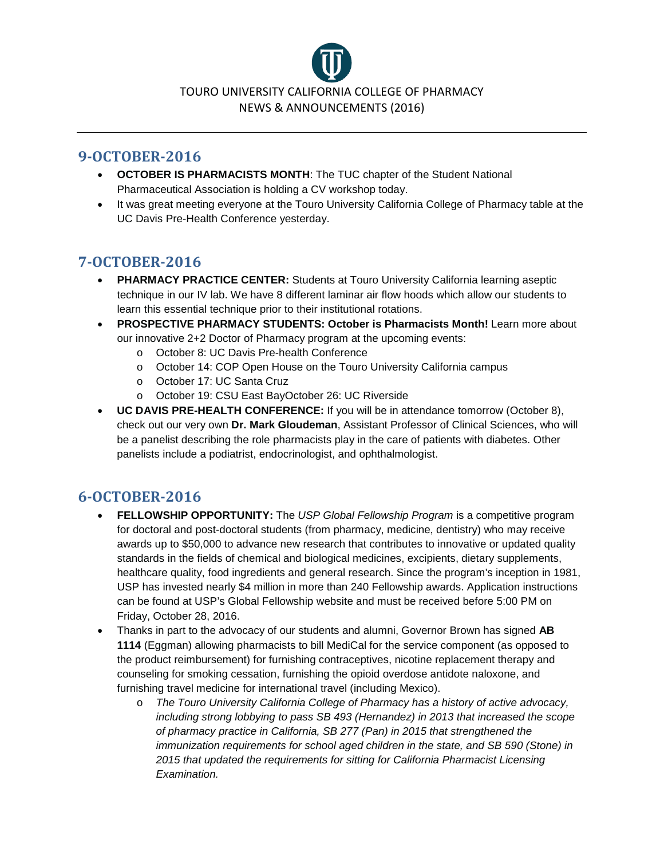

#### **9-OCTOBER-2016**

- **OCTOBER IS PHARMACISTS MONTH**: The TUC chapter of the Student National Pharmaceutical Association is holding a CV workshop today.
- It was great meeting everyone at the Touro University California College of Pharmacy table at the UC Davis Pre-Health Conference yesterday.

# **7-OCTOBER-2016**

- **PHARMACY PRACTICE CENTER:** Students at Touro University California learning aseptic technique in our IV lab. We have 8 different laminar air flow hoods which allow our students to learn this essential technique prior to their institutional rotations.
- **PROSPECTIVE PHARMACY STUDENTS: October is Pharmacists Month!** Learn more about our innovative 2+2 Doctor of Pharmacy program at the upcoming events:
	- o October 8: UC Davis Pre-health Conference
	- o October 14: COP Open House on the Touro University California campus
	- o October 17: UC Santa Cruz
	- o October 19: CSU East BayOctober 26: UC Riverside
- **UC DAVIS PRE-HEALTH CONFERENCE:** If you will be in attendance tomorrow (October 8), check out our very own **Dr. Mark Gloudeman**, Assistant Professor of Clinical Sciences, who will be a panelist describing the role pharmacists play in the care of patients with diabetes. Other panelists include a podiatrist, endocrinologist, and ophthalmologist.

- **FELLOWSHIP OPPORTUNITY:** The *USP Global Fellowship Program* is a competitive program for doctoral and post-doctoral students (from pharmacy, medicine, dentistry) who may receive awards up to \$50,000 to advance new research that contributes to innovative or updated quality standards in the fields of chemical and biological medicines, excipients, dietary supplements, healthcare quality, food ingredients and general research. Since the program's inception in 1981, USP has invested nearly \$4 million in more than 240 Fellowship awards. Application instructions can be found at USP's Global Fellowship website and must be received before 5:00 PM on Friday, October 28, 2016.
- Thanks in part to the advocacy of our students and alumni, Governor Brown has signed **AB 1114** (Eggman) allowing pharmacists to bill MediCal for the service component (as opposed to the product reimbursement) for furnishing contraceptives, nicotine replacement therapy and counseling for smoking cessation, furnishing the opioid overdose antidote naloxone, and furnishing travel medicine for international travel (including Mexico).
	- o *The Touro University California College of Pharmacy has a history of active advocacy, including strong lobbying to pass SB 493 (Hernandez) in 2013 that increased the scope of pharmacy practice in California, SB 277 (Pan) in 2015 that strengthened the immunization requirements for school aged children in the state, and SB 590 (Stone) in 2015 that updated the requirements for sitting for California Pharmacist Licensing Examination.*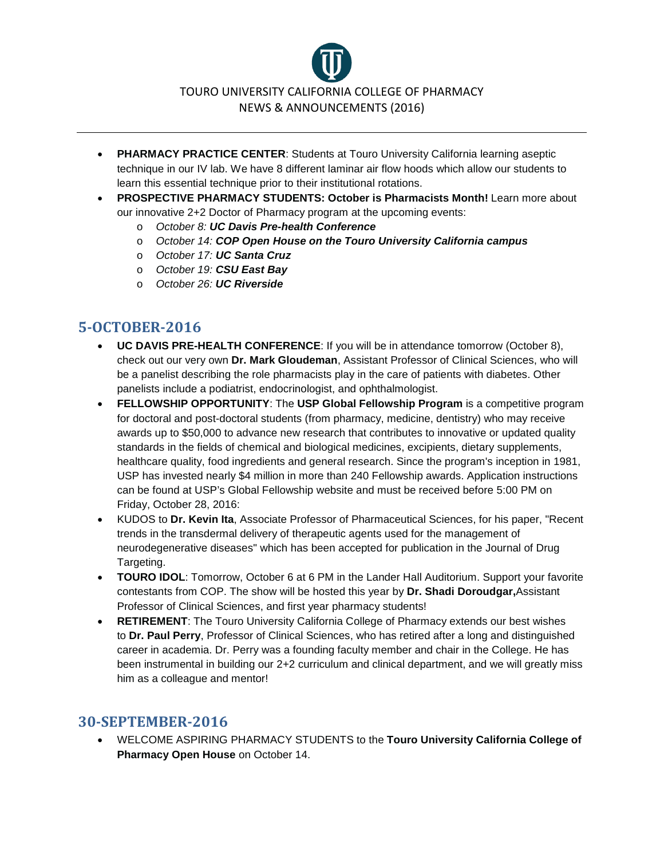

- **PHARMACY PRACTICE CENTER**: Students at Touro University California learning aseptic technique in our IV lab. We have 8 different laminar air flow hoods which allow our students to learn this essential technique prior to their institutional rotations.
- **PROSPECTIVE PHARMACY STUDENTS: October is Pharmacists Month!** Learn more about our innovative 2+2 Doctor of Pharmacy program at the upcoming events:
	- o *October 8: UC Davis Pre-health Conference*
	- o *October 14: COP Open House on the Touro University California campus*
	- o *October 17: UC Santa Cruz*
	- o *October 19: CSU East Bay*
	- o *October 26: UC Riverside*

### **5-OCTOBER-2016**

- **UC DAVIS PRE-HEALTH CONFERENCE**: If you will be in attendance tomorrow (October 8), check out our very own **Dr. Mark Gloudeman**, Assistant Professor of Clinical Sciences, who will be a panelist describing the role pharmacists play in the care of patients with diabetes. Other panelists include a podiatrist, endocrinologist, and ophthalmologist.
- **FELLOWSHIP OPPORTUNITY**: The **USP Global Fellowship Program** is a competitive program for doctoral and post-doctoral students (from pharmacy, medicine, dentistry) who may receive awards up to \$50,000 to advance new research that contributes to innovative or updated quality standards in the fields of chemical and biological medicines, excipients, dietary supplements, healthcare quality, food ingredients and general research. Since the program's inception in 1981, USP has invested nearly \$4 million in more than 240 Fellowship awards. Application instructions can be found at USP's Global Fellowship website and must be received before 5:00 PM on Friday, October 28, 2016:
- KUDOS to **Dr. Kevin Ita**, Associate Professor of Pharmaceutical Sciences, for his paper, "Recent trends in the transdermal delivery of therapeutic agents used for the management of neurodegenerative diseases" which has been accepted for publication in the Journal of Drug Targeting.
- **TOURO IDOL**: Tomorrow, October 6 at 6 PM in the Lander Hall Auditorium. Support your favorite contestants from COP. The show will be hosted this year by **Dr. Shadi Doroudgar,**Assistant Professor of Clinical Sciences, and first year pharmacy students!
- **RETIREMENT**: The Touro University California College of Pharmacy extends our best wishes to **Dr. Paul Perry**, Professor of Clinical Sciences, who has retired after a long and distinguished career in academia. Dr. Perry was a founding faculty member and chair in the College. He has been instrumental in building our 2+2 curriculum and clinical department, and we will greatly miss him as a colleague and mentor!

#### **30-SEPTEMBER-2016**

• WELCOME ASPIRING PHARMACY STUDENTS to the **Touro University California College of Pharmacy Open House** on October 14.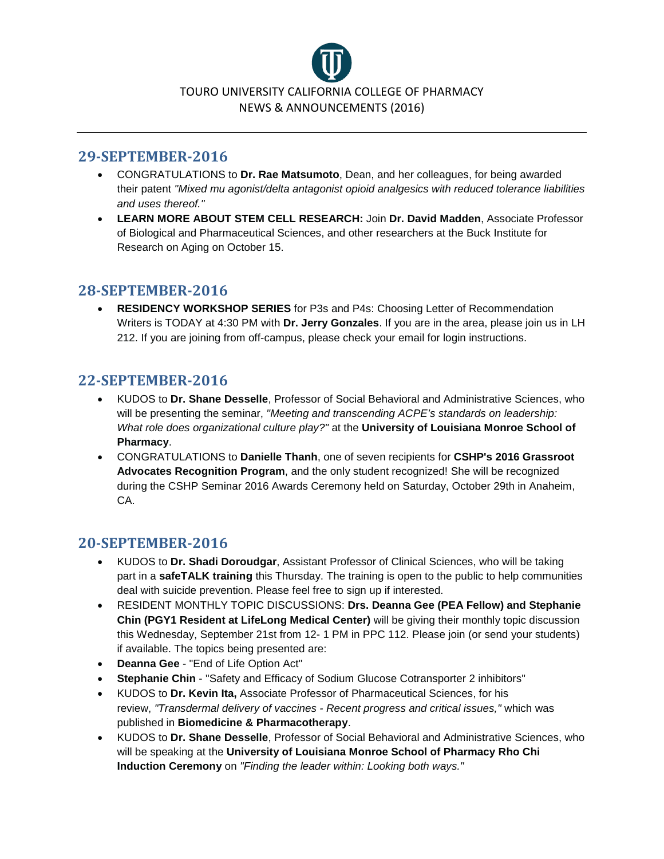

#### **29-SEPTEMBER-2016**

- CONGRATULATIONS to **Dr. Rae Matsumoto**, Dean, and her colleagues, for being awarded their patent *"Mixed mu agonist/delta antagonist opioid analgesics with reduced tolerance liabilities and uses thereof."*
- **LEARN MORE ABOUT STEM CELL RESEARCH:** Join **Dr. David Madden**, Associate Professor of Biological and Pharmaceutical Sciences, and other researchers at the Buck Institute for Research on Aging on October 15.

### **28-SEPTEMBER-2016**

• **RESIDENCY WORKSHOP SERIES** for P3s and P4s: Choosing Letter of Recommendation Writers is TODAY at 4:30 PM with **Dr. Jerry Gonzales**. If you are in the area, please join us in LH 212. If you are joining from off-campus, please check your email for login instructions.

# **22-SEPTEMBER-2016**

- KUDOS to **Dr. Shane Desselle**, Professor of Social Behavioral and Administrative Sciences, who will be presenting the seminar, *"Meeting and transcending ACPE's standards on leadership: What role does organizational culture play?"* at the **University of Louisiana Monroe School of Pharmacy**.
- CONGRATULATIONS to **Danielle Thanh**, one of seven recipients for **CSHP's 2016 Grassroot Advocates Recognition Program**, and the only student recognized! She will be recognized during the CSHP Seminar 2016 Awards Ceremony held on Saturday, October 29th in Anaheim, CA.

### **20-SEPTEMBER-2016**

- KUDOS to **Dr. Shadi Doroudgar**, Assistant Professor of Clinical Sciences, who will be taking part in a **safeTALK training** this Thursday. The training is open to the public to help communities deal with suicide prevention. Please feel free to sign up if interested.
- RESIDENT MONTHLY TOPIC DISCUSSIONS: **Drs. Deanna Gee (PEA Fellow) and Stephanie Chin (PGY1 Resident at LifeLong Medical Center)** will be giving their monthly topic discussion this Wednesday, September 21st from 12- 1 PM in PPC 112. Please join (or send your students) if available. The topics being presented are:
- **Deanna Gee** "End of Life Option Act"
- **Stephanie Chin** "Safety and Efficacy of Sodium Glucose Cotransporter 2 inhibitors"
- KUDOS to **Dr. Kevin Ita,** Associate Professor of Pharmaceutical Sciences, for his review, *"Transdermal delivery of vaccines - Recent progress and critical issues,"* which was published in **Biomedicine & Pharmacotherapy**.
- KUDOS to **Dr. Shane Desselle**, Professor of Social Behavioral and Administrative Sciences, who will be speaking at the **University of Louisiana Monroe School of Pharmacy Rho Chi Induction Ceremony** on *"Finding the leader within: Looking both ways."*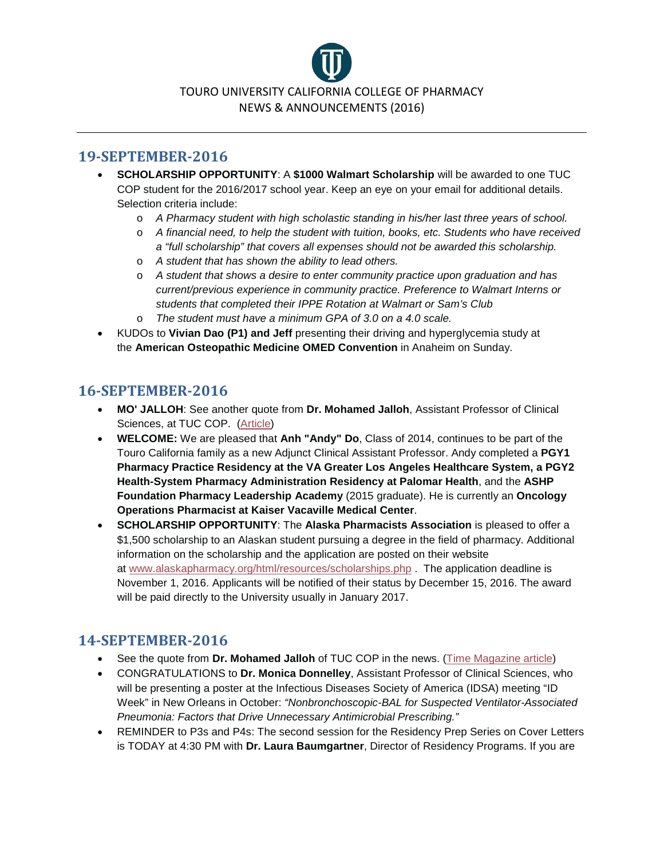

#### **19-SEPTEMBER-2016**

- **SCHOLARSHIP OPPORTUNITY**: A **\$1000 Walmart Scholarship** will be awarded to one TUC COP student for the 2016/2017 school year. Keep an eye on your email for additional details. Selection criteria include:
	- o *A Pharmacy student with high scholastic standing in his/her last three years of school.*
	- o *A financial need, to help the student with tuition, books, etc. Students who have received a "full scholarship" that covers all expenses should not be awarded this scholarship.*
	- o *A student that has shown the ability to lead others.*
	- o *A student that shows a desire to enter community practice upon graduation and has current/previous experience in community practice. Preference to Walmart Interns or students that completed their IPPE Rotation at Walmart or Sam's Club*
	- o *The student must have a minimum GPA of 3.0 on a 4.0 scale.*
- KUDOs to **Vivian Dao (P1) and Jeff** presenting their driving and hyperglycemia study at the **American Osteopathic Medicine OMED Convention** in Anaheim on Sunday.

#### **16-SEPTEMBER-2016**

- **MO' JALLOH**: See another quote from **Dr. Mohamed Jalloh**, Assistant Professor of Clinical Sciences, at TUC COP. [\(Article\)](http://health.usnews.com/health-news/patient-advice/articles/2016-08-24/why-you-should-never-take-leftover-antibiotics)
- **WELCOME:** We are pleased that **Anh "Andy" Do**, Class of 2014, continues to be part of the Touro California family as a new Adjunct Clinical Assistant Professor. Andy completed a **PGY1 Pharmacy Practice Residency at the VA Greater Los Angeles Healthcare System, a PGY2 Health-System Pharmacy Administration Residency at Palomar Health**, and the **ASHP Foundation Pharmacy Leadership Academy** (2015 graduate). He is currently an **Oncology Operations Pharmacist at Kaiser Vacaville Medical Center**.
- **SCHOLARSHIP OPPORTUNITY**: The **Alaska Pharmacists Association** is pleased to offer a \$1,500 scholarship to an Alaskan student pursuing a degree in the field of pharmacy. Additional information on the scholarship and the application are posted on their website at [www.alaskapharmacy.org/html/resources/scholarships.php](http://www.alaskapharmacy.org/html/resources/scholarships.php) . The application deadline is November 1, 2016. Applicants will be notified of their status by December 15, 2016. The award will be paid directly to the University usually in January 2017.

#### **14-SEPTEMBER-2016**

- See the quote from **Dr. Mohamed Jalloh** of TUC COP in the news. [\(Time Magazine article\)](http://time.com/4471773/expired-epipens-what-you-need-to-know/)
- CONGRATULATIONS to **Dr. Monica Donnelley**, Assistant Professor of Clinical Sciences, who will be presenting a poster at the Infectious Diseases Society of America (IDSA) meeting "ID Week" in New Orleans in October: *"Nonbronchoscopic-BAL for Suspected Ventilator-Associated Pneumonia: Factors that Drive Unnecessary Antimicrobial Prescribing."*
- REMINDER to P3s and P4s: The second session for the Residency Prep Series on Cover Letters is TODAY at 4:30 PM with **Dr. Laura Baumgartner**, Director of Residency Programs. If you are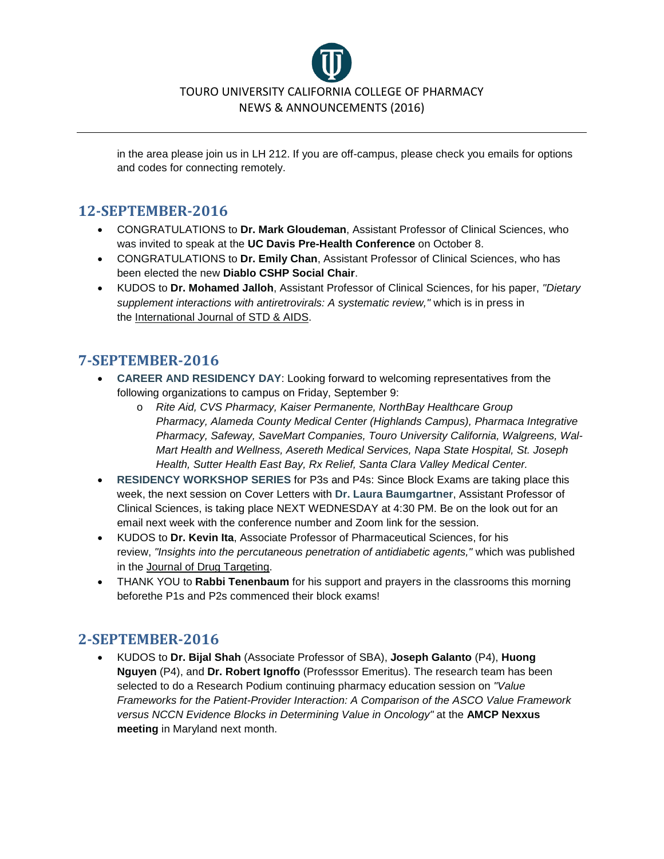

in the area please join us in LH 212. If you are off-campus, please check you emails for options and codes for connecting remotely.

#### **12-SEPTEMBER-2016**

- CONGRATULATIONS to **Dr. Mark Gloudeman**, Assistant Professor of Clinical Sciences, who was invited to speak at the **UC Davis Pre-Health Conference** on October 8.
- CONGRATULATIONS to **Dr. Emily Chan**, Assistant Professor of Clinical Sciences, who has been elected the new **Diablo CSHP Social Chair**.
- KUDOS to **Dr. Mohamed Jalloh**, Assistant Professor of Clinical Sciences, for his paper, *"Dietary supplement interactions with antiretrovirals: A systematic review,"* which is in press in the International Journal of STD & AIDS.

# **7-SEPTEMBER-2016**

- **CAREER AND RESIDENCY DAY**: Looking forward to welcoming representatives from the following organizations to campus on Friday, September 9:
	- o *Rite Aid, CVS Pharmacy, Kaiser Permanente, NorthBay Healthcare Group Pharmacy, Alameda County Medical Center (Highlands Campus), Pharmaca Integrative Pharmacy, Safeway, SaveMart Companies, Touro University California, Walgreens, Wal-Mart Health and Wellness, Asereth Medical Services, Napa State Hospital, St. Joseph Health, Sutter Health East Bay, Rx Relief, Santa Clara Valley Medical Center.*
- **RESIDENCY WORKSHOP SERIES** for P3s and P4s: Since Block Exams are taking place this week, the next session on Cover Letters with **Dr. Laura Baumgartner**, Assistant Professor of Clinical Sciences, is taking place NEXT WEDNESDAY at 4:30 PM. Be on the look out for an email next week with the conference number and Zoom link for the session.
- KUDOS to **Dr. Kevin Ita**, Associate Professor of Pharmaceutical Sciences, for his review, *"Insights into the percutaneous penetration of antidiabetic agents,"* which was published in the Journal of Drug Targeting.
- THANK YOU to **Rabbi Tenenbaum** for his support and prayers in the classrooms this morning beforethe P1s and P2s commenced their block exams!

# **2-SEPTEMBER-2016**

• KUDOS to **Dr. Bijal Shah** (Associate Professor of SBA), **Joseph Galanto** (P4), **Huong Nguyen** (P4), and **Dr. Robert Ignoffo** (Professsor Emeritus). The research team has been selected to do a Research Podium continuing pharmacy education session on *"Value Frameworks for the Patient-Provider Interaction: A Comparison of the ASCO Value Framework versus NCCN Evidence Blocks in Determining Value in Oncology"* at the **AMCP Nexxus meeting** in Maryland next month.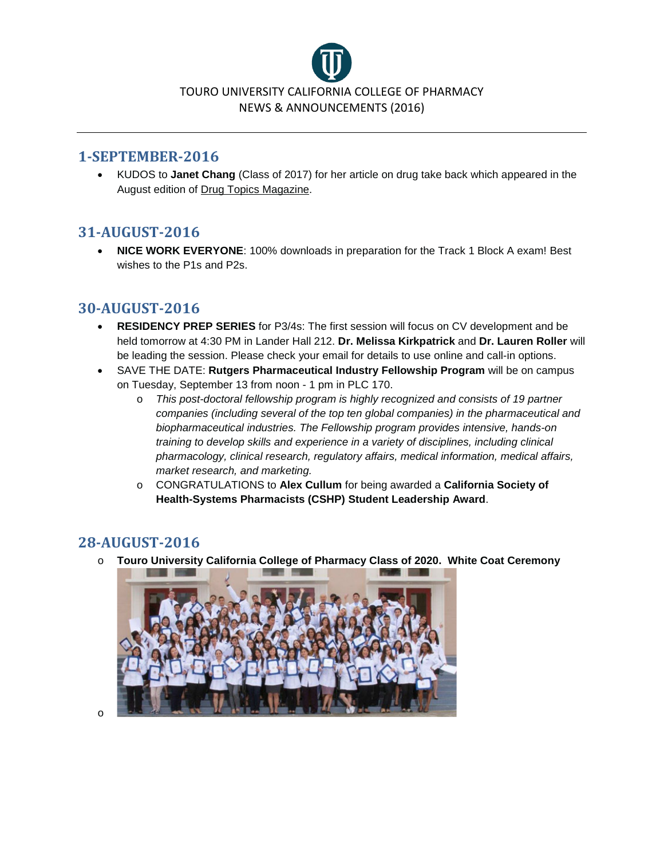

#### **1-SEPTEMBER-2016**

• KUDOS to **Janet Chang** (Class of 2017) for her article on drug take back which appeared in the August edition of Drug Topics Magazine.

#### **31-AUGUST-2016**

• **NICE WORK EVERYONE**: 100% downloads in preparation for the Track 1 Block A exam! Best wishes to the P1s and P2s.

### **30-AUGUST-2016**

- **RESIDENCY PREP SERIES** for P3/4s: The first session will focus on CV development and be held tomorrow at 4:30 PM in Lander Hall 212. **Dr. Melissa Kirkpatrick** and **Dr. Lauren Roller** will be leading the session. Please check your email for details to use online and call-in options.
- SAVE THE DATE: **Rutgers Pharmaceutical Industry Fellowship Program** will be on campus on Tuesday, September 13 from noon - 1 pm in PLC 170.
	- o *This post-doctoral fellowship program is highly recognized and consists of 19 partner companies (including several of the top ten global companies) in the pharmaceutical and biopharmaceutical industries. The Fellowship program provides intensive, hands-on training to develop skills and experience in a variety of disciplines, including clinical pharmacology, clinical research, regulatory affairs, medical information, medical affairs, market research, and marketing.*
	- o CONGRATULATIONS to **Alex Cullum** for being awarded a **California Society of Health-Systems Pharmacists (CSHP) Student Leadership Award**.

### **28-AUGUST-2016**

o **Touro University California College of Pharmacy Class of 2020. White Coat Ceremony**



o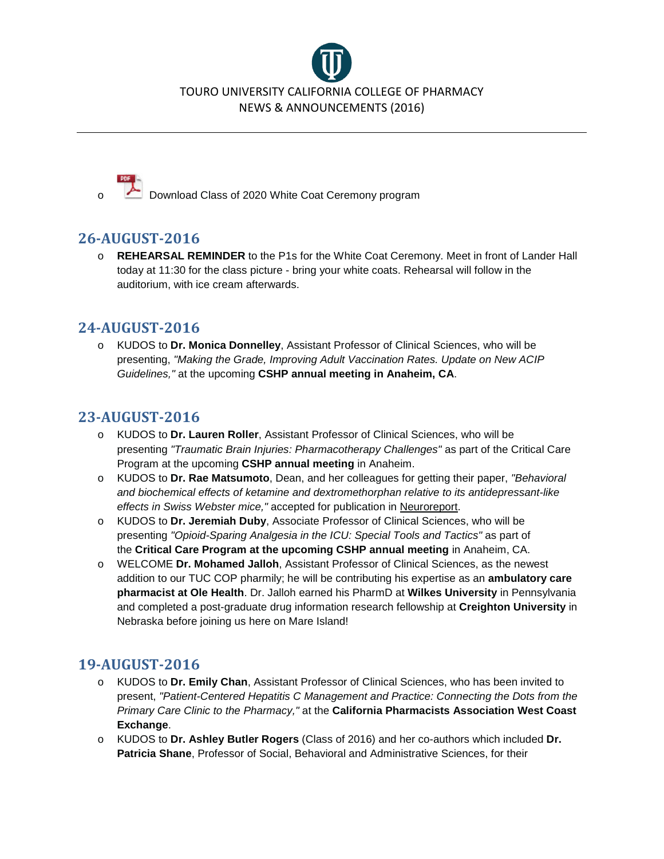

Download Class of 2020 White Coat Ceremony program

# **26-AUGUST-2016**

o **REHEARSAL REMINDER** to the P1s for the White Coat Ceremony. Meet in front of Lander Hall today at 11:30 for the class picture - bring your white coats. Rehearsal will follow in the auditorium, with ice cream afterwards.

# **24-AUGUST-2016**

o KUDOS to **Dr. Monica Donnelley**, Assistant Professor of Clinical Sciences, who will be presenting, *"Making the Grade, Improving Adult Vaccination Rates. Update on New ACIP Guidelines,"* at the upcoming **CSHP annual meeting in Anaheim, CA**.

# **23-AUGUST-2016**

- o KUDOS to **Dr. Lauren Roller**, Assistant Professor of Clinical Sciences, who will be presenting *"Traumatic Brain Injuries: Pharmacotherapy Challenges"* as part of the Critical Care Program at the upcoming **CSHP annual meeting** in Anaheim.
- o KUDOS to **Dr. Rae Matsumoto**, Dean, and her colleagues for getting their paper, *"Behavioral and biochemical effects of ketamine and dextromethorphan relative to its antidepressant-like effects in Swiss Webster mice,"* accepted for publication in Neuroreport.
- o KUDOS to **Dr. Jeremiah Duby**, Associate Professor of Clinical Sciences, who will be presenting *"Opioid-Sparing Analgesia in the ICU: Special Tools and Tactics"* as part of the **Critical Care Program at the upcoming CSHP annual meeting** in Anaheim, CA.
- o WELCOME **Dr. Mohamed Jalloh**, Assistant Professor of Clinical Sciences, as the newest addition to our TUC COP pharmily; he will be contributing his expertise as an **ambulatory care pharmacist at Ole Health**. Dr. Jalloh earned his PharmD at **Wilkes University** in Pennsylvania and completed a post-graduate drug information research fellowship at **Creighton University** in Nebraska before joining us here on Mare Island!

# **19-AUGUST-2016**

- o KUDOS to **Dr. Emily Chan**, Assistant Professor of Clinical Sciences, who has been invited to present, *"Patient-Centered Hepatitis C Management and Practice: Connecting the Dots from the Primary Care Clinic to the Pharmacy,"* at the **California Pharmacists Association West Coast Exchange**.
- o KUDOS to **Dr. Ashley Butler Rogers** (Class of 2016) and her co-authors which included **Dr. Patricia Shane**, Professor of Social, Behavioral and Administrative Sciences, for their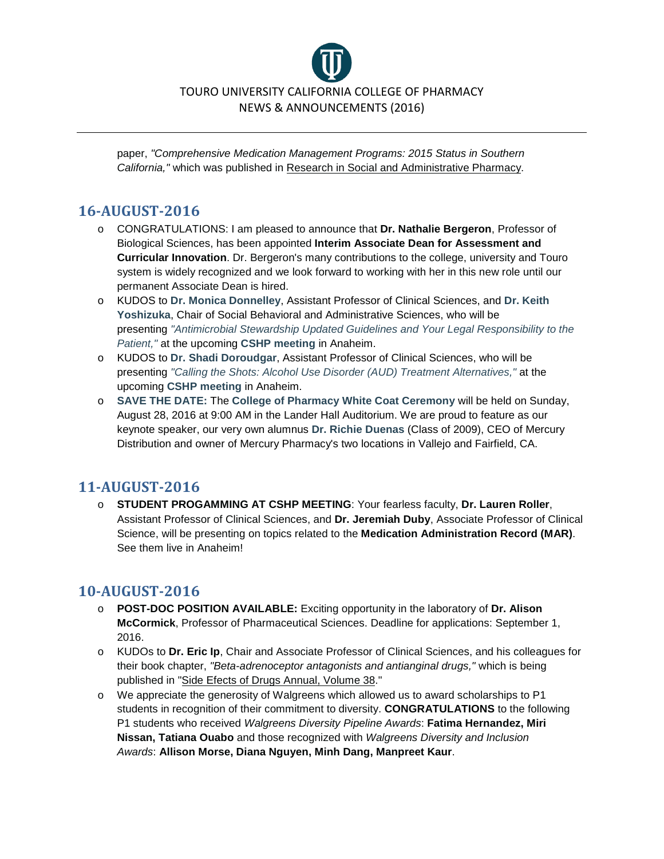

paper, *"Comprehensive Medication Management Programs: 2015 Status in Southern California,"* which was published in Research in Social and Administrative Pharmacy.

### **16-AUGUST-2016**

- o CONGRATULATIONS: I am pleased to announce that **Dr. Nathalie Bergeron**, Professor of Biological Sciences, has been appointed **Interim Associate Dean for Assessment and Curricular Innovation**. Dr. Bergeron's many contributions to the college, university and Touro system is widely recognized and we look forward to working with her in this new role until our permanent Associate Dean is hired.
- o KUDOS to **Dr. Monica Donnelley**, Assistant Professor of Clinical Sciences, and **Dr. Keith Yoshizuka**, Chair of Social Behavioral and Administrative Sciences, who will be presenting *"Antimicrobial Stewardship Updated Guidelines and Your Legal Responsibility to the Patient,"* at the upcoming **CSHP meeting** in Anaheim.
- o KUDOS to **Dr. Shadi Doroudgar**, Assistant Professor of Clinical Sciences, who will be presenting *"Calling the Shots: Alcohol Use Disorder (AUD) Treatment Alternatives,"* at the upcoming **CSHP meeting** in Anaheim.
- o **SAVE THE DATE:** The **College of Pharmacy White Coat Ceremony** will be held on Sunday, August 28, 2016 at 9:00 AM in the Lander Hall Auditorium. We are proud to feature as our keynote speaker, our very own alumnus **Dr. Richie Duenas** (Class of 2009), CEO of Mercury Distribution and owner of Mercury Pharmacy's two locations in Vallejo and Fairfield, CA.

### **11-AUGUST-2016**

o **STUDENT PROGAMMING AT CSHP MEETING**: Your fearless faculty, **Dr. Lauren Roller**, Assistant Professor of Clinical Sciences, and **Dr. Jeremiah Duby**, Associate Professor of Clinical Science, will be presenting on topics related to the **Medication Administration Record (MAR)**. See them live in Anaheim!

### **10-AUGUST-2016**

- o **POST-DOC POSITION AVAILABLE:** Exciting opportunity in the laboratory of **Dr. Alison McCormick**, Professor of Pharmaceutical Sciences. Deadline for applications: September 1, 2016.
- o KUDOs to **Dr. Eric Ip**, Chair and Associate Professor of Clinical Sciences, and his colleagues for their book chapter, *"Beta-adrenoceptor antagonists and antianginal drugs,"* which is being published in "Side Efects of Drugs Annual, Volume 38."
- o We appreciate the generosity of Walgreens which allowed us to award scholarships to P1 students in recognition of their commitment to diversity. **CONGRATULATIONS** to the following P1 students who received *Walgreens Diversity Pipeline Awards*: **Fatima Hernandez, Miri Nissan, Tatiana Ouabo** and those recognized with *Walgreens Diversity and Inclusion Awards*: **Allison Morse, Diana Nguyen, Minh Dang, Manpreet Kaur**.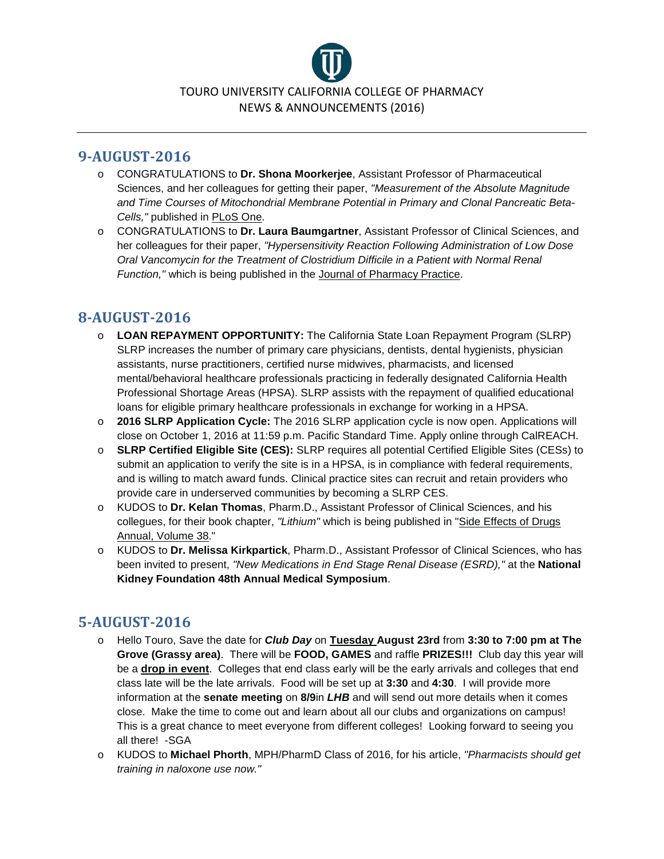

#### **9-AUGUST-2016**

- o CONGRATULATIONS to **Dr. Shona Moorkerjee**, Assistant Professor of Pharmaceutical Sciences, and her colleagues for getting their paper, *"Measurement of the Absolute Magnitude and Time Courses of Mitochondrial Membrane Potential in Primary and Clonal Pancreatic Beta-Cells,"* published in PLoS One.
- o CONGRATULATIONS to **Dr. Laura Baumgartner**, Assistant Professor of Clinical Sciences, and her colleagues for their paper, *"Hypersensitivity Reaction Following Administration of Low Dose Oral Vancomycin for the Treatment of Clostridium Difficile in a Patient with Normal Renal Function,"* which is being published in the Journal of Pharmacy Practice.

# **8-AUGUST-2016**

- o **LOAN REPAYMENT OPPORTUNITY:** The California State Loan Repayment Program (SLRP) SLRP increases the number of primary care physicians, dentists, dental hygienists, physician assistants, nurse practitioners, certified nurse midwives, pharmacists, and licensed mental/behavioral healthcare professionals practicing in federally designated California Health Professional Shortage Areas (HPSA). SLRP assists with the repayment of qualified educational loans for eligible primary healthcare professionals in exchange for working in a HPSA.
- o **2016 SLRP Application Cycle:** The 2016 SLRP application cycle is now open. Applications will close on October 1, 2016 at 11:59 p.m. Pacific Standard Time. Apply online through CalREACH.
- o **SLRP Certified Eligible Site (CES):** SLRP requires all potential Certified Eligible Sites (CESs) to submit an application to verify the site is in a HPSA, is in compliance with federal requirements, and is willing to match award funds. Clinical practice sites can recruit and retain providers who provide care in underserved communities by becoming a SLRP CES.
- o KUDOS to **Dr. Kelan Thomas**, Pharm.D., Assistant Professor of Clinical Sciences, and his collegues, for their book chapter, *"Lithium"* which is being published in "Side Effects of Drugs Annual, Volume 38."
- o KUDOS to **Dr. Melissa Kirkpartick**, Pharm.D., Assistant Professor of Clinical Sciences, who has been invited to present, *"New Medications in End Stage Renal Disease (ESRD),"* at the **National Kidney Foundation 48th Annual Medical Symposium**.

# **5-AUGUST-2016**

- o Hello Touro, Save the date for *Club Day* on **Tuesday August 23rd** from **3:30 to 7:00 pm at The Grove (Grassy area)**. There will be **FOOD, GAMES** and raffle **PRIZES!!!** Club day this year will be a **drop in event**. Colleges that end class early will be the early arrivals and colleges that end class late will be the late arrivals. Food will be set up at **3:30** and **4:30**. I will provide more information at the **senate meeting** on **8/9**in *LHB* and will send out more details when it comes close. Make the time to come out and learn about all our clubs and organizations on campus! This is a great chance to meet everyone from different colleges! Looking forward to seeing you all there! -SGA
- o KUDOS to **Michael Phorth**, MPH/PharmD Class of 2016, for his article, *"Pharmacists should get training in naloxone use now."*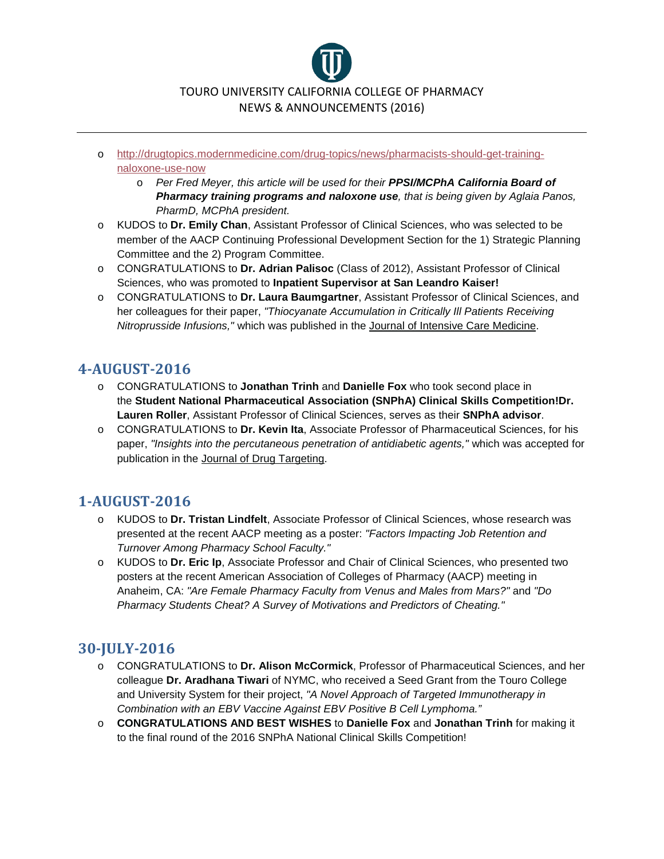

- o [http://drugtopics.modernmedicine.com/drug-topics/news/pharmacists-should-get-training](http://drugtopics.modernmedicine.com/drug-topics/news/pharmacists-should-get-training-naloxone-use-now)[naloxone-use-now](http://drugtopics.modernmedicine.com/drug-topics/news/pharmacists-should-get-training-naloxone-use-now)
	- o *Per Fred Meyer, this article will be used for their PPSI/MCPhA California Board of Pharmacy training programs and naloxone use, that is being given by Aglaia Panos, PharmD, MCPhA president.*
- o KUDOS to **Dr. Emily Chan**, Assistant Professor of Clinical Sciences, who was selected to be member of the AACP Continuing Professional Development Section for the 1) Strategic Planning Committee and the 2) Program Committee.
- o CONGRATULATIONS to **Dr. Adrian Palisoc** (Class of 2012), Assistant Professor of Clinical Sciences, who was promoted to **Inpatient Supervisor at San Leandro Kaiser!**
- o CONGRATULATIONS to **Dr. Laura Baumgartner**, Assistant Professor of Clinical Sciences, and her colleagues for their paper, *"Thiocyanate Accumulation in Critically Ill Patients Receiving Nitroprusside Infusions,"* which was published in the Journal of Intensive Care Medicine.

### **4-AUGUST-2016**

- o CONGRATULATIONS to **Jonathan Trinh** and **Danielle Fox** who took second place in the **Student National Pharmaceutical Association (SNPhA) Clinical Skills Competition!Dr. Lauren Roller**, Assistant Professor of Clinical Sciences, serves as their **SNPhA advisor**.
- o CONGRATULATIONS to **Dr. Kevin Ita**, Associate Professor of Pharmaceutical Sciences, for his paper, *"Insights into the percutaneous penetration of antidiabetic agents,"* which was accepted for publication in the Journal of Drug Targeting.

# **1-AUGUST-2016**

- o KUDOS to **Dr. Tristan Lindfelt**, Associate Professor of Clinical Sciences, whose research was presented at the recent AACP meeting as a poster: *"Factors Impacting Job Retention and Turnover Among Pharmacy School Faculty."*
- o KUDOS to **Dr. Eric Ip**, Associate Professor and Chair of Clinical Sciences, who presented two posters at the recent American Association of Colleges of Pharmacy (AACP) meeting in Anaheim, CA: *"Are Female Pharmacy Faculty from Venus and Males from Mars?"* and *"Do Pharmacy Students Cheat? A Survey of Motivations and Predictors of Cheating."*

# **30-JULY-2016**

- o CONGRATULATIONS to **Dr. Alison McCormick**, Professor of Pharmaceutical Sciences, and her colleague **Dr. Aradhana Tiwari** of NYMC, who received a Seed Grant from the Touro College and University System for their project, *"A Novel Approach of Targeted Immunotherapy in Combination with an EBV Vaccine Against EBV Positive B Cell Lymphoma."*
- o **CONGRATULATIONS AND BEST WISHES** to **Danielle Fox** and **Jonathan Trinh** for making it to the final round of the 2016 SNPhA National Clinical Skills Competition!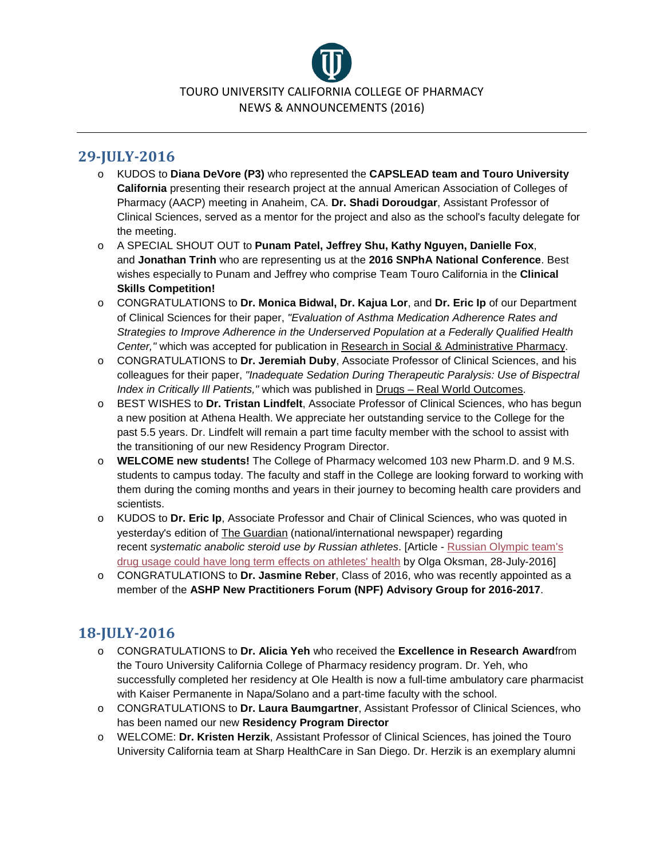

# **29-JULY-2016**

- o KUDOS to **Diana DeVore (P3)** who represented the **CAPSLEAD team and Touro University California** presenting their research project at the annual American Association of Colleges of Pharmacy (AACP) meeting in Anaheim, CA. **Dr. Shadi Doroudgar**, Assistant Professor of Clinical Sciences, served as a mentor for the project and also as the school's faculty delegate for the meeting.
- o A SPECIAL SHOUT OUT to **Punam Patel, Jeffrey Shu, Kathy Nguyen, Danielle Fox**, and **Jonathan Trinh** who are representing us at the **2016 SNPhA National Conference**. Best wishes especially to Punam and Jeffrey who comprise Team Touro California in the **Clinical Skills Competition!**
- o CONGRATULATIONS to **Dr. Monica Bidwal, Dr. Kajua Lor**, and **Dr. Eric Ip** of our Department of Clinical Sciences for their paper, *"Evaluation of Asthma Medication Adherence Rates and Strategies to Improve Adherence in the Underserved Population at a Federally Qualified Health Center,"* which was accepted for publication in Research in Social & Administrative Pharmacy.
- o CONGRATULATIONS to **Dr. Jeremiah Duby**, Associate Professor of Clinical Sciences, and his colleagues for their paper, *"Inadequate Sedation During Therapeutic Paralysis: Use of Bispectral Index in Critically Ill Patients,"* which was published in Drugs – Real World Outcomes.
- o BEST WISHES to **Dr. Tristan Lindfelt**, Associate Professor of Clinical Sciences, who has begun a new position at Athena Health. We appreciate her outstanding service to the College for the past 5.5 years. Dr. Lindfelt will remain a part time faculty member with the school to assist with the transitioning of our new Residency Program Director.
- o **WELCOME new students!** The College of Pharmacy welcomed 103 new Pharm.D. and 9 M.S. students to campus today. The faculty and staff in the College are looking forward to working with them during the coming months and years in their journey to becoming health care providers and scientists.
- o KUDOS to **Dr. Eric Ip**, Associate Professor and Chair of Clinical Sciences, who was quoted in yesterday's edition of The Guardian (national/international newspaper) regarding recent *systematic anabolic steroid use by Russian athletes*. [Article - [Russian Olympic team's](https://www.theguardian.com/lifeandstyle/2016/jul/28/russian-olympic-rio-team-drug-steroids-health-effects?CMP=share_btn_fb)  [drug usage could have long term effects on athletes' health](https://www.theguardian.com/lifeandstyle/2016/jul/28/russian-olympic-rio-team-drug-steroids-health-effects?CMP=share_btn_fb) by Olga Oksman, 28-July-2016]
- o CONGRATULATIONS to **Dr. Jasmine Reber**, Class of 2016, who was recently appointed as a member of the **ASHP New Practitioners Forum (NPF) Advisory Group for 2016-2017**.

# **18-JULY-2016**

- o CONGRATULATIONS to **Dr. Alicia Yeh** who received the **Excellence in Research Award**from the Touro University California College of Pharmacy residency program. Dr. Yeh, who successfully completed her residency at Ole Health is now a full-time ambulatory care pharmacist with Kaiser Permanente in Napa/Solano and a part-time faculty with the school.
- o CONGRATULATIONS to **Dr. Laura Baumgartner**, Assistant Professor of Clinical Sciences, who has been named our new **Residency Program Director**
- o WELCOME: **Dr. Kristen Herzik**, Assistant Professor of Clinical Sciences, has joined the Touro University California team at Sharp HealthCare in San Diego. Dr. Herzik is an exemplary alumni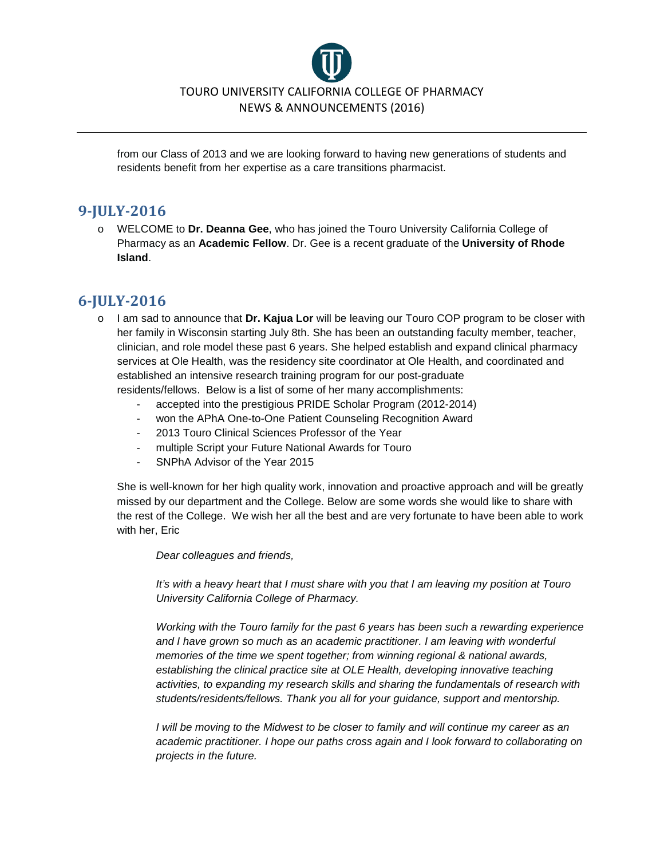

from our Class of 2013 and we are looking forward to having new generations of students and residents benefit from her expertise as a care transitions pharmacist.

#### **9-JULY-2016**

o WELCOME to **Dr. Deanna Gee**, who has joined the Touro University California College of Pharmacy as an **Academic Fellow**. Dr. Gee is a recent graduate of the **University of Rhode Island**.

#### **6-JULY-2016**

- o I am sad to announce that **Dr. Kajua Lor** will be leaving our Touro COP program to be closer with her family in Wisconsin starting July 8th. She has been an outstanding faculty member, teacher, clinician, and role model these past 6 years. She helped establish and expand clinical pharmacy services at Ole Health, was the residency site coordinator at Ole Health, and coordinated and established an intensive research training program for our post-graduate residents/fellows. Below is a list of some of her many accomplishments:
	- accepted into the prestigious PRIDE Scholar Program (2012-2014)
	- won the APhA One-to-One Patient Counseling Recognition Award
	- 2013 Touro Clinical Sciences Professor of the Year
	- multiple Script your Future National Awards for Touro
	- SNPhA Advisor of the Year 2015

She is well-known for her high quality work, innovation and proactive approach and will be greatly missed by our department and the College. Below are some words she would like to share with the rest of the College. We wish her all the best and are very fortunate to have been able to work with her, Eric

*Dear colleagues and friends,*

*It's with a heavy heart that I must share with you that I am leaving my position at Touro University California College of Pharmacy.*

*Working with the Touro family for the past 6 years has been such a rewarding experience*  and I have grown so much as an academic practitioner. I am leaving with wonderful *memories of the time we spent together; from winning regional & national awards, establishing the clinical practice site at OLE Health, developing innovative teaching activities, to expanding my research skills and sharing the fundamentals of research with students/residents/fellows. Thank you all for your guidance, support and mentorship.*

*I will be moving to the Midwest to be closer to family and will continue my career as an academic practitioner. I hope our paths cross again and I look forward to collaborating on projects in the future.*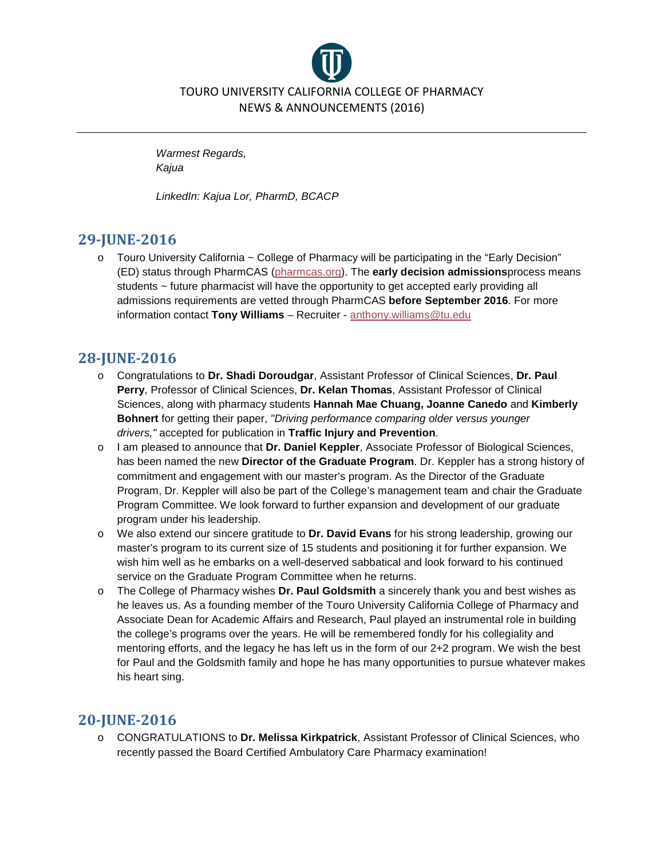

*Warmest Regards, Kajua*

*LinkedIn: Kajua Lor, PharmD, BCACP*

# **29-JUNE-2016**

 $\circ$  Touro University California  $\sim$  College of Pharmacy will be participating in the "Early Decision" (ED) status through PharmCAS [\(pharmcas.org\)](http://www.pharmcas.org/). The **early decision admissions**process means students ~ future pharmacist will have the opportunity to get accepted early providing all admissions requirements are vetted through PharmCAS **before September 2016**. For more information contact **Tony Williams** – Recruiter - [anthony.williams@tu.edu](mailto:anthony.williams@tu.edu?subject=PharmCAS%20Early%20Decision)

# **28-JUNE-2016**

- o Congratulations to **Dr. Shadi Doroudgar**, Assistant Professor of Clinical Sciences, **Dr. Paul Perry**, Professor of Clinical Sciences, **Dr. Kelan Thomas**, Assistant Professor of Clinical Sciences, along with pharmacy students **Hannah Mae Chuang, Joanne Canedo** and **Kimberly Bohnert** for getting their paper, *"Driving performance comparing older versus younger drivers,"* accepted for publication in **Traffic Injury and Prevention**.
- o I am pleased to announce that **Dr. Daniel Keppler**, Associate Professor of Biological Sciences, has been named the new **Director of the Graduate Program**. Dr. Keppler has a strong history of commitment and engagement with our master's program. As the Director of the Graduate Program, Dr. Keppler will also be part of the College's management team and chair the Graduate Program Committee. We look forward to further expansion and development of our graduate program under his leadership.
- o We also extend our sincere gratitude to **Dr. David Evans** for his strong leadership, growing our master's program to its current size of 15 students and positioning it for further expansion. We wish him well as he embarks on a well-deserved sabbatical and look forward to his continued service on the Graduate Program Committee when he returns.
- o The College of Pharmacy wishes **Dr. Paul Goldsmith** a sincerely thank you and best wishes as he leaves us. As a founding member of the Touro University California College of Pharmacy and Associate Dean for Academic Affairs and Research, Paul played an instrumental role in building the college's programs over the years. He will be remembered fondly for his collegiality and mentoring efforts, and the legacy he has left us in the form of our 2+2 program. We wish the best for Paul and the Goldsmith family and hope he has many opportunities to pursue whatever makes his heart sing.

# **20-JUNE-2016**

o CONGRATULATIONS to **Dr. Melissa Kirkpatrick**, Assistant Professor of Clinical Sciences, who recently passed the Board Certified Ambulatory Care Pharmacy examination!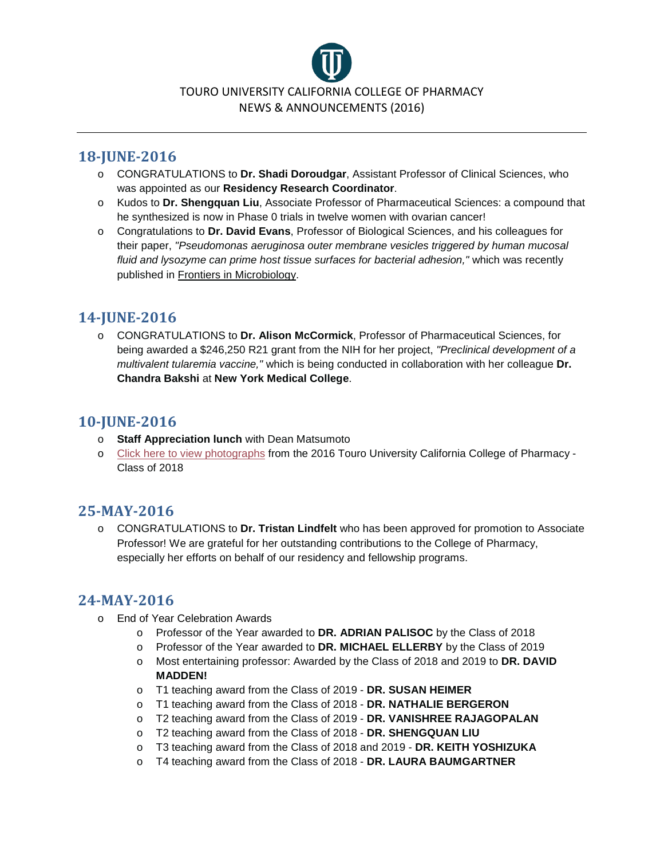

### **18-JUNE-2016**

- o CONGRATULATIONS to **Dr. Shadi Doroudgar**, Assistant Professor of Clinical Sciences, who was appointed as our **Residency Research Coordinator**.
- o Kudos to **Dr. Shengquan Liu**, Associate Professor of Pharmaceutical Sciences: a compound that he synthesized is now in Phase 0 trials in twelve women with ovarian cancer!
- o Congratulations to **Dr. David Evans**, Professor of Biological Sciences, and his colleagues for their paper, *"Pseudomonas aeruginosa outer membrane vesicles triggered by human mucosal fluid and lysozyme can prime host tissue surfaces for bacterial adhesion,"* which was recently published in Frontiers in Microbiology.

# **14-JUNE-2016**

o CONGRATULATIONS to **Dr. Alison McCormick**, Professor of Pharmaceutical Sciences, for being awarded a \$246,250 R21 grant from the NIH for her project, *"Preclinical development of a multivalent tularemia vaccine,"* which is being conducted in collaboration with her colleague **Dr. Chandra Bakshi** at **New York Medical College**.

## **10-JUNE-2016**

- o **Staff Appreciation lunch** with Dean Matsumoto
- o [Click here to view photographs](https://www.facebook.com/media/set/?set=a.236696310045851.1073741830.100011164517023&type=3) from the 2016 Touro University California College of Pharmacy Class of 2018

### **25-MAY-2016**

o CONGRATULATIONS to **Dr. Tristan Lindfelt** who has been approved for promotion to Associate Professor! We are grateful for her outstanding contributions to the College of Pharmacy, especially her efforts on behalf of our residency and fellowship programs.

### **24-MAY-2016**

- o End of Year Celebration Awards
	- o Professor of the Year awarded to **DR. ADRIAN PALISOC** by the Class of 2018
	- o Professor of the Year awarded to **DR. MICHAEL ELLERBY** by the Class of 2019
	- o Most entertaining professor: Awarded by the Class of 2018 and 2019 to **DR. DAVID MADDEN!**
	- o T1 teaching award from the Class of 2019 **DR. SUSAN HEIMER**
	- o T1 teaching award from the Class of 2018 **DR. NATHALIE BERGERON**
	- o T2 teaching award from the Class of 2019 **DR. VANISHREE RAJAGOPALAN**
	- o T2 teaching award from the Class of 2018 **DR. SHENGQUAN LIU**
	- o T3 teaching award from the Class of 2018 and 2019 **DR. KEITH YOSHIZUKA**
	- o T4 teaching award from the Class of 2018 **DR. LAURA BAUMGARTNER**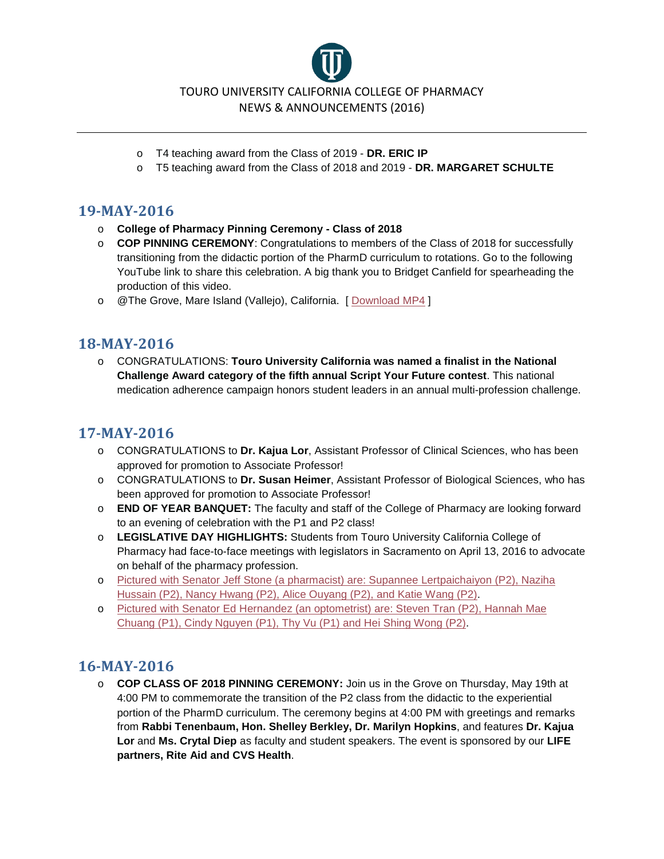TOURO UNIVERSITY CALIFORNIA COLLEGE OF PHARMACY NEWS & ANNOUNCEMENTS (2016)

- o T4 teaching award from the Class of 2019 **DR. ERIC IP**
- o T5 teaching award from the Class of 2018 and 2019 **DR. MARGARET SCHULTE**

#### **19-MAY-2016**

- o **College of Pharmacy Pinning Ceremony - Class of 2018**
- o **COP PINNING CEREMONY**: Congratulations to members of the Class of 2018 for successfully transitioning from the didactic portion of the PharmD curriculum to rotations. Go to the following YouTube link to share this celebration. A big thank you to Bridget Canfield for spearheading the production of this video.
- o @The Grove, Mare Island (Vallejo), California. [ [Download MP4](http://www.200pockets.com/mp4_audio/05_19_2016_TouroCOP_PinningCeremony.mp4) ]

### **18-MAY-2016**

o CONGRATULATIONS: **Touro University California was named a finalist in the National Challenge Award category of the fifth annual Script Your Future contest**. This national medication adherence campaign honors student leaders in an annual multi-profession challenge.

# **17-MAY-2016**

- o CONGRATULATIONS to **Dr. Kajua Lor**, Assistant Professor of Clinical Sciences, who has been approved for promotion to Associate Professor!
- o CONGRATULATIONS to **Dr. Susan Heimer**, Assistant Professor of Biological Sciences, who has been approved for promotion to Associate Professor!
- o **END OF YEAR BANQUET:** The faculty and staff of the College of Pharmacy are looking forward to an evening of celebration with the P1 and P2 class!
- o **LEGISLATIVE DAY HIGHLIGHTS:** Students from Touro University California College of Pharmacy had face-to-face meetings with legislators in Sacramento on April 13, 2016 to advocate on behalf of the pharmacy profession.
- o [Pictured with Senator Jeff Stone \(a pharmacist\) are: Supannee Lertpaichaiyon \(P2\), Naziha](https://www.facebook.com/permalink.php?story_fbid=223356501379832&id=100011164517023)  [Hussain \(P2\), Nancy Hwang \(P2\), Alice Ouyang \(P2\), and Katie Wang \(P2\).](https://www.facebook.com/permalink.php?story_fbid=223356501379832&id=100011164517023)
- o [Pictured with Senator Ed Hernandez \(an optometrist\) are: Steven Tran \(P2\), Hannah Mae](https://www.facebook.com/permalink.php?story_fbid=223355254713290&id=100011164517023)  [Chuang \(P1\), Cindy Nguyen \(P1\), Thy Vu \(P1\) and Hei Shing Wong \(P2\).](https://www.facebook.com/permalink.php?story_fbid=223355254713290&id=100011164517023)

### **16-MAY-2016**

o **COP CLASS OF 2018 PINNING CEREMONY:** Join us in the Grove on Thursday, May 19th at 4:00 PM to commemorate the transition of the P2 class from the didactic to the experiential portion of the PharmD curriculum. The ceremony begins at 4:00 PM with greetings and remarks from **Rabbi Tenenbaum, Hon. Shelley Berkley, Dr. Marilyn Hopkins**, and features **Dr. Kajua Lor** and **Ms. Crytal Diep** as faculty and student speakers. The event is sponsored by our **LIFE partners, Rite Aid and CVS Health**.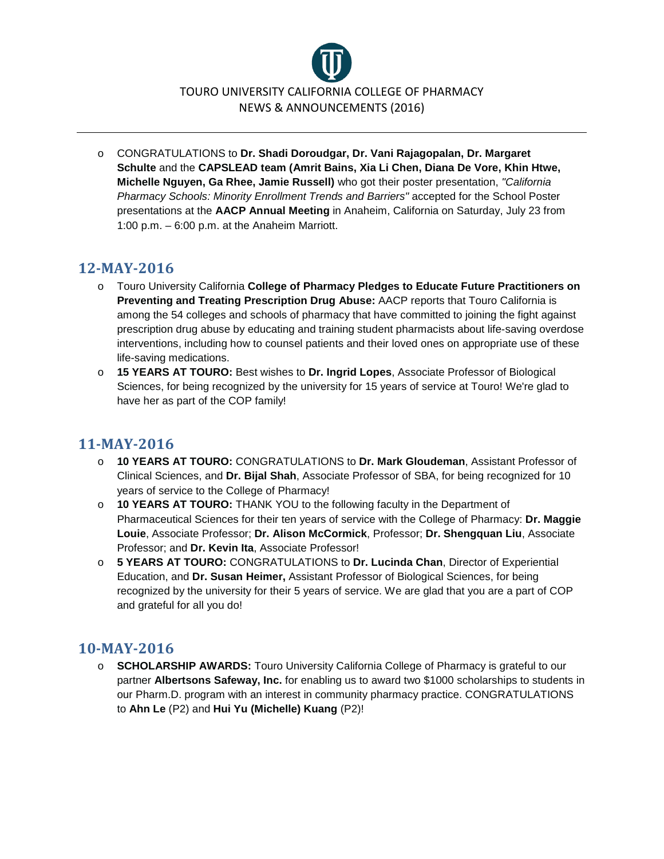

o CONGRATULATIONS to **Dr. Shadi Doroudgar, Dr. Vani Rajagopalan, Dr. Margaret Schulte** and the **CAPSLEAD team (Amrit Bains, Xia Li Chen, Diana De Vore, Khin Htwe, Michelle Nguyen, Ga Rhee, Jamie Russell)** who got their poster presentation, *"California Pharmacy Schools: Minority Enrollment Trends and Barriers"* accepted for the School Poster presentations at the **AACP Annual Meeting** in Anaheim, California on Saturday, July 23 from 1:00 p.m. – 6:00 p.m. at the Anaheim Marriott.

#### **12-MAY-2016**

- o Touro University California **College of Pharmacy Pledges to Educate Future Practitioners on Preventing and Treating Prescription Drug Abuse:** AACP reports that Touro California is among the 54 colleges and schools of pharmacy that have committed to joining the fight against prescription drug abuse by educating and training student pharmacists about life-saving overdose interventions, including how to counsel patients and their loved ones on appropriate use of these life-saving medications.
- o **15 YEARS AT TOURO:** Best wishes to **Dr. Ingrid Lopes**, Associate Professor of Biological Sciences, for being recognized by the university for 15 years of service at Touro! We're glad to have her as part of the COP family!

#### **11-MAY-2016**

- o **10 YEARS AT TOURO:** CONGRATULATIONS to **Dr. Mark Gloudeman**, Assistant Professor of Clinical Sciences, and **Dr. Bijal Shah**, Associate Professor of SBA, for being recognized for 10 years of service to the College of Pharmacy!
- o **10 YEARS AT TOURO:** THANK YOU to the following faculty in the Department of Pharmaceutical Sciences for their ten years of service with the College of Pharmacy: **Dr. Maggie Louie**, Associate Professor; **Dr. Alison McCormick**, Professor; **Dr. Shengquan Liu**, Associate Professor; and **Dr. Kevin Ita**, Associate Professor!
- o **5 YEARS AT TOURO:** CONGRATULATIONS to **Dr. Lucinda Chan**, Director of Experiential Education, and **Dr. Susan Heimer,** Assistant Professor of Biological Sciences, for being recognized by the university for their 5 years of service. We are glad that you are a part of COP and grateful for all you do!

### **10-MAY-2016**

o **SCHOLARSHIP AWARDS:** Touro University California College of Pharmacy is grateful to our partner **Albertsons Safeway, Inc.** for enabling us to award two \$1000 scholarships to students in our Pharm.D. program with an interest in community pharmacy practice. CONGRATULATIONS to **Ahn Le** (P2) and **Hui Yu (Michelle) Kuang** (P2)!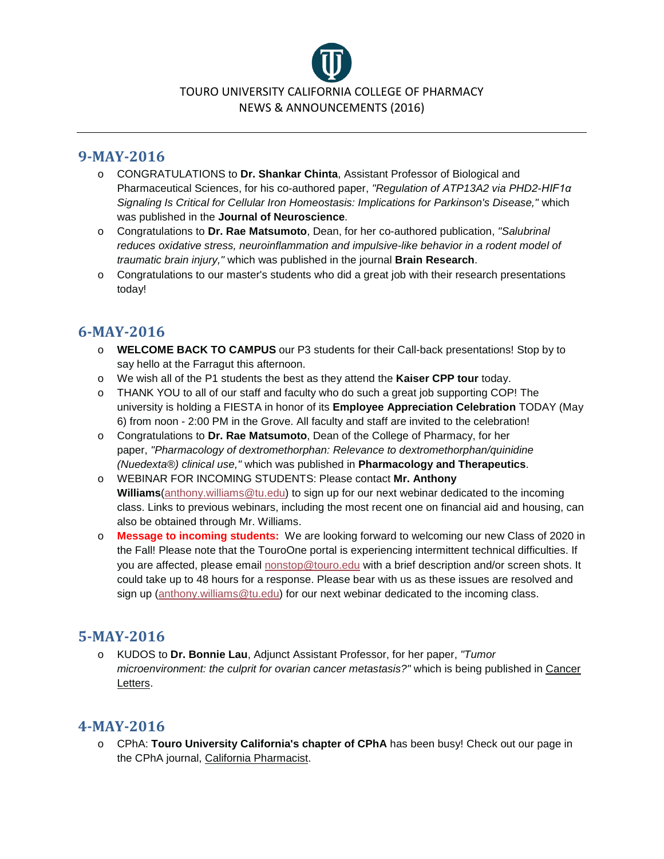

#### **9-MAY-2016**

- o CONGRATULATIONS to **Dr. Shankar Chinta**, Assistant Professor of Biological and Pharmaceutical Sciences, for his co-authored paper, *"Regulation of ATP13A2 via PHD2-HIF1α Signaling Is Critical for Cellular Iron Homeostasis: Implications for Parkinson's Disease,"* which was published in the **Journal of Neuroscience**.
- o Congratulations to **Dr. Rae Matsumoto**, Dean, for her co-authored publication, *"Salubrinal reduces oxidative stress, neuroinflammation and impulsive-like behavior in a rodent model of traumatic brain injury,"* which was published in the journal **Brain Research**.
- o Congratulations to our master's students who did a great job with their research presentations today!

### **6-MAY-2016**

- o **WELCOME BACK TO CAMPUS** our P3 students for their Call-back presentations! Stop by to say hello at the Farragut this afternoon.
- o We wish all of the P1 students the best as they attend the **Kaiser CPP tour** today.
- o THANK YOU to all of our staff and faculty who do such a great job supporting COP! The university is holding a FIESTA in honor of its **Employee Appreciation Celebration** TODAY (May 6) from noon - 2:00 PM in the Grove. All faculty and staff are invited to the celebration!
- o Congratulations to **Dr. Rae Matsumoto**, Dean of the College of Pharmacy, for her paper, *"Pharmacology of dextromethorphan: Relevance to dextromethorphan/quinidine (Nuedexta®) clinical use,"* which was published in **Pharmacology and Therapeutics**.
- o WEBINAR FOR INCOMING STUDENTS: Please contact **Mr. Anthony Williams**[\(anthony.williams@tu.edu\)](mailto:anthony.williams@tu.edu) to sign up for our next webinar dedicated to the incoming class. Links to previous webinars, including the most recent one on financial aid and housing, can also be obtained through Mr. Williams.
- o **Message to incoming students:** We are looking forward to welcoming our new Class of 2020 in the Fall! Please note that the TouroOne portal is experiencing intermittent technical difficulties. If you are affected, please email [nonstop@touro.edu](https://exchange.tu.edu/owa/redir.aspx?SURL=aJLlgPO7RlLpdgWwN2nN1zVR_2pHiZoj8Qh5mxO3Kac8Y99d9XXTCG0AYQBpAGwAdABvADoAbgBvAG4AcwB0AG8AcABAAHQAbwB1AHIAbwAuAGUAZAB1AA..&URL=mailto%3anonstop%40touro.edu) with a brief description and/or screen shots. It could take up to 48 hours for a response. Please bear with us as these issues are resolved and sign up [\(anthony.williams@tu.edu\)](mailto:anthony.williams@tu.edu?subject=Incoming%20class%20webinar) for our next webinar dedicated to the incoming class.

# **5-MAY-2016**

o KUDOS to **Dr. Bonnie Lau**, Adjunct Assistant Professor, for her paper, *"Tumor microenvironment: the culprit for ovarian cancer metastasis?"* which is being published in Cancer Letters.

### **4-MAY-2016**

o CPhA: **Touro University California's chapter of CPhA** has been busy! Check out our page in the CPhA journal, California Pharmacist.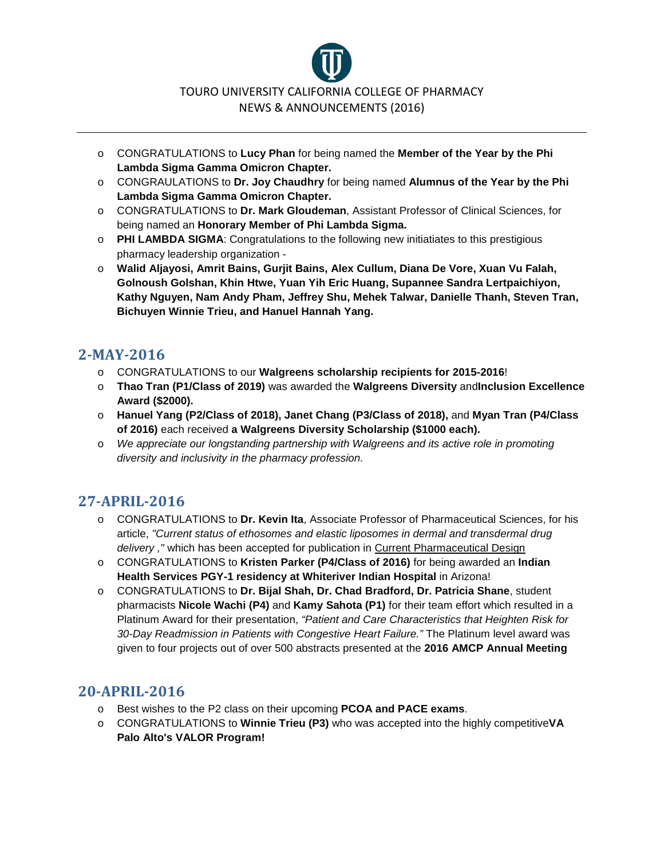

- o CONGRATULATIONS to **Lucy Phan** for being named the **Member of the Year by the Phi Lambda Sigma Gamma Omicron Chapter.**
- o CONGRAULATIONS to **Dr. Joy Chaudhry** for being named **Alumnus of the Year by the Phi Lambda Sigma Gamma Omicron Chapter.**
- o CONGRATULATIONS to **Dr. Mark Gloudeman**, Assistant Professor of Clinical Sciences, for being named an **Honorary Member of Phi Lambda Sigma.**
- o **PHI LAMBDA SIGMA**: Congratulations to the following new initiatiates to this prestigious pharmacy leadership organization -
- o **Walid Aljayosi, Amrit Bains, Gurjit Bains, Alex Cullum, Diana De Vore, Xuan Vu Falah, Golnoush Golshan, Khin Htwe, Yuan Yih Eric Huang, Supannee Sandra Lertpaichiyon, Kathy Nguyen, Nam Andy Pham, Jeffrey Shu, Mehek Talwar, Danielle Thanh, Steven Tran, Bichuyen Winnie Trieu, and Hanuel Hannah Yang.**

### **2-MAY-2016**

- o CONGRATULATIONS to our **Walgreens scholarship recipients for 2015-2016**!
- o **Thao Tran (P1/Class of 2019)** was awarded the **Walgreens Diversity** and**Inclusion Excellence Award (\$2000).**
- o **Hanuel Yang (P2/Class of 2018), Janet Chang (P3/Class of 2018),** and **Myan Tran (P4/Class of 2016)** each received **a Walgreens Diversity Scholarship (\$1000 each).**
- o *We appreciate our longstanding partnership with Walgreens and its active role in promoting diversity and inclusivity in the pharmacy profession.*

# **27-APRIL-2016**

- o CONGRATULATIONS to **Dr. Kevin Ita**, Associate Professor of Pharmaceutical Sciences, for his article, *"Current status of ethosomes and elastic liposomes in dermal and transdermal drug delivery ,"* which has been accepted for publication in Current Pharmaceutical Design
- o CONGRATULATIONS to **Kristen Parker (P4/Class of 2016)** for being awarded an **Indian Health Services PGY-1 residency at Whiteriver Indian Hospital** in Arizona!
- o CONGRATULATIONS to **Dr. Bijal Shah, Dr. Chad Bradford, Dr. Patricia Shane**, student pharmacists **Nicole Wachi (P4)** and **Kamy Sahota (P1)** for their team effort which resulted in a Platinum Award for their presentation, *"Patient and Care Characteristics that Heighten Risk for 30-Day Readmission in Patients with Congestive Heart Failure."* The Platinum level award was given to four projects out of over 500 abstracts presented at the **2016 AMCP Annual Meeting**

- o Best wishes to the P2 class on their upcoming **PCOA and PACE exams**.
- o CONGRATULATIONS to **Winnie Trieu (P3)** who was accepted into the highly competitive**VA Palo Alto's VALOR Program!**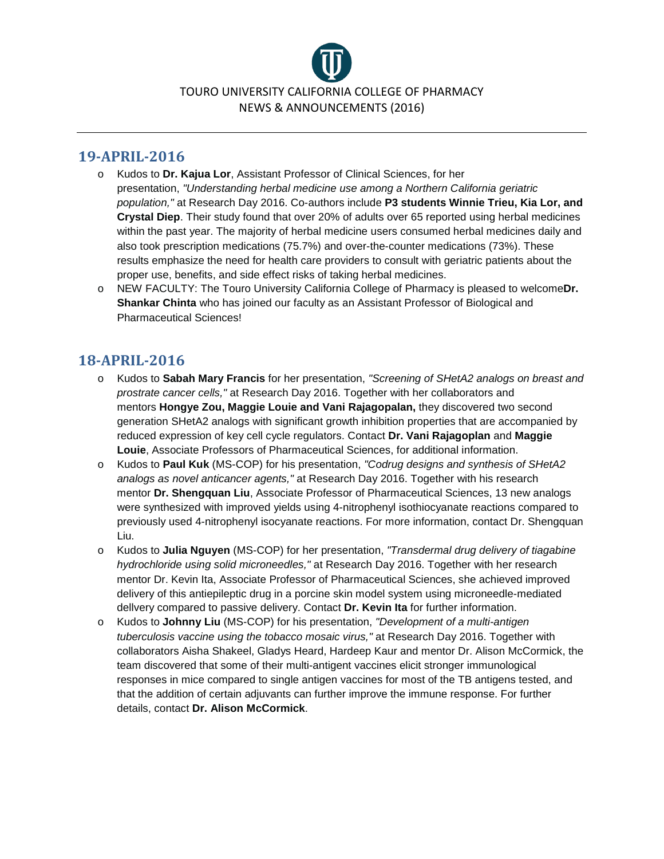

#### **19-APRIL-2016**

- o Kudos to **Dr. Kajua Lor**, Assistant Professor of Clinical Sciences, for her presentation, *"Understanding herbal medicine use among a Northern California geriatric population,"* at Research Day 2016. Co-authors include **P3 students Winnie Trieu, Kia Lor, and Crystal Diep**. Their study found that over 20% of adults over 65 reported using herbal medicines within the past year. The majority of herbal medicine users consumed herbal medicines daily and also took prescription medications (75.7%) and over-the-counter medications (73%). These results emphasize the need for health care providers to consult with geriatric patients about the proper use, benefits, and side effect risks of taking herbal medicines.
- o NEW FACULTY: The Touro University California College of Pharmacy is pleased to welcome**Dr. Shankar Chinta** who has joined our faculty as an Assistant Professor of Biological and Pharmaceutical Sciences!

- o Kudos to **Sabah Mary Francis** for her presentation, *"Screening of SHetA2 analogs on breast and prostrate cancer cells,"* at Research Day 2016. Together with her collaborators and mentors **Hongye Zou, Maggie Louie and Vani Rajagopalan,** they discovered two second generation SHetA2 analogs with significant growth inhibition properties that are accompanied by reduced expression of key cell cycle regulators. Contact **Dr. Vani Rajagoplan** and **Maggie Louie**, Associate Professors of Pharmaceutical Sciences, for additional information.
- o Kudos to **Paul Kuk** (MS-COP) for his presentation, *"Codrug designs and synthesis of SHetA2 analogs as novel anticancer agents,"* at Research Day 2016. Together with his research mentor **Dr. Shengquan Liu**, Associate Professor of Pharmaceutical Sciences, 13 new analogs were synthesized with improved yields using 4-nitrophenyl isothiocyanate reactions compared to previously used 4-nitrophenyl isocyanate reactions. For more information, contact Dr. Shengquan Liu.
- o Kudos to **Julia Nguyen** (MS-COP) for her presentation, *"Transdermal drug delivery of tiagabine hydrochloride using solid microneedles,"* at Research Day 2016. Together with her research mentor Dr. Kevin Ita, Associate Professor of Pharmaceutical Sciences, she achieved improved delivery of this antiepileptic drug in a porcine skin model system using microneedle-mediated dellvery compared to passive delivery. Contact **Dr. Kevin Ita** for further information.
- o Kudos to **Johnny Liu** (MS-COP) for his presentation, *"Development of a multi-antigen tuberculosis vaccine using the tobacco mosaic virus,"* at Research Day 2016. Together with collaborators Aisha Shakeel, Gladys Heard, Hardeep Kaur and mentor Dr. Alison McCormick, the team discovered that some of their multi-antigent vaccines elicit stronger immunological responses in mice compared to single antigen vaccines for most of the TB antigens tested, and that the addition of certain adjuvants can further improve the immune response. For further details, contact **Dr. Alison McCormick**.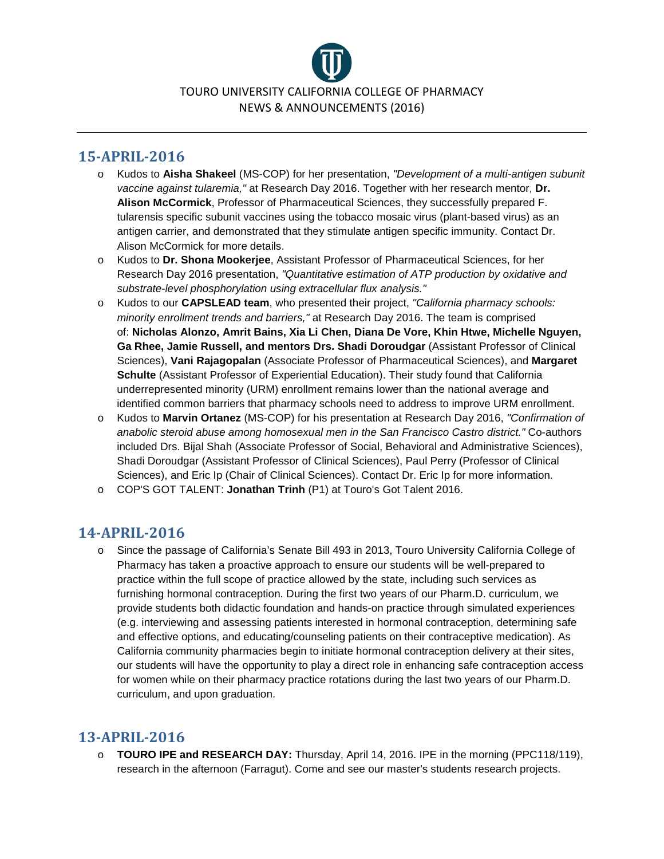

## **15-APRIL-2016**

- o Kudos to **Aisha Shakeel** (MS-COP) for her presentation, *"Development of a multi-antigen subunit vaccine against tularemia,"* at Research Day 2016. Together with her research mentor, **Dr. Alison McCormick**, Professor of Pharmaceutical Sciences, they successfully prepared F. tularensis specific subunit vaccines using the tobacco mosaic virus (plant-based virus) as an antigen carrier, and demonstrated that they stimulate antigen specific immunity. Contact Dr. Alison McCormick for more details.
- o Kudos to **Dr. Shona Mookerjee**, Assistant Professor of Pharmaceutical Sciences, for her Research Day 2016 presentation, *"Quantitative estimation of ATP production by oxidative and substrate-level phosphorylation using extracellular flux analysis."*
- o Kudos to our **CAPSLEAD team**, who presented their project, *"California pharmacy schools: minority enrollment trends and barriers,"* at Research Day 2016. The team is comprised of: **Nicholas Alonzo, Amrit Bains, Xia Li Chen, Diana De Vore, Khin Htwe, Michelle Nguyen, Ga Rhee, Jamie Russell, and mentors Drs. Shadi Doroudgar** (Assistant Professor of Clinical Sciences), **Vani Rajagopalan** (Associate Professor of Pharmaceutical Sciences), and **Margaret Schulte** (Assistant Professor of Experiential Education). Their study found that California underrepresented minority (URM) enrollment remains lower than the national average and identified common barriers that pharmacy schools need to address to improve URM enrollment.
- o Kudos to **Marvin Ortanez** (MS-COP) for his presentation at Research Day 2016, *"Confirmation of anabolic steroid abuse among homosexual men in the San Francisco Castro district."* Co-authors included Drs. Bijal Shah (Associate Professor of Social, Behavioral and Administrative Sciences), Shadi Doroudgar (Assistant Professor of Clinical Sciences), Paul Perry (Professor of Clinical Sciences), and Eric Ip (Chair of Clinical Sciences). Contact Dr. Eric Ip for more information.
- o COP'S GOT TALENT: **Jonathan Trinh** (P1) at Touro's Got Talent 2016.

### **14-APRIL-2016**

o Since the passage of California's Senate Bill 493 in 2013, Touro University California College of Pharmacy has taken a proactive approach to ensure our students will be well-prepared to practice within the full scope of practice allowed by the state, including such services as furnishing hormonal contraception. During the first two years of our Pharm.D. curriculum, we provide students both didactic foundation and hands-on practice through simulated experiences (e.g. interviewing and assessing patients interested in hormonal contraception, determining safe and effective options, and educating/counseling patients on their contraceptive medication). As California community pharmacies begin to initiate hormonal contraception delivery at their sites, our students will have the opportunity to play a direct role in enhancing safe contraception access for women while on their pharmacy practice rotations during the last two years of our Pharm.D. curriculum, and upon graduation.

### **13-APRIL-2016**

o **TOURO IPE and RESEARCH DAY:** Thursday, April 14, 2016. IPE in the morning (PPC118/119), research in the afternoon (Farragut). Come and see our master's students research projects.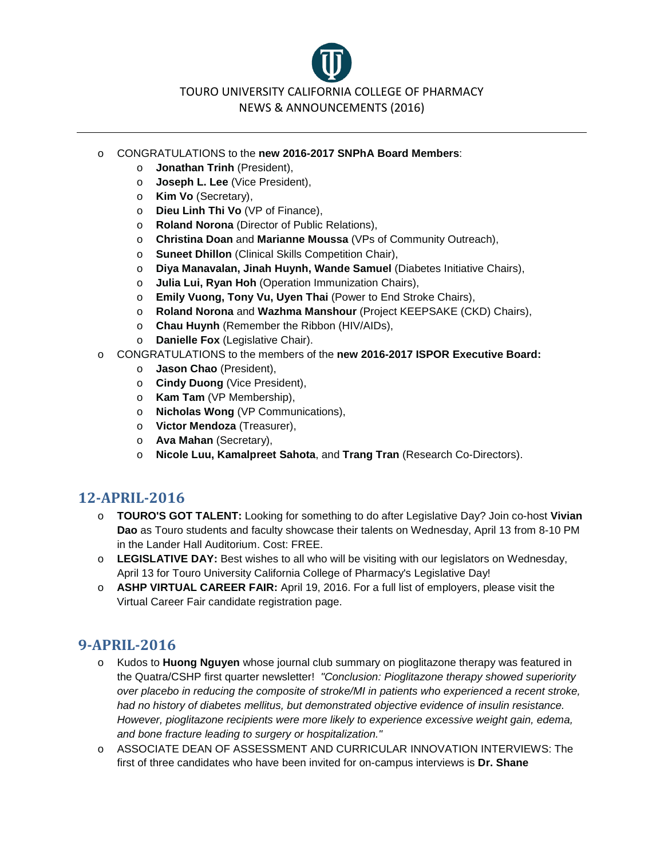TOURO UNIVERSITY CALIFORNIA COLLEGE OF PHARMACY NEWS & ANNOUNCEMENTS (2016)

#### o CONGRATULATIONS to the **new 2016-2017 SNPhA Board Members**:

- o **Jonathan Trinh** (President),
- o **Joseph L. Lee** (Vice President),
- o **Kim Vo** (Secretary),
- o **Dieu Linh Thi Vo** (VP of Finance),
- o **Roland Norona** (Director of Public Relations),
- o **Christina Doan** and **Marianne Moussa** (VPs of Community Outreach),
- o **Suneet Dhillon** (Clinical Skills Competition Chair),
- o **Diya Manavalan, Jinah Huynh, Wande Samuel** (Diabetes Initiative Chairs),
- o **Julia Lui, Ryan Hoh** (Operation Immunization Chairs),
- o **Emily Vuong, Tony Vu, Uyen Thai** (Power to End Stroke Chairs),
- o **Roland Norona** and **Wazhma Manshour** (Project KEEPSAKE (CKD) Chairs),
- o **Chau Huynh** (Remember the Ribbon (HIV/AIDs),
- o **Danielle Fox** (Legislative Chair).
- o CONGRATULATIONS to the members of the **new 2016-2017 ISPOR Executive Board:**
	- o **Jason Chao** (President),
	- o **Cindy Duong** (Vice President),
	- o **Kam Tam** (VP Membership),
	- o **Nicholas Wong** (VP Communications),
	- o **Victor Mendoza** (Treasurer),
	- o **Ava Mahan** (Secretary),
	- o **Nicole Luu, Kamalpreet Sahota**, and **Trang Tran** (Research Co-Directors).

#### **12-APRIL-2016**

- o **TOURO'S GOT TALENT:** Looking for something to do after Legislative Day? Join co-host **Vivian Dao** as Touro students and faculty showcase their talents on Wednesday, April 13 from 8-10 PM in the Lander Hall Auditorium. Cost: FREE.
- o **LEGISLATIVE DAY:** Best wishes to all who will be visiting with our legislators on Wednesday, April 13 for Touro University California College of Pharmacy's Legislative Day!
- o **ASHP VIRTUAL CAREER FAIR:** April 19, 2016. For a full list of employers, please visit the Virtual Career Fair candidate registration page.

- o Kudos to **Huong Nguyen** whose journal club summary on pioglitazone therapy was featured in the Quatra/CSHP first quarter newsletter! *"Conclusion: Pioglitazone therapy showed superiority over placebo in reducing the composite of stroke/MI in patients who experienced a recent stroke, had no history of diabetes mellitus, but demonstrated objective evidence of insulin resistance. However, pioglitazone recipients were more likely to experience excessive weight gain, edema, and bone fracture leading to surgery or hospitalization."*
- o ASSOCIATE DEAN OF ASSESSMENT AND CURRICULAR INNOVATION INTERVIEWS: The first of three candidates who have been invited for on-campus interviews is **Dr. Shane**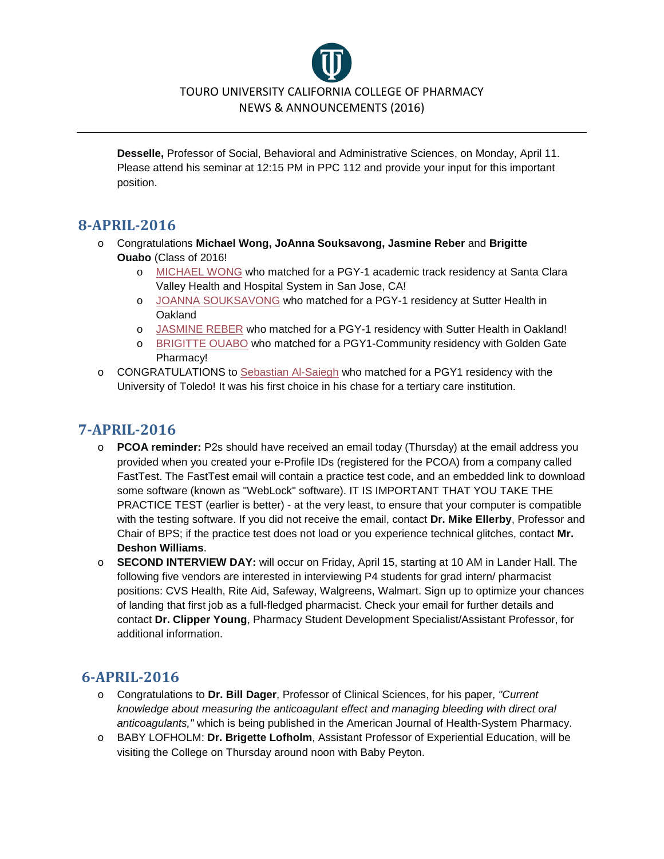

**Desselle,** Professor of Social, Behavioral and Administrative Sciences, on Monday, April 11. Please attend his seminar at 12:15 PM in PPC 112 and provide your input for this important position.

### **8-APRIL-2016**

- o Congratulations **Michael Wong, JoAnna Souksavong, Jasmine Reber** and **Brigitte Ouabo** (Class of 2016!
	- o [MICHAEL WONG](https://www.facebook.com/permalink.php?story_fbid=200298397018976&id=100011164517023) who matched for a PGY-1 academic track residency at Santa Clara Valley Health and Hospital System in San Jose, CA!
	- o [JOANNA SOUKSAVONG](https://www.facebook.com/permalink.php?story_fbid=200297493685733&id=100011164517023) who matched for a PGY-1 residency at Sutter Health in **Oakland**
	- o [JASMINE REBER](https://www.facebook.com/permalink.php?story_fbid=200295630352586&id=100011164517023) who matched for a PGY-1 residency with Sutter Health in Oakland!
	- o [BRIGITTE OUABO](https://www.facebook.com/permalink.php?story_fbid=200293500352799&id=100011164517023) who matched for a PGY1-Community residency with Golden Gate Pharmacy!
- o CONGRATULATIONS to [Sebastian Al-Saiegh](https://www.facebook.com/permalink.php?story_fbid=200291560352993&id=100011164517023) who matched for a PGY1 residency with the University of Toledo! It was his first choice in his chase for a tertiary care institution.

### **7-APRIL-2016**

- o **PCOA reminder:** P2s should have received an email today (Thursday) at the email address you provided when you created your e-Profile IDs (registered for the PCOA) from a company called FastTest. The FastTest email will contain a practice test code, and an embedded link to download some software (known as "WebLock" software). IT IS IMPORTANT THAT YOU TAKE THE PRACTICE TEST (earlier is better) - at the very least, to ensure that your computer is compatible with the testing software. If you did not receive the email, contact **Dr. Mike Ellerby**, Professor and Chair of BPS; if the practice test does not load or you experience technical glitches, contact **Mr. Deshon Williams**.
- o **SECOND INTERVIEW DAY:** will occur on Friday, April 15, starting at 10 AM in Lander Hall. The following five vendors are interested in interviewing P4 students for grad intern/ pharmacist positions: CVS Health, Rite Aid, Safeway, Walgreens, Walmart. Sign up to optimize your chances of landing that first job as a full-fledged pharmacist. Check your email for further details and contact **Dr. Clipper Young**, Pharmacy Student Development Specialist/Assistant Professor, for additional information.

- o Congratulations to **Dr. Bill Dager**, Professor of Clinical Sciences, for his paper, *"Current knowledge about measuring the anticoagulant effect and managing bleeding with direct oral anticoagulants,"* which is being published in the American Journal of Health-System Pharmacy.
- o BABY LOFHOLM: **Dr. Brigette Lofholm**, Assistant Professor of Experiential Education, will be visiting the College on Thursday around noon with Baby Peyton.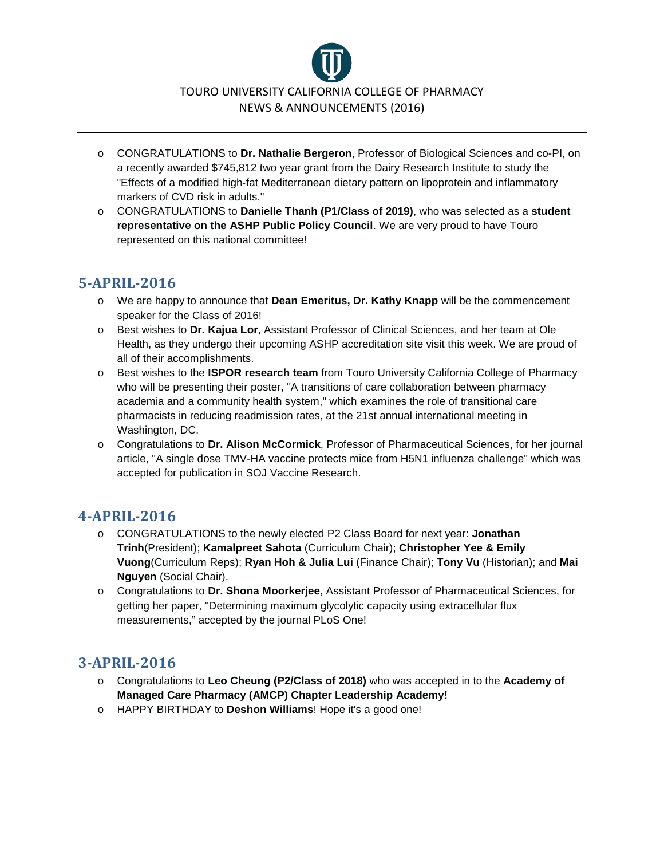

- o CONGRATULATIONS to **Dr. Nathalie Bergeron**, Professor of Biological Sciences and co-PI, on a recently awarded \$745,812 two year grant from the Dairy Research Institute to study the "Effects of a modified high‐fat Mediterranean dietary pattern on lipoprotein and inflammatory markers of CVD risk in adults."
- o CONGRATULATIONS to **Danielle Thanh (P1/Class of 2019)**, who was selected as a **student representative on the ASHP Public Policy Council**. We are very proud to have Touro represented on this national committee!

#### **5-APRIL-2016**

- o We are happy to announce that **Dean Emeritus, Dr. Kathy Knapp** will be the commencement speaker for the Class of 2016!
- o Best wishes to **Dr. Kajua Lor**, Assistant Professor of Clinical Sciences, and her team at Ole Health, as they undergo their upcoming ASHP accreditation site visit this week. We are proud of all of their accomplishments.
- o Best wishes to the **ISPOR research team** from Touro University California College of Pharmacy who will be presenting their poster, "A transitions of care collaboration between pharmacy academia and a community health system," which examines the role of transitional care pharmacists in reducing readmission rates, at the 21st annual international meeting in Washington, DC.
- o Congratulations to **Dr. Alison McCormick**, Professor of Pharmaceutical Sciences, for her journal article, "A single dose TMV-HA vaccine protects mice from H5N1 influenza challenge" which was accepted for publication in SOJ Vaccine Research.

### **4-APRIL-2016**

- o CONGRATULATIONS to the newly elected P2 Class Board for next year: **Jonathan Trinh**(President); **Kamalpreet Sahota** (Curriculum Chair); **Christopher Yee & Emily Vuong**(Curriculum Reps); **Ryan Hoh & Julia Lui** (Finance Chair); **Tony Vu** (Historian); and **Mai Nguyen** (Social Chair).
- o Congratulations to **Dr. Shona Moorkerjee**, Assistant Professor of Pharmaceutical Sciences, for getting her paper, "Determining maximum glycolytic capacity using extracellular flux measurements," accepted by the journal PLoS One!

- o Congratulations to **Leo Cheung (P2/Class of 2018)** who was accepted in to the **Academy of Managed Care Pharmacy (AMCP) Chapter Leadership Academy!**
- o HAPPY BIRTHDAY to **Deshon Williams**! Hope it's a good one!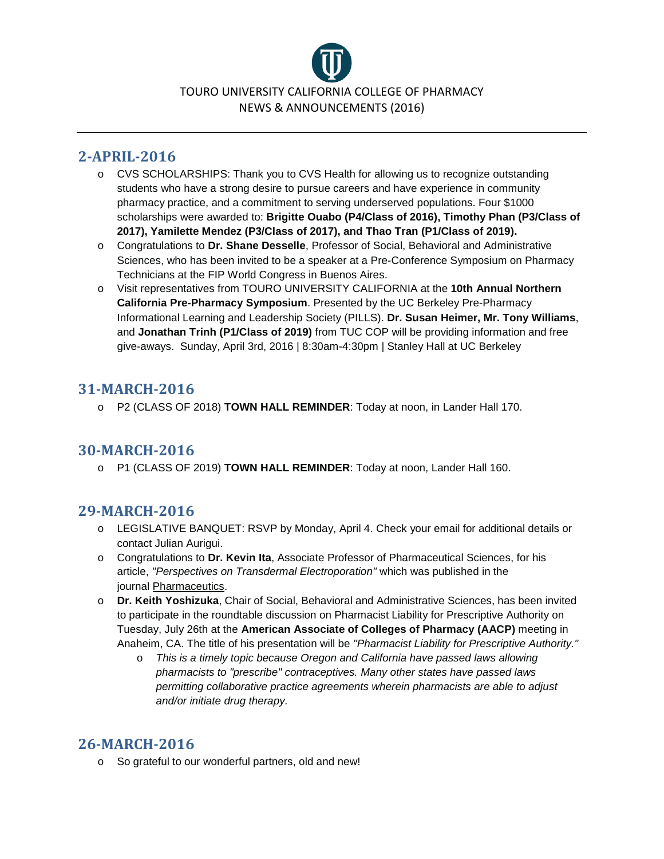

# **2-APRIL-2016**

- o CVS SCHOLARSHIPS: Thank you to CVS Health for allowing us to recognize outstanding students who have a strong desire to pursue careers and have experience in community pharmacy practice, and a commitment to serving underserved populations. Four \$1000 scholarships were awarded to: **Brigitte Ouabo (P4/Class of 2016), Timothy Phan (P3/Class of 2017), Yamilette Mendez (P3/Class of 2017), and Thao Tran (P1/Class of 2019).**
- o Congratulations to **Dr. Shane Desselle**, Professor of Social, Behavioral and Administrative Sciences, who has been invited to be a speaker at a Pre-Conference Symposium on Pharmacy Technicians at the FIP World Congress in Buenos Aires.
- o Visit representatives from TOURO UNIVERSITY CALIFORNIA at the **10th Annual Northern California Pre-Pharmacy Symposium**. Presented by the UC Berkeley Pre-Pharmacy Informational Learning and Leadership Society (PILLS). **Dr. Susan Heimer, Mr. Tony Williams**, and **Jonathan Trinh (P1/Class of 2019)** from TUC COP will be providing information and free give-aways. Sunday, April 3rd, 2016 | 8:30am-4:30pm | Stanley Hall at UC Berkeley

# **31-MARCH-2016**

o P2 (CLASS OF 2018) **TOWN HALL REMINDER**: Today at noon, in Lander Hall 170.

#### **30-MARCH-2016**

o P1 (CLASS OF 2019) **TOWN HALL REMINDER**: Today at noon, Lander Hall 160.

#### **29-MARCH-2016**

- o LEGISLATIVE BANQUET: RSVP by Monday, April 4. Check your email for additional details or contact Julian Aurigui.
- o Congratulations to **Dr. Kevin Ita**, Associate Professor of Pharmaceutical Sciences, for his article, *"Perspectives on Transdermal Electroporation"* which was published in the journal Pharmaceutics.
- o **Dr. Keith Yoshizuka**, Chair of Social, Behavioral and Administrative Sciences, has been invited to participate in the roundtable discussion on Pharmacist Liability for Prescriptive Authority on Tuesday, July 26th at the **American Associate of Colleges of Pharmacy (AACP)** meeting in Anaheim, CA. The title of his presentation will be *"Pharmacist Liability for Prescriptive Authority."*
	- o *This is a timely topic because Oregon and California have passed laws allowing pharmacists to "prescribe" contraceptives. Many other states have passed laws permitting collaborative practice agreements wherein pharmacists are able to adjust and/or initiate drug therapy.*

### **26-MARCH-2016**

o So grateful to our wonderful partners, old and new!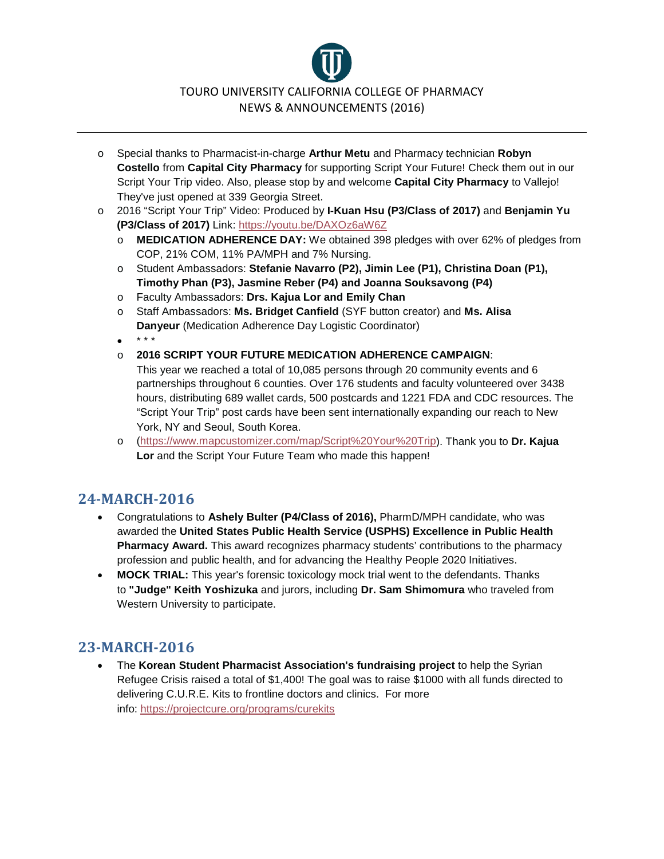# TOURO UNIVERSITY CALIFORNIA COLLEGE OF PHARMACY NEWS & ANNOUNCEMENTS (2016)

- o Special thanks to Pharmacist-in-charge **Arthur Metu** and Pharmacy technician **Robyn Costello** from **Capital City Pharmacy** for supporting Script Your Future! Check them out in our Script Your Trip video. Also, please stop by and welcome **Capital City Pharmacy** to Vallejo! They've just opened at 339 Georgia Street.
- o 2016 "Script Your Trip" Video: Produced by **I-Kuan Hsu (P3/Class of 2017)** and **Benjamin Yu (P3/Class of 2017)** Link: <https://youtu.be/DAXOz6aW6Z>
	- o **MEDICATION ADHERENCE DAY:** We obtained 398 pledges with over 62% of pledges from COP, 21% COM, 11% PA/MPH and 7% Nursing.
	- o Student Ambassadors: **Stefanie Navarro (P2), Jimin Lee (P1), Christina Doan (P1), Timothy Phan (P3), Jasmine Reber (P4) and Joanna Souksavong (P4)**
	- o Faculty Ambassadors: **Drs. Kajua Lor and Emily Chan**
	- o Staff Ambassadors: **Ms. Bridget Canfield** (SYF button creator) and **Ms. Alisa Danyeur** (Medication Adherence Day Logistic Coordinator)
	- $\bullet$  \* \* \*
	- o **2016 SCRIPT YOUR FUTURE MEDICATION ADHERENCE CAMPAIGN**:
	- This year we reached a total of 10,085 persons through 20 community events and 6 partnerships throughout 6 counties. Over 176 students and faculty volunteered over 3438 hours, distributing 689 wallet cards, 500 postcards and 1221 FDA and CDC resources. The "Script Your Trip" post cards have been sent internationally expanding our reach to New York, NY and Seoul, South Korea.
	- o [\(https://www.mapcustomizer.com/map/Script%20Your%20Trip\)](https://www.facebook.com/l.php?u=https%3A%2F%2Fwww.mapcustomizer.com%2Fmap%2FScript%2520Your%2520Trip&h=FAQHu3mbiAQEf7RtbhyRaSoTRMmzGNXicilxKYBLd0AJ0-A&enc=AZPZ1LCo6sAOB8_f6UWcpF_yahy-DNib2xCvH-71kvbN204Gpobvc83C1ZmbVope6jYF1Qly6TtmOfQs_xoHU_2HaakK_UmUdh-zK1kkGSs0Tt5qCsxgZdDlY83K--WoKexABrmH-GCF0odTqhbSeFkMv-6RkjQpG62thxvRklTH7ZPtDu353O8YI9Dt0-DssDtuAS_3RPYuHgZ1SJ-KnGa5&s=1). Thank you to **Dr. Kajua Lor** and the Script Your Future Team who made this happen!

#### **24-MARCH-2016**

- Congratulations to **Ashely Bulter (P4/Class of 2016),** PharmD/MPH candidate, who was awarded the **United States Public Health Service (USPHS) Excellence in Public Health Pharmacy Award.** This award recognizes pharmacy students' contributions to the pharmacy profession and public health, and for advancing the Healthy People 2020 Initiatives.
- **MOCK TRIAL:** This year's forensic toxicology mock trial went to the defendants. Thanks to **"Judge" Keith Yoshizuka** and jurors, including **Dr. Sam Shimomura** who traveled from Western University to participate.

### **23-MARCH-2016**

• The **Korean Student Pharmacist Association's fundraising project** to help the Syrian Refugee Crisis raised a total of \$1,400! The goal was to raise \$1000 with all funds directed to delivering C.U.R.E. Kits to frontline doctors and clinics. For more info: [https://projectcure.org/programs/curekits](https://www.facebook.com/l.php?u=https%3A%2F%2Fprojectcure.org%2Fprograms%2Fcurekits&h=QAQHUjpyWAQEB8CKT-TIegEC4siZ6mnGU5EhYlCiqxkY3Aw&enc=AZOvNl_TvCX6lX3jHBaSmn7WB09_lyDMnKq7i9edBtlzl1EeFk8z4oUu9sRPsklgFlYYGYNBwiMkW99Y8u9FZE_yZG5SeNwU355hpuluaNtJFgM0oblLDFB-9agaCdW9nrLr2H1ZJ4NQd38OUaeRIF6kmJUaitRf-_8wUNgQHzcWrXVrrtlxZq3xCaUSBsx0VyuAJQtt2aURs1QojJyqi2kN&s=1)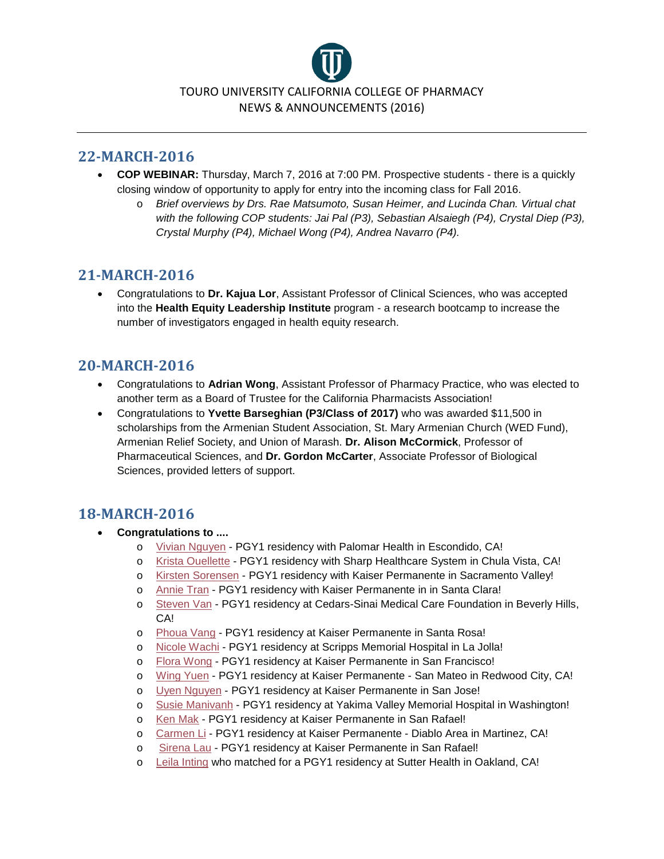

- **COP WEBINAR:** Thursday, March 7, 2016 at 7:00 PM. Prospective students there is a quickly closing window of opportunity to apply for entry into the incoming class for Fall 2016.
	- o *Brief overviews by Drs. Rae Matsumoto, Susan Heimer, and Lucinda Chan. Virtual chat with the following COP students: Jai Pal (P3), Sebastian Alsaiegh (P4), Crystal Diep (P3), Crystal Murphy (P4), Michael Wong (P4), Andrea Navarro (P4).*

### **21-MARCH-2016**

• Congratulations to **Dr. Kajua Lor**, Assistant Professor of Clinical Sciences, who was accepted into the **Health Equity Leadership Institute** program - a research bootcamp to increase the number of investigators engaged in health equity research.

### **20-MARCH-2016**

- Congratulations to **Adrian Wong**, Assistant Professor of Pharmacy Practice, who was elected to another term as a Board of Trustee for the California Pharmacists Association!
- Congratulations to **Yvette Barseghian (P3/Class of 2017)** who was awarded \$11,500 in scholarships from the Armenian Student Association, St. Mary Armenian Church (WED Fund), Armenian Relief Society, and Union of Marash. **Dr. Alison McCormick**, Professor of Pharmaceutical Sciences, and **Dr. Gordon McCarter**, Associate Professor of Biological Sciences, provided letters of support.

### **18-MARCH-2016**

- **Congratulations to ....**
	- o [Vivian Nguyen](https://www.facebook.com/permalink.php?story_fbid=182081008840715&id=100011164517023) PGY1 residency with Palomar Health in Escondido, CA!
	- o [Krista Ouellette](https://www.facebook.com/permalink.php?story_fbid=182080852174064&id=100011164517023) PGY1 residency with Sharp Healthcare System in Chula Vista, CA!
	- o [Kirsten Sorensen](https://www.facebook.com/permalink.php?story_fbid=182079795507503&id=100011164517023) PGY1 residency with Kaiser Permanente in Sacramento Valley!
	- o [Annie Tran](https://www.facebook.com/permalink.php?story_fbid=182079355507547&id=100011164517023) PGY1 residency with Kaiser Permanente in in Santa Clara!
	- o [Steven Van](https://www.facebook.com/permalink.php?story_fbid=182078465507636&id=100011164517023) PGY1 residency at Cedars-Sinai Medical Care Foundation in Beverly Hills, CA!
	- o [Phoua Vang](https://www.facebook.com/permalink.php?story_fbid=182077955507687&id=100011164517023) PGY1 residency at Kaiser Permanente in Santa Rosa!
	- o [Nicole Wachi](https://www.facebook.com/permalink.php?story_fbid=182076265507856&id=100011164517023) PGY1 residency at Scripps Memorial Hospital in La Jolla!
	- o [Flora Wong](https://www.facebook.com/permalink.php?story_fbid=182054865509996&id=100011164517023) PGY1 residency at Kaiser Permanente in San Francisco!
	- o [Wing Yuen](https://www.facebook.com/permalink.php?story_fbid=182054008843415&id=100011164517023) PGY1 residency at Kaiser Permanente San Mateo in Redwood City, CA!
	- o [Uyen Nguyen](https://www.facebook.com/permalink.php?story_fbid=182053422176807&id=100011164517023) PGY1 residency at Kaiser Permanente in San Jose!
	- o [Susie Manivanh](https://www.facebook.com/permalink.php?story_fbid=182052655510217&id=100011164517023) PGY1 residency at Yakima Valley Memorial Hospital in Washington!
	- o [Ken Mak](https://www.facebook.com/permalink.php?story_fbid=182051105510372&id=100011164517023) PGY1 residency at Kaiser Permanente in San Rafael!
	- o [Carmen Li](https://www.facebook.com/permalink.php?story_fbid=182048612177288&id=100011164517023) PGY1 residency at Kaiser Permanente Diablo Area in Martinez, CA!
	- o [Sirena Lau](https://www.facebook.com/permalink.php?story_fbid=182048172177332&id=100011164517023) PGY1 residency at Kaiser Permanente in San Rafael!
	- o [Leila Inting](https://www.facebook.com/permalink.php?story_fbid=182047208844095&id=100011164517023) who matched for a PGY1 residency at Sutter Health in Oakland, CA!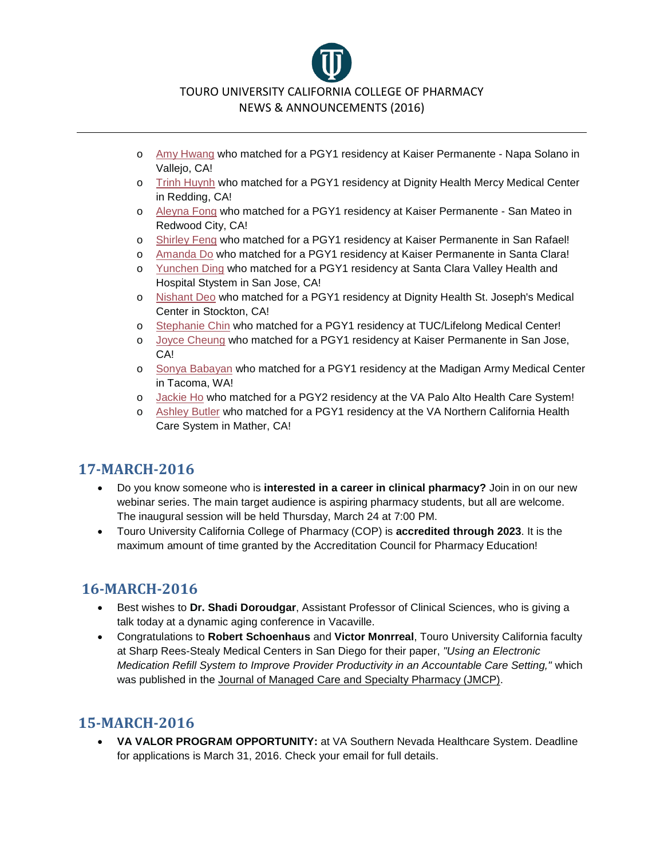

- o [Amy Hwang](https://www.facebook.com/permalink.php?story_fbid=182045928844223&id=100011164517023) who matched for a PGY1 residency at Kaiser Permanente Napa Solano in Vallejo, CA!
- o [Trinh Huynh](https://www.facebook.com/permalink.php?story_fbid=182044938844322&id=100011164517023) who matched for a PGY1 residency at Dignity Health Mercy Medical Center in Redding, CA!
- o [Aleyna Fong](https://www.facebook.com/permalink.php?story_fbid=182044068844409&id=100011164517023) who matched for a PGY1 residency at Kaiser Permanente San Mateo in Redwood City, CA!
- o [Shirley Feng](https://www.facebook.com/permalink.php?story_fbid=182042105511272&id=100011164517023) who matched for a PGY1 residency at Kaiser Permanente in San Rafael!
- o [Amanda Do](https://www.facebook.com/permalink.php?story_fbid=182041258844690&id=100011164517023) who matched for a PGY1 residency at Kaiser Permanente in Santa Clara!
- o [Yunchen Ding](https://www.facebook.com/permalink.php?story_fbid=182040005511482&id=100011164517023) who matched for a PGY1 residency at Santa Clara Valley Health and Hospital Stystem in San Jose, CA!
- o [Nishant Deo](https://www.facebook.com/permalink.php?story_fbid=182039348844881&id=100011164517023) who matched for a PGY1 residency at Dignity Health St. Joseph's Medical Center in Stockton, CA!
- o [Stephanie Chin](https://www.facebook.com/permalink.php?story_fbid=182038762178273&id=100011164517023) who matched for a PGY1 residency at TUC/Lifelong Medical Center!
- o [Joyce Cheung](https://www.facebook.com/permalink.php?story_fbid=182038198844996&id=100011164517023) who matched for a PGY1 residency at Kaiser Permanente in San Jose, CA!
- o [Sonya Babayan](https://www.facebook.com/permalink.php?story_fbid=182037918845024&id=100011164517023) who matched for a PGY1 residency at the Madigan Army Medical Center in Tacoma, WA!
- o [Jackie Ho](https://www.facebook.com/permalink.php?story_fbid=182036315511851&id=100011164517023) who matched for a PGY2 residency at the VA Palo Alto Health Care System!
- o [Ashley Butler](https://www.facebook.com/permalink.php?story_fbid=182035218845294&id=100011164517023) who matched for a PGY1 residency at the VA Northern California Health Care System in Mather, CA!

- Do you know someone who is **interested in a career in clinical pharmacy?** Join in on our new webinar series. The main target audience is aspiring pharmacy students, but all are welcome. The inaugural session will be held Thursday, March 24 at 7:00 PM.
- Touro University California College of Pharmacy (COP) is **accredited through 2023**. It is the maximum amount of time granted by the Accreditation Council for Pharmacy Education!

# **16-MARCH-2016**

- Best wishes to **Dr. Shadi Doroudgar**, Assistant Professor of Clinical Sciences, who is giving a talk today at a dynamic aging conference in Vacaville.
- Congratulations to **Robert Schoenhaus** and **Victor Monrreal**, Touro University California faculty at Sharp Rees-Stealy Medical Centers in San Diego for their paper, *"Using an Electronic Medication Refill System to Improve Provider Productivity in an Accountable Care Setting,"* which was published in the Journal of Managed Care and Specialty Pharmacy (JMCP).

### **15-MARCH-2016**

• **VA VALOR PROGRAM OPPORTUNITY:** at VA Southern Nevada Healthcare System. Deadline for applications is March 31, 2016. Check your email for full details.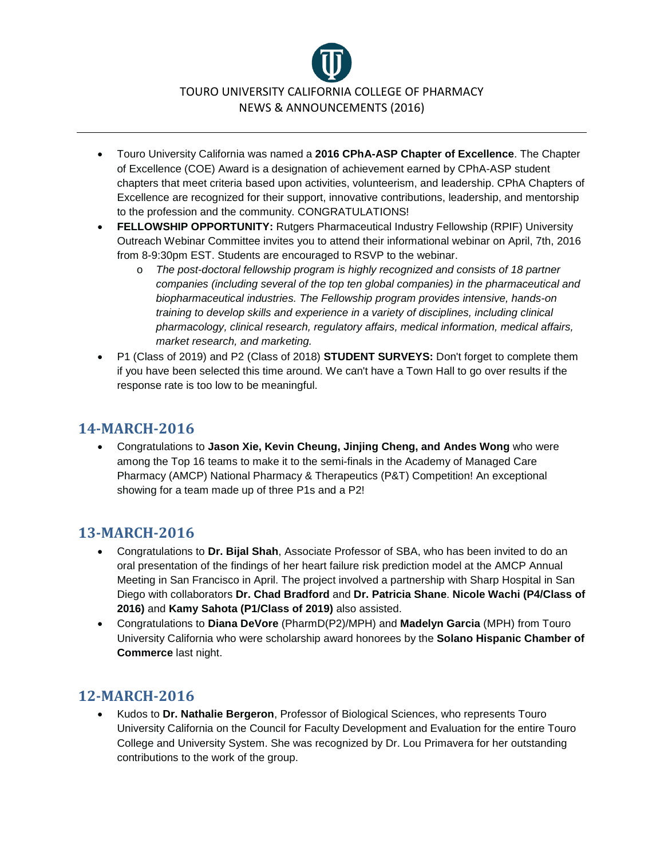

- Touro University California was named a **2016 CPhA-ASP Chapter of Excellence**. The Chapter of Excellence (COE) Award is a designation of achievement earned by CPhA-ASP student chapters that meet criteria based upon activities, volunteerism, and leadership. CPhA Chapters of Excellence are recognized for their support, innovative contributions, leadership, and mentorship to the profession and the community. CONGRATULATIONS!
- **FELLOWSHIP OPPORTUNITY:** Rutgers Pharmaceutical Industry Fellowship (RPIF) University Outreach Webinar Committee invites you to attend their informational webinar on April, 7th, 2016 from 8-9:30pm EST. Students are encouraged to RSVP to the webinar.
	- o *The post-doctoral fellowship program is highly recognized and consists of 18 partner companies (including several of the top ten global companies) in the pharmaceutical and biopharmaceutical industries. The Fellowship program provides intensive, hands-on training to develop skills and experience in a variety of disciplines, including clinical pharmacology, clinical research, regulatory affairs, medical information, medical affairs, market research, and marketing.*
- P1 (Class of 2019) and P2 (Class of 2018) **STUDENT SURVEYS:** Don't forget to complete them if you have been selected this time around. We can't have a Town Hall to go over results if the response rate is too low to be meaningful.

• Congratulations to **Jason Xie, Kevin Cheung, Jinjing Cheng, and Andes Wong** who were among the Top 16 teams to make it to the semi-finals in the Academy of Managed Care Pharmacy (AMCP) National Pharmacy & Therapeutics (P&T) Competition! An exceptional showing for a team made up of three P1s and a P2!

#### **13-MARCH-2016**

- Congratulations to **Dr. Bijal Shah**, Associate Professor of SBA, who has been invited to do an oral presentation of the findings of her heart failure risk prediction model at the AMCP Annual Meeting in San Francisco in April. The project involved a partnership with Sharp Hospital in San Diego with collaborators **Dr. Chad Bradford** and **Dr. Patricia Shane**. **Nicole Wachi (P4/Class of 2016)** and **Kamy Sahota (P1/Class of 2019)** also assisted.
- Congratulations to **Diana DeVore** (PharmD(P2)/MPH) and **Madelyn Garcia** (MPH) from Touro University California who were scholarship award honorees by the **Solano Hispanic Chamber of Commerce** last night.

### **12-MARCH-2016**

• Kudos to **Dr. Nathalie Bergeron**, Professor of Biological Sciences, who represents Touro University California on the Council for Faculty Development and Evaluation for the entire Touro College and University System. She was recognized by Dr. Lou Primavera for her outstanding contributions to the work of the group.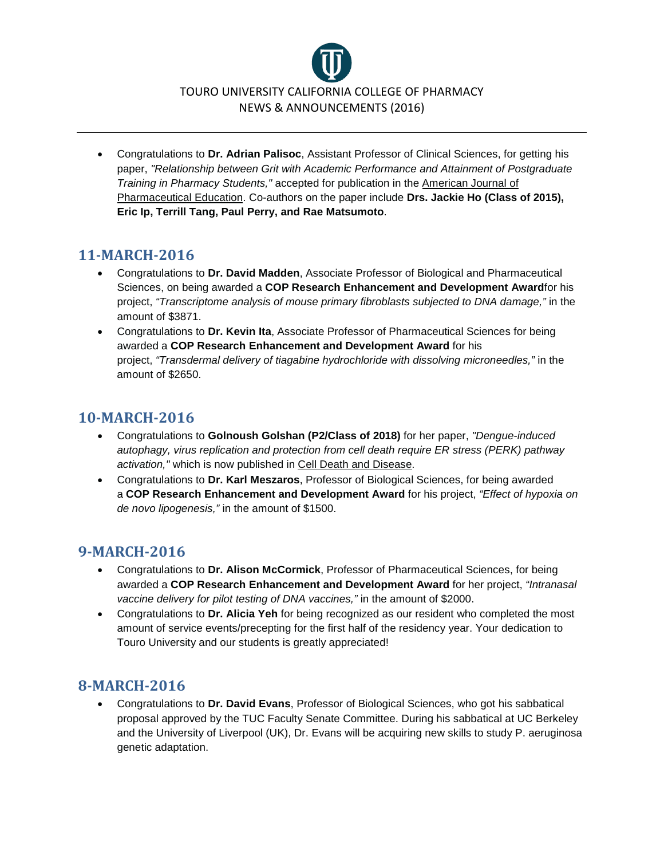

• Congratulations to **Dr. Adrian Palisoc**, Assistant Professor of Clinical Sciences, for getting his paper, *"Relationship between Grit with Academic Performance and Attainment of Postgraduate Training in Pharmacy Students,"* accepted for publication in the American Journal of Pharmaceutical Education. Co-authors on the paper include **Drs. Jackie Ho (Class of 2015), Eric Ip, Terrill Tang, Paul Perry, and Rae Matsumoto**.

# **11-MARCH-2016**

- Congratulations to **Dr. David Madden**, Associate Professor of Biological and Pharmaceutical Sciences, on being awarded a **COP Research Enhancement and Development Award**for his project, *"Transcriptome analysis of mouse primary fibroblasts subjected to DNA damage,"* in the amount of \$3871.
- Congratulations to **Dr. Kevin Ita**, Associate Professor of Pharmaceutical Sciences for being awarded a **COP Research Enhancement and Development Award** for his project, *"Transdermal delivery of tiagabine hydrochloride with dissolving microneedles,"* in the amount of \$2650.

### **10-MARCH-2016**

- Congratulations to **Golnoush Golshan (P2/Class of 2018)** for her paper, *"Dengue-induced autophagy, virus replication and protection from cell death require ER stress (PERK) pathway activation,"* which is now published in Cell Death and Disease.
- Congratulations to **Dr. Karl Meszaros**, Professor of Biological Sciences, for being awarded a **COP Research Enhancement and Development Award** for his project, *"Effect of hypoxia on de novo lipogenesis,"* in the amount of \$1500.

#### **9-MARCH-2016**

- Congratulations to **Dr. Alison McCormick**, Professor of Pharmaceutical Sciences, for being awarded a **COP Research Enhancement and Development Award** for her project, *"Intranasal vaccine delivery for pilot testing of DNA vaccines,"* in the amount of \$2000.
- Congratulations to **Dr. Alicia Yeh** for being recognized as our resident who completed the most amount of service events/precepting for the first half of the residency year. Your dedication to Touro University and our students is greatly appreciated!

### **8-MARCH-2016**

• Congratulations to **Dr. David Evans**, Professor of Biological Sciences, who got his sabbatical proposal approved by the TUC Faculty Senate Committee. During his sabbatical at UC Berkeley and the University of Liverpool (UK), Dr. Evans will be acquiring new skills to study P. aeruginosa genetic adaptation.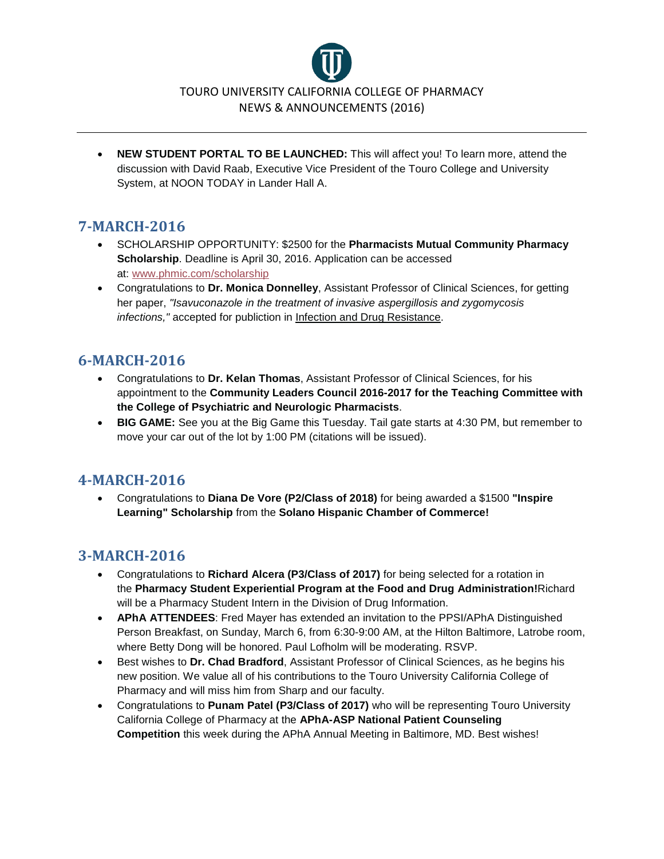

• **NEW STUDENT PORTAL TO BE LAUNCHED:** This will affect you! To learn more, attend the discussion with David Raab, Executive Vice President of the Touro College and University System, at NOON TODAY in Lander Hall A.

# **7-MARCH-2016**

- SCHOLARSHIP OPPORTUNITY: \$2500 for the **Pharmacists Mutual Community Pharmacy Scholarship**. Deadline is April 30, 2016. Application can be accessed at: [www.phmic.com/scholarship](http://l.facebook.com/l.php?u=http%3A%2F%2Fwww.phmic.com%2Fscholarship&h=6AQGsrtZQAQGZ6bLuB8-ojz0YEbLlBpIp3848vyn14CkuUA&enc=AZP7ld9_O173f5IWjs63t853Sz1Jb_vfKNrhqtSaOAxhwIKt_gqkZvWNJuQJMCBYAjdY6wBdQD0Rso1_AHIkpnHs5IIa5LqxwkAoQc4YMFQo9SxaBk3djBz5XNsuLxemK8rzqv0Vj8412VHokAbHjGfWsYbfC9Z2nEbSZtYAIypXI6W3p01pHGY8rq5rjjPgXVY3-MIT8-gl2Yoz_IwZszfp&s=1)
- Congratulations to **Dr. Monica Donnelley**, Assistant Professor of Clinical Sciences, for getting her paper, *"Isavuconazole in the treatment of invasive aspergillosis and zygomycosis infections,"* accepted for publiction in Infection and Drug Resistance.

# **6-MARCH-2016**

- Congratulations to **Dr. Kelan Thomas**, Assistant Professor of Clinical Sciences, for his appointment to the **Community Leaders Council 2016-2017 for the Teaching Committee with the College of Psychiatric and Neurologic Pharmacists**.
- **BIG GAME:** See you at the Big Game this Tuesday. Tail gate starts at 4:30 PM, but remember to move your car out of the lot by 1:00 PM (citations will be issued).

#### **4-MARCH-2016**

• Congratulations to **Diana De Vore (P2/Class of 2018)** for being awarded a \$1500 **"Inspire Learning" Scholarship** from the **Solano Hispanic Chamber of Commerce!**

### **3-MARCH-2016**

- Congratulations to **Richard Alcera (P3/Class of 2017)** for being selected for a rotation in the **Pharmacy Student Experiential Program at the Food and Drug Administration!**Richard will be a Pharmacy Student Intern in the Division of Drug Information.
- **APhA ATTENDEES**: Fred Mayer has extended an invitation to the PPSI/APhA Distinguished Person Breakfast, on Sunday, March 6, from 6:30-9:00 AM, at the Hilton Baltimore, Latrobe room, where Betty Dong will be honored. Paul Lofholm will be moderating. RSVP.
- Best wishes to **Dr. Chad Bradford**, Assistant Professor of Clinical Sciences, as he begins his new position. We value all of his contributions to the Touro University California College of Pharmacy and will miss him from Sharp and our faculty.
- Congratulations to **Punam Patel (P3/Class of 2017)** who will be representing Touro University California College of Pharmacy at the **APhA-ASP National Patient Counseling Competition** this week during the APhA Annual Meeting in Baltimore, MD. Best wishes!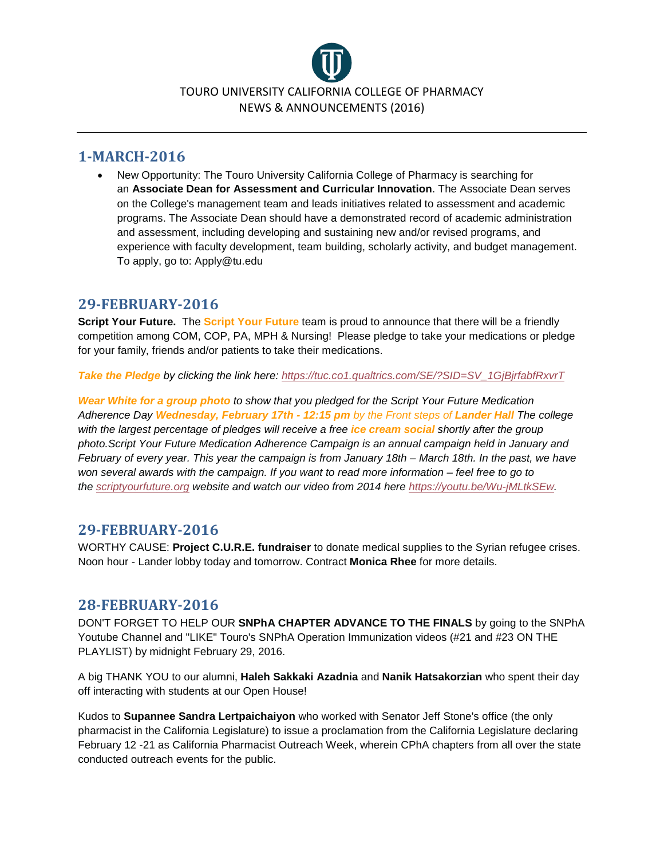

• New Opportunity: The Touro University California College of Pharmacy is searching for an **Associate Dean for Assessment and Curricular Innovation**. The Associate Dean serves on the College's management team and leads initiatives related to assessment and academic programs. The Associate Dean should have a demonstrated record of academic administration and assessment, including developing and sustaining new and/or revised programs, and experience with faculty development, team building, scholarly activity, and budget management. To apply, go to: Apply@tu.edu

#### **29-FEBRUARY-2016**

**Script Your Future.** The **Script Your Future** team is proud to announce that there will be a friendly competition among COM, COP, PA, MPH & Nursing! Please pledge to take your medications or pledge for your family, friends and/or patients to take their medications.

*Take the Pledge by clicking the link here: [https://tuc.co1.qualtrics.com/SE/?SID=SV\\_1GjBjrfabfRxvrT](https://exchange.tu.edu/owa/redir.aspx?SURL=NKhT3W-n7u6IvfQV3CWfAvJk30lEc8bUItD_brk44w4eHAShmTfTCGgAdAB0AHAAcwA6AC8ALwB0AHUAYwAuAGMAbwAxAC4AcQB1AGEAbAB0AHIAaQBjAHMALgBjAG8AbQAvAFMARQAvAD8AUwBJAEQAPQBTAFYAXwAxAEcAagBCAGoAcgBmAGEAYgBmAFIAeAB2AHIAVAA.&URL=https%3a%2f%2ftuc.co1.qualtrics.com%2fSE%2f%3fSID%3dSV_1GjBjrfabfRxvrT)*

*Wear White for a group photo to show that you pledged for the Script Your Future Medication Adherence Day Wednesday, February 17th - 12:15 pm by the Front steps of Lander Hall The college with the largest percentage of pledges will receive a free ice cream social shortly after the group photo.Script Your Future Medication Adherence Campaign is an annual campaign held in January and February of every year. This year the campaign is from January 18th – March 18th. In the past, we have won several awards with the campaign. If you want to read more information – feel free to go to the [scriptyourfuture.org](https://exchange.tu.edu/owa/redir.aspx?SURL=Y0gAEAnw_Gf2zwsZxJTNW4y1PvBzww0thd9uPESDI94eHAShmTfTCGgAdAB0AHAAOgAvAC8AcwBjAHIAaQBwAHQAeQBvAHUAcgBmAHUAdAB1AHIAZQAuAG8AcgBnAC8A&URL=http%3a%2f%2fscriptyourfuture.org%2f) website and watch our video from 2014 here [https://youtu.be/Wu-jMLtkSEw.](https://exchange.tu.edu/owa/redir.aspx?SURL=A5PZySCYodN2RN6DxeCJwVSkP1O7iIDevR86j7LO7LMeHAShmTfTCGgAdAB0AHAAcwA6AC8ALwB5AG8AdQB0AHUALgBiAGUALwBXAHUALQBqAE0ATAB0AGsAUwBFAHcA&URL=https%3a%2f%2fyoutu.be%2fWu-jMLtkSEw)*

### **29-FEBRUARY-2016**

WORTHY CAUSE: **Project C.U.R.E. fundraiser** to donate medical supplies to the Syrian refugee crises. Noon hour - Lander lobby today and tomorrow. Contract **Monica Rhee** for more details.

#### **28-FEBRUARY-2016**

DON'T FORGET TO HELP OUR **SNPhA CHAPTER ADVANCE TO THE FINALS** by going to the SNPhA Youtube Channel and "LIKE" Touro's SNPhA Operation Immunization videos (#21 and #23 ON THE PLAYLIST) by midnight February 29, 2016.

A big THANK YOU to our alumni, **Haleh Sakkaki Azadnia** and **Nanik Hatsakorzian** who spent their day off interacting with students at our Open House!

Kudos to **Supannee Sandra Lertpaichaiyon** who worked with Senator Jeff Stone's office (the only pharmacist in the California Legislature) to issue a proclamation from the California Legislature declaring February 12 -21 as California Pharmacist Outreach Week, wherein CPhA chapters from all over the state conducted outreach events for the public.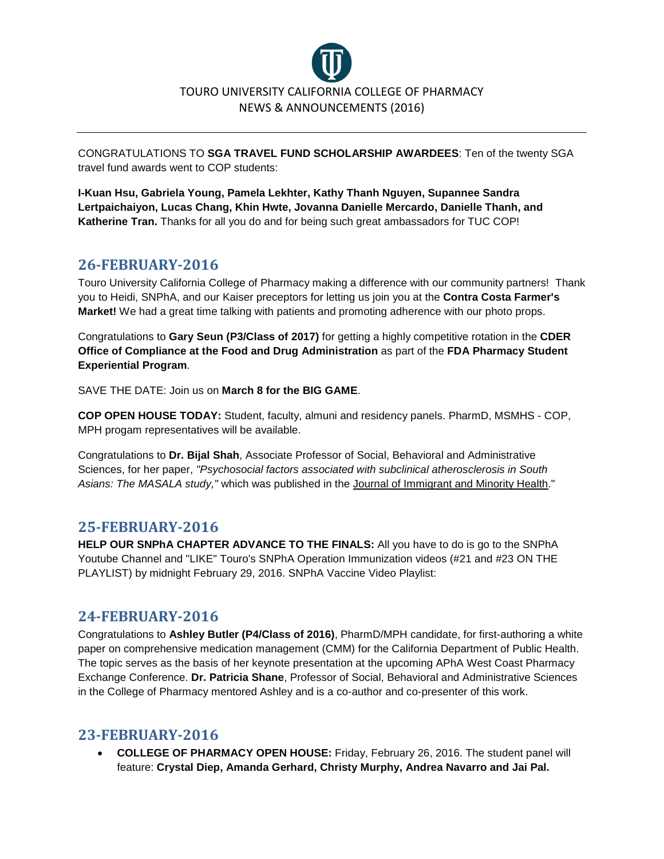

CONGRATULATIONS TO **SGA TRAVEL FUND SCHOLARSHIP AWARDEES**: Ten of the twenty SGA travel fund awards went to COP students:

**I-Kuan Hsu, Gabriela Young, Pamela Lekhter, Kathy Thanh Nguyen, Supannee Sandra Lertpaichaiyon, Lucas Chang, Khin Hwte, Jovanna Danielle Mercardo, Danielle Thanh, and Katherine Tran.** Thanks for all you do and for being such great ambassadors for TUC COP!

#### **26-FEBRUARY-2016**

Touro University California College of Pharmacy making a difference with our community partners! Thank you to Heidi, SNPhA, and our Kaiser preceptors for letting us join you at the **Contra Costa Farmer's Market!** We had a great time talking with patients and promoting adherence with our photo props.

Congratulations to **Gary Seun (P3/Class of 2017)** for getting a highly competitive rotation in the **CDER Office of Compliance at the Food and Drug Administration** as part of the **FDA Pharmacy Student Experiential Program**.

SAVE THE DATE: Join us on **March 8 for the BIG GAME**.

**COP OPEN HOUSE TODAY:** Student, faculty, almuni and residency panels. PharmD, MSMHS - COP, MPH progam representatives will be available.

Congratulations to **Dr. Bijal Shah**, Associate Professor of Social, Behavioral and Administrative Sciences, for her paper, *"Psychosocial factors associated with subclinical atherosclerosis in South Asians: The MASALA study,"* which was published in the Journal of Immigrant and Minority Health."

#### **25-FEBRUARY-2016**

**HELP OUR SNPhA CHAPTER ADVANCE TO THE FINALS:** All you have to do is go to the SNPhA Youtube Channel and "LIKE" Touro's SNPhA Operation Immunization videos (#21 and #23 ON THE PLAYLIST) by midnight February 29, 2016. SNPhA Vaccine Video Playlist:

#### **24-FEBRUARY-2016**

Congratulations to **Ashley Butler (P4/Class of 2016)**, PharmD/MPH candidate, for first-authoring a white paper on comprehensive medication management (CMM) for the California Department of Public Health. The topic serves as the basis of her keynote presentation at the upcoming APhA West Coast Pharmacy Exchange Conference. **Dr. Patricia Shane**, Professor of Social, Behavioral and Administrative Sciences in the College of Pharmacy mentored Ashley and is a co-author and co-presenter of this work.

#### **23-FEBRUARY-2016**

• **COLLEGE OF PHARMACY OPEN HOUSE:** Friday, February 26, 2016. The student panel will feature: **Crystal Diep, Amanda Gerhard, Christy Murphy, Andrea Navarro and Jai Pal.**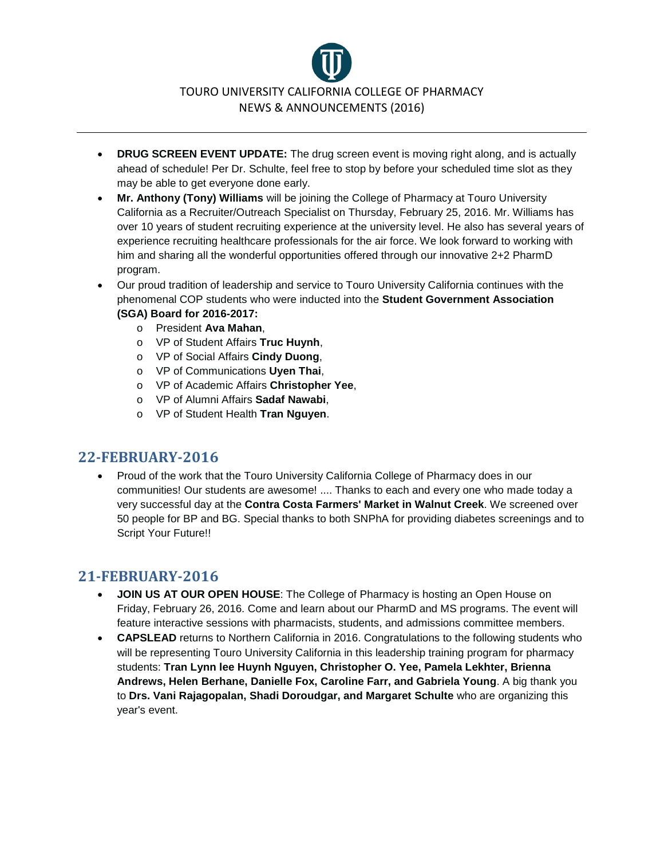

- **DRUG SCREEN EVENT UPDATE:** The drug screen event is moving right along, and is actually ahead of schedule! Per Dr. Schulte, feel free to stop by before your scheduled time slot as they may be able to get everyone done early.
- **Mr. Anthony (Tony) Williams** will be joining the College of Pharmacy at Touro University California as a Recruiter/Outreach Specialist on Thursday, February 25, 2016. Mr. Williams has over 10 years of student recruiting experience at the university level. He also has several years of experience recruiting healthcare professionals for the air force. We look forward to working with him and sharing all the wonderful opportunities offered through our innovative 2+2 PharmD program.
- Our proud tradition of leadership and service to Touro University California continues with the phenomenal COP students who were inducted into the **Student Government Association (SGA) Board for 2016-2017:**
	- o President **Ava Mahan**,
	- o VP of Student Affairs **Truc Huynh**,
	- o VP of Social Affairs **Cindy Duong**,
	- o VP of Communications **Uyen Thai**,
	- o VP of Academic Affairs **Christopher Yee**,
	- o VP of Alumni Affairs **Sadaf Nawabi**,
	- o VP of Student Health **Tran Nguyen**.

#### **22-FEBRUARY-2016**

• Proud of the work that the Touro University California College of Pharmacy does in our communities! Our students are awesome! .... Thanks to each and every one who made today a very successful day at the **Contra Costa Farmers' Market in Walnut Creek**. We screened over 50 people for BP and BG. Special thanks to both SNPhA for providing diabetes screenings and to Script Your Future!!

- **JOIN US AT OUR OPEN HOUSE**: The College of Pharmacy is hosting an Open House on Friday, February 26, 2016. Come and learn about our PharmD and MS programs. The event will feature interactive sessions with pharmacists, students, and admissions committee members.
- **CAPSLEAD** returns to Northern California in 2016. Congratulations to the following students who will be representing Touro University California in this leadership training program for pharmacy students: **Tran Lynn lee Huynh Nguyen, Christopher O. Yee, Pamela Lekhter, Brienna Andrews, Helen Berhane, Danielle Fox, Caroline Farr, and Gabriela Young**. A big thank you to **Drs. Vani Rajagopalan, Shadi Doroudgar, and Margaret Schulte** who are organizing this year's event.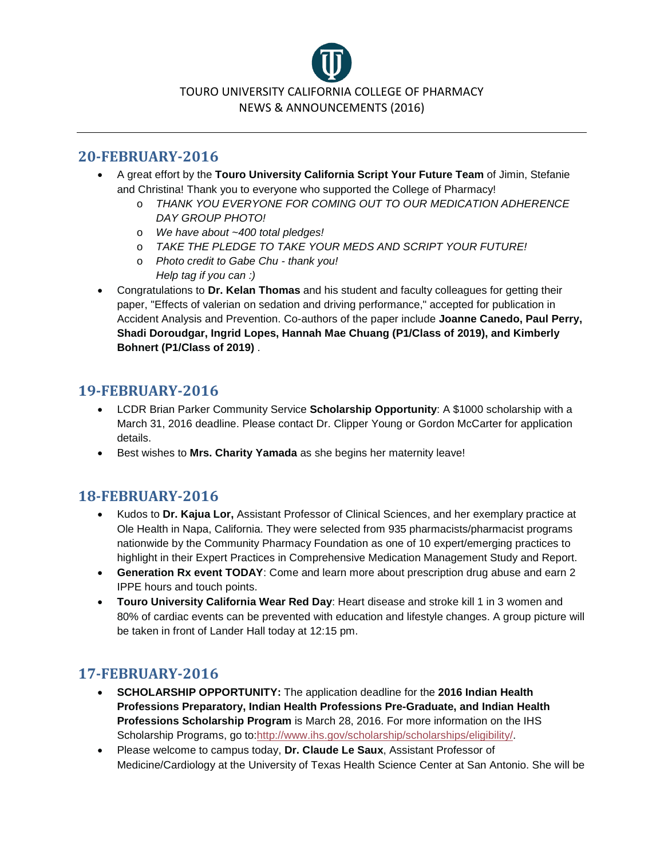

#### **20-FEBRUARY-2016**

- A great effort by the **Touro University California Script Your Future Team** of Jimin, Stefanie and Christina! Thank you to everyone who supported the College of Pharmacy!
	- o *THANK YOU EVERYONE FOR COMING OUT TO OUR MEDICATION ADHERENCE DAY GROUP PHOTO!*
	- o *We have about ~400 total pledges!*
	- o *TAKE THE PLEDGE TO TAKE YOUR MEDS AND SCRIPT YOUR FUTURE!*
	- o *Photo credit to Gabe Chu - thank you! Help tag if you can :)*
- Congratulations to **Dr. Kelan Thomas** and his student and faculty colleagues for getting their paper, "Effects of valerian on sedation and driving performance," accepted for publication in Accident Analysis and Prevention. Co-authors of the paper include **Joanne Canedo, Paul Perry, Shadi Doroudgar, Ingrid Lopes, Hannah Mae Chuang (P1/Class of 2019), and Kimberly Bohnert (P1/Class of 2019)** .

#### **19-FEBRUARY-2016**

- LCDR Brian Parker Community Service **Scholarship Opportunity**: A \$1000 scholarship with a March 31, 2016 deadline. Please contact Dr. Clipper Young or Gordon McCarter for application details.
- Best wishes to **Mrs. Charity Yamada** as she begins her maternity leave!

### **18-FEBRUARY-2016**

- Kudos to **Dr. Kajua Lor,** Assistant Professor of Clinical Sciences, and her exemplary practice at Ole Health in Napa, California. They were selected from 935 pharmacists/pharmacist programs nationwide by the Community Pharmacy Foundation as one of 10 expert/emerging practices to highlight in their Expert Practices in Comprehensive Medication Management Study and Report.
- **Generation Rx event TODAY**: Come and learn more about prescription drug abuse and earn 2 IPPE hours and touch points.
- **Touro University California Wear Red Day**: Heart disease and stroke kill 1 in 3 women and 80% of cardiac events can be prevented with education and lifestyle changes. A group picture will be taken in front of Lander Hall today at 12:15 pm.

- **SCHOLARSHIP OPPORTUNITY:** The application deadline for the **2016 Indian Health Professions Preparatory, Indian Health Professions Pre-Graduate, and Indian Health Professions Scholarship Program** is March 28, 2016. For more information on the IHS Scholarship Programs, go to[:http://www.ihs.gov/scholarship/scholarships/eligibility/.](http://www.ihs.gov/scholarship/scholarships/eligibility/)
- Please welcome to campus today, **Dr. Claude Le Saux**, Assistant Professor of Medicine/Cardiology at the University of Texas Health Science Center at San Antonio. She will be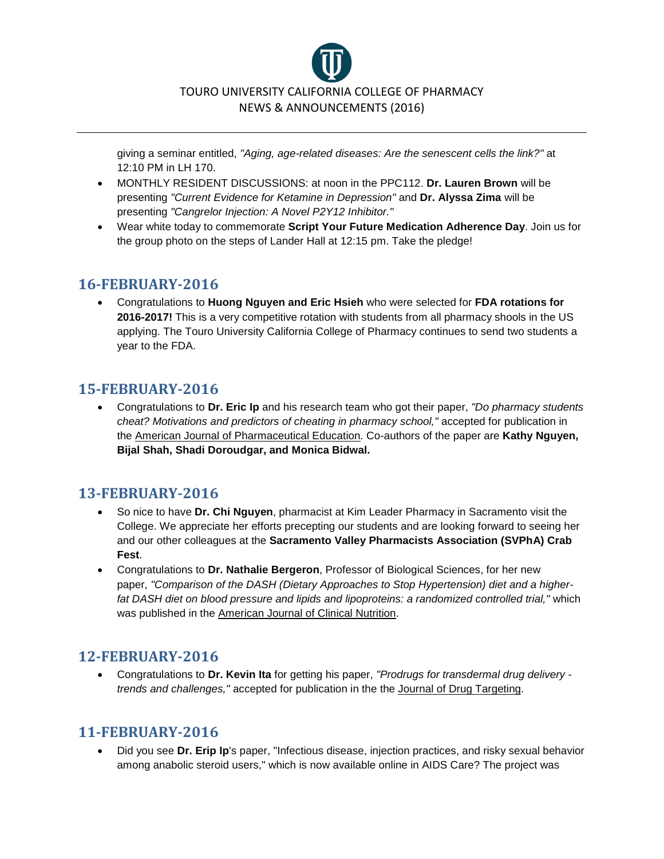

giving a seminar entitled, *"Aging, age-related diseases: Are the senescent cells the link?"* at 12:10 PM in LH 170.

- MONTHLY RESIDENT DISCUSSIONS: at noon in the PPC112. **Dr. Lauren Brown** will be presenting *"Current Evidence for Ketamine in Depression"* and **Dr. Alyssa Zima** will be presenting *"Cangrelor Injection: A Novel P2Y12 Inhibitor."*
- Wear white today to commemorate **Script Your Future Medication Adherence Day**. Join us for the group photo on the steps of Lander Hall at 12:15 pm. Take the pledge!

#### **16-FEBRUARY-2016**

• Congratulations to **Huong Nguyen and Eric Hsieh** who were selected for **FDA rotations for 2016-2017!** This is a very competitive rotation with students from all pharmacy shools in the US applying. The Touro University California College of Pharmacy continues to send two students a year to the FDA.

### **15-FEBRUARY-2016**

• Congratulations to **Dr. Eric Ip** and his research team who got their paper, *"Do pharmacy students cheat? Motivations and predictors of cheating in pharmacy school,"* accepted for publication in the American Journal of Pharmaceutical Education. Co-authors of the paper are **Kathy Nguyen, Bijal Shah, Shadi Doroudgar, and Monica Bidwal.**

### **13-FEBRUARY-2016**

- So nice to have **Dr. Chi Nguyen**, pharmacist at Kim Leader Pharmacy in Sacramento visit the College. We appreciate her efforts precepting our students and are looking forward to seeing her and our other colleagues at the **Sacramento Valley Pharmacists Association (SVPhA) Crab Fest**.
- Congratulations to **Dr. Nathalie Bergeron**, Professor of Biological Sciences, for her new paper, *"Comparison of the DASH (Dietary Approaches to Stop Hypertension) diet and a higherfat DASH diet on blood pressure and lipids and lipoproteins: a randomized controlled trial,"* which was published in the American Journal of Clinical Nutrition.

#### **12-FEBRUARY-2016**

• Congratulations to **Dr. Kevin Ita** for getting his paper, *"Prodrugs for transdermal drug delivery trends and challenges,"* accepted for publication in the the Journal of Drug Targeting.

#### **11-FEBRUARY-2016**

• Did you see **Dr. Erip Ip**'s paper, "Infectious disease, injection practices, and risky sexual behavior among anabolic steroid users," which is now available online in AIDS Care? The project was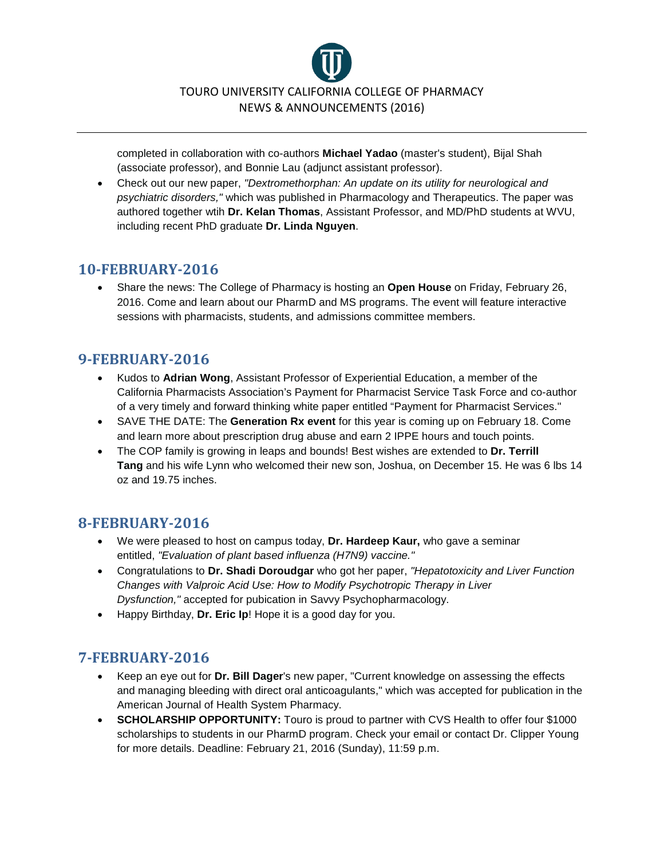

completed in collaboration with co-authors **Michael Yadao** (master's student), Bijal Shah (associate professor), and Bonnie Lau (adjunct assistant professor).

• Check out our new paper, *"Dextromethorphan: An update on its utility for neurological and psychiatric disorders,"* which was published in Pharmacology and Therapeutics. The paper was authored together wtih **Dr. Kelan Thomas**, Assistant Professor, and MD/PhD students at WVU, including recent PhD graduate **Dr. Linda Nguyen**.

#### **10-FEBRUARY-2016**

• Share the news: The College of Pharmacy is hosting an **Open House** on Friday, February 26, 2016. Come and learn about our PharmD and MS programs. The event will feature interactive sessions with pharmacists, students, and admissions committee members.

### **9-FEBRUARY-2016**

- Kudos to **Adrian Wong**, Assistant Professor of Experiential Education, a member of the California Pharmacists Association's Payment for Pharmacist Service Task Force and co-author of a very timely and forward thinking white paper entitled "Payment for Pharmacist Services."
- SAVE THE DATE: The **Generation Rx event** for this year is coming up on February 18. Come and learn more about prescription drug abuse and earn 2 IPPE hours and touch points.
- The COP family is growing in leaps and bounds! Best wishes are extended to **Dr. Terrill Tang** and his wife Lynn who welcomed their new son, Joshua, on December 15. He was 6 lbs 14 oz and 19.75 inches.

### **8-FEBRUARY-2016**

- We were pleased to host on campus today, **Dr. Hardeep Kaur,** who gave a seminar entitled, *"Evaluation of plant based influenza (H7N9) vaccine."*
- Congratulations to **Dr. Shadi Doroudgar** who got her paper, *"Hepatotoxicity and Liver Function Changes with Valproic Acid Use: How to Modify Psychotropic Therapy in Liver Dysfunction,"* accepted for pubication in Savvy Psychopharmacology.
- Happy Birthday, **Dr. Eric Ip**! Hope it is a good day for you.

- Keep an eye out for **Dr. Bill Dager**'s new paper, "Current knowledge on assessing the effects and managing bleeding with direct oral anticoagulants," which was accepted for publication in the American Journal of Health System Pharmacy.
- **SCHOLARSHIP OPPORTUNITY:** Touro is proud to partner with CVS Health to offer four \$1000 scholarships to students in our PharmD program. Check your email or contact Dr. Clipper Young for more details. Deadline: February 21, 2016 (Sunday), 11:59 p.m.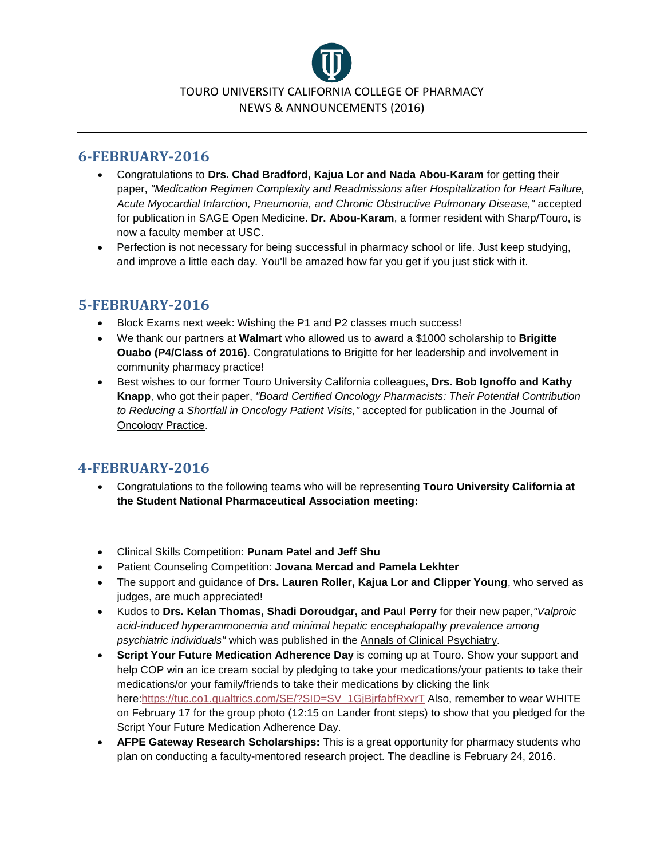

#### **6-FEBRUARY-2016**

- Congratulations to **Drs. Chad Bradford, Kajua Lor and Nada Abou-Karam** for getting their paper, *"Medication Regimen Complexity and Readmissions after Hospitalization for Heart Failure, Acute Myocardial Infarction, Pneumonia, and Chronic Obstructive Pulmonary Disease,"* accepted for publication in SAGE Open Medicine. **Dr. Abou-Karam**, a former resident with Sharp/Touro, is now a faculty member at USC.
- Perfection is not necessary for being successful in pharmacy school or life. Just keep studying, and improve a little each day. You'll be amazed how far you get if you just stick with it.

### **5-FEBRUARY-2016**

- Block Exams next week: Wishing the P1 and P2 classes much success!
- We thank our partners at **Walmart** who allowed us to award a \$1000 scholarship to **Brigitte Ouabo (P4/Class of 2016)**. Congratulations to Brigitte for her leadership and involvement in community pharmacy practice!
- Best wishes to our former Touro University California colleagues, **Drs. Bob Ignoffo and Kathy Knapp**, who got their paper, *"Board Certified Oncology Pharmacists: Their Potential Contribution to Reducing a Shortfall in Oncology Patient Visits,"* accepted for publication in the Journal of Oncology Practice.

- Congratulations to the following teams who will be representing **Touro University California at the Student National Pharmaceutical Association meeting:**
- Clinical Skills Competition: **Punam Patel and Jeff Shu**
- Patient Counseling Competition: **Jovana Mercad and Pamela Lekhter**
- The support and guidance of **Drs. Lauren Roller, Kajua Lor and Clipper Young**, who served as judges, are much appreciated!
- Kudos to **Drs. Kelan Thomas, Shadi Doroudgar, and Paul Perry** for their new paper,*"Valproic acid-induced hyperammonemia and minimal hepatic encephalopathy prevalence among psychiatric individuals"* which was published in the Annals of Clinical Psychiatry.
- **Script Your Future Medication Adherence Day** is coming up at Touro. Show your support and help COP win an ice cream social by pledging to take your medications/your patients to take their medications/or your family/friends to take their medications by clicking the link here[:https://tuc.co1.qualtrics.com/SE/?SID=SV\\_1GjBjrfabfRxvrT](https://tuc.co1.qualtrics.com/SE/?SID=SV_1GjBjrfabfRxvrT) Also, remember to wear WHITE on February 17 for the group photo (12:15 on Lander front steps) to show that you pledged for the Script Your Future Medication Adherence Day.
- **AFPE Gateway Research Scholarships:** This is a great opportunity for pharmacy students who plan on conducting a faculty-mentored research project. The deadline is February 24, 2016.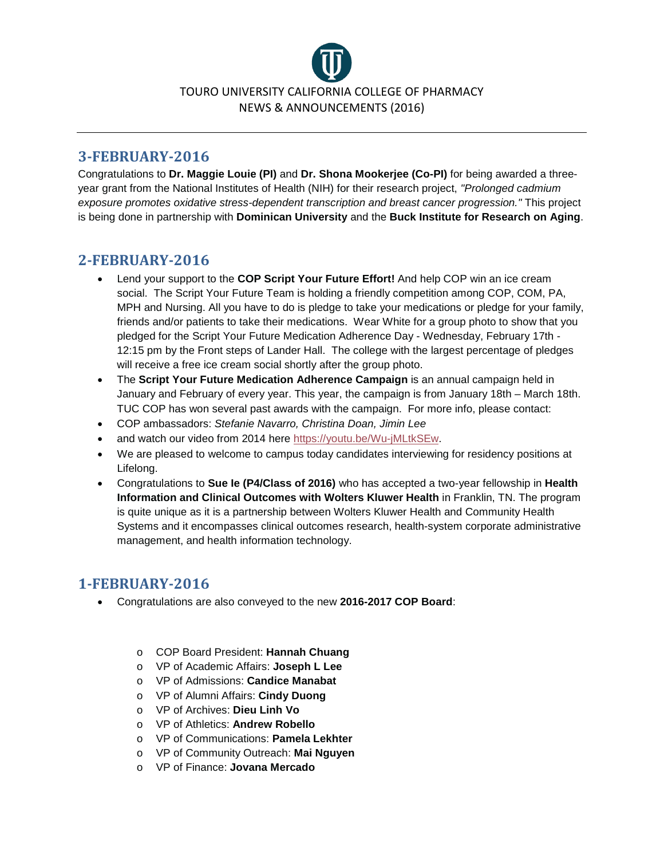

#### **3-FEBRUARY-2016**

Congratulations to **Dr. Maggie Louie (PI)** and **Dr. Shona Mookerjee (Co-PI)** for being awarded a threeyear grant from the National Institutes of Health (NIH) for their research project, *"Prolonged cadmium exposure promotes oxidative stress-dependent transcription and breast cancer progression."* This project is being done in partnership with **Dominican University** and the **Buck Institute for Research on Aging**.

#### **2-FEBRUARY-2016**

- Lend your support to the **COP Script Your Future Effort!** And help COP win an ice cream social. The Script Your Future Team is holding a friendly competition among COP, COM, PA, MPH and Nursing. All you have to do is pledge to take your medications or pledge for your family, friends and/or patients to take their medications. Wear White for a group photo to show that you pledged for the Script Your Future Medication Adherence Day - Wednesday, February 17th - 12:15 pm by the Front steps of Lander Hall. The college with the largest percentage of pledges will receive a free ice cream social shortly after the group photo.
- The **Script Your Future Medication Adherence Campaign** is an annual campaign held in January and February of every year. This year, the campaign is from January 18th – March 18th. TUC COP has won several past awards with the campaign. For more info, please contact:
- COP ambassadors: *Stefanie Navarro, Christina Doan, Jimin Lee*
- and watch our video from 2014 here [https://youtu.be/Wu-jMLtkSEw.](https://www.facebook.com/l.php?u=https%3A%2F%2Fyoutu.be%2FWu-jMLtkSEw&h=sAQFmM4aJAQE5EEINyNQBBsgMh92qEgU_mQbFlee9rb70WQ&enc=AZOvh9aPT--2BMbU72F8DGZJ7aKkvFKMqThl5rAvjEgkSgyf1L6nsooGJvEQipeMzGaQf5ZCyyQgrVcIJat5PB_gz75u-bBtj6S-J-NXDIsKBxeBL7brhpQV9yeKpJJ39cHCGcISZsnp42lY7YNuCOAkZgfRpBpHl_U76Iy87u4qIua7rzMACkRIG8r95yJ0VXQOhLvmJwkiyWLS0zVu6OxJ&s=1)
- We are pleased to welcome to campus today candidates interviewing for residency positions at Lifelong.
- Congratulations to **Sue Ie (P4/Class of 2016)** who has accepted a two-year fellowship in **Health Information and Clinical Outcomes with Wolters Kluwer Health** in Franklin, TN. The program is quite unique as it is a partnership between Wolters Kluwer Health and Community Health Systems and it encompasses clinical outcomes research, health-system corporate administrative management, and health information technology.

- Congratulations are also conveyed to the new **2016-2017 COP Board**:
	- o COP Board President: **Hannah Chuang**
	- o VP of Academic Affairs: **Joseph L Lee**
	- o VP of Admissions: **Candice Manabat**
	- o VP of Alumni Affairs: **Cindy Duong**
	- o VP of Archives: **Dieu Linh Vo**
	- o VP of Athletics: **Andrew Robello**
	- o VP of Communications: **Pamela Lekhter**
	- o VP of Community Outreach: **Mai Nguyen**
	- o VP of Finance: **Jovana Mercado**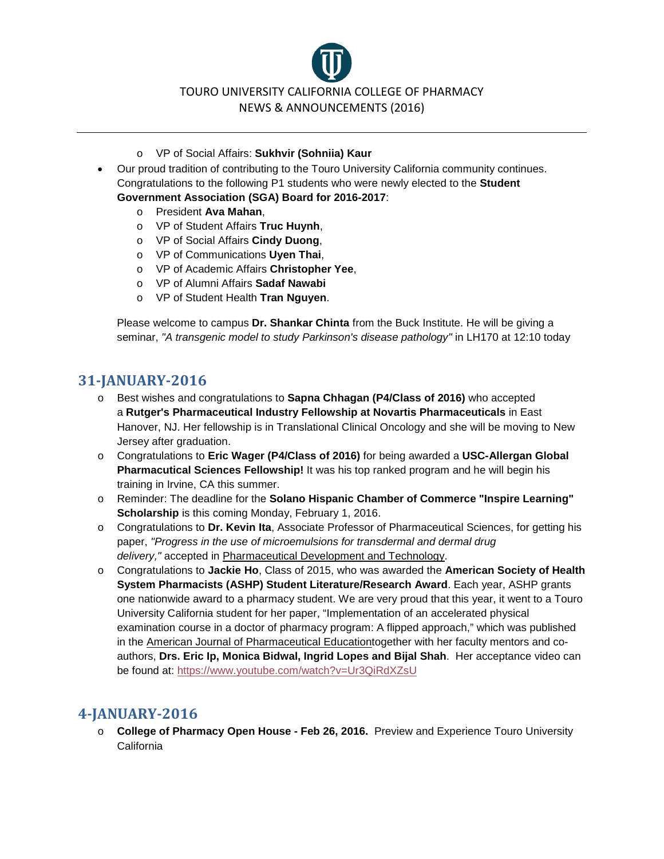TOURO UNIVERSITY CALIFORNIA COLLEGE OF PHARMACY NEWS & ANNOUNCEMENTS (2016)

- o VP of Social Affairs: **Sukhvir (Sohniia) Kaur**
- Our proud tradition of contributing to the Touro University California community continues. Congratulations to the following P1 students who were newly elected to the **Student Government Association (SGA) Board for 2016-2017**:
	- o President **Ava Mahan**,
	- o VP of Student Affairs **Truc Huynh**,
	- o VP of Social Affairs **Cindy Duong**,
	- o VP of Communications **Uyen Thai**,
	- o VP of Academic Affairs **Christopher Yee**,
	- o VP of Alumni Affairs **Sadaf Nawabi**
	- o VP of Student Health **Tran Nguyen**.

Please welcome to campus **Dr. Shankar Chinta** from the Buck Institute. He will be giving a seminar, *"A transgenic model to study Parkinson's disease pathology"* in LH170 at 12:10 today

# **31-JANUARY-2016**

- o Best wishes and congratulations to **Sapna Chhagan (P4/Class of 2016)** who accepted a **Rutger's Pharmaceutical Industry Fellowship at Novartis Pharmaceuticals** in East Hanover, NJ. Her fellowship is in Translational Clinical Oncology and she will be moving to New Jersey after graduation.
- o Congratulations to **Eric Wager (P4/Class of 2016)** for being awarded a **USC-Allergan Global Pharmacutical Sciences Fellowship!** It was his top ranked program and he will begin his training in Irvine, CA this summer.
- o Reminder: The deadline for the **Solano Hispanic Chamber of Commerce "Inspire Learning" Scholarship** is this coming Monday, February 1, 2016.
- o Congratulations to **Dr. Kevin Ita**, Associate Professor of Pharmaceutical Sciences, for getting his paper, *"Progress in the use of microemulsions for transdermal and dermal drug delivery,"* accepted in Pharmaceutical Development and Technology.
- o Congratulations to **Jackie Ho**, Class of 2015, who was awarded the **American Society of Health System Pharmacists (ASHP) Student Literature/Research Award**. Each year, ASHP grants one nationwide award to a pharmacy student. We are very proud that this year, it went to a Touro University California student for her paper, "Implementation of an accelerated physical examination course in a doctor of pharmacy program: A flipped approach," which was published in the American Journal of Pharmaceutical Educationtogether with her faculty mentors and coauthors, **Drs. Eric Ip, Monica Bidwal, Ingrid Lopes and Bijal Shah**. Her acceptance video can be found at: <https://www.youtube.com/watch?v=Ur3QiRdXZsU>

#### **4-JANUARY-2016**

o **College of Pharmacy Open House - Feb 26, 2016.** Preview and Experience Touro University California